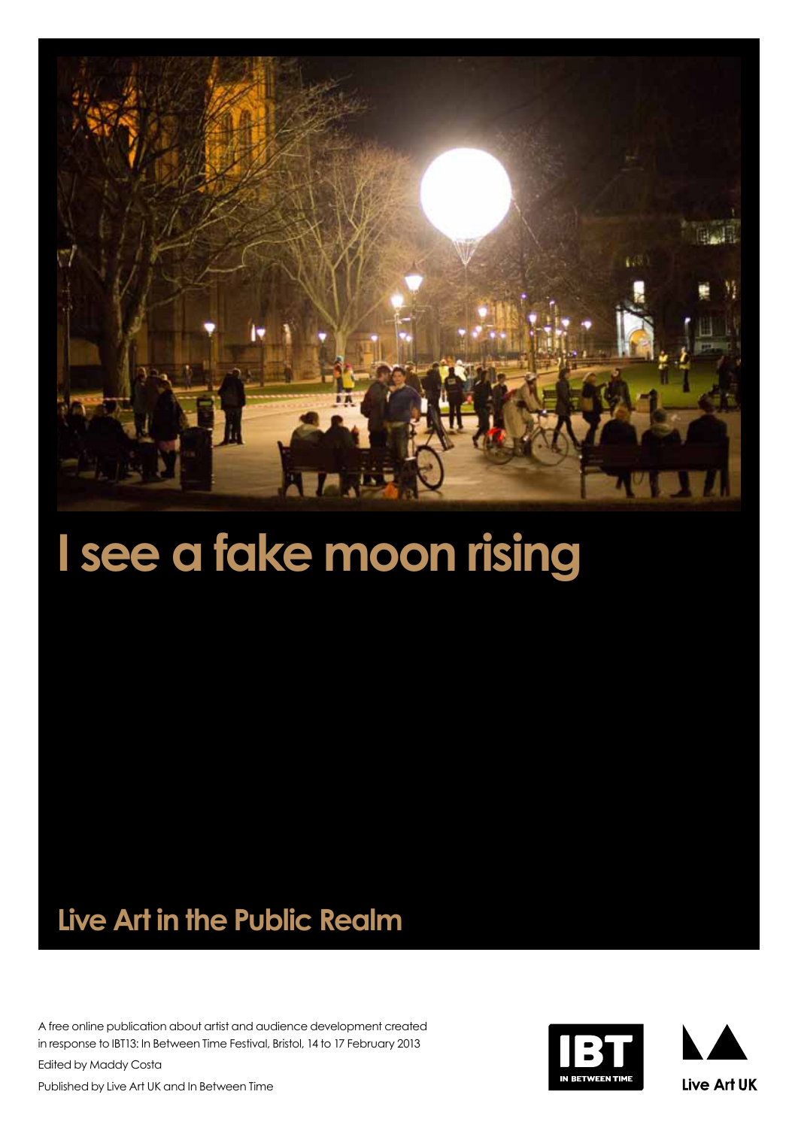

# **I see a fake moon rising**

## **Live Art in the Public Realm**

A free online publication about artist and audience development created in response to IBT13: In Between Time Festival, Bristol, 14 to 17 February 2013

Edited by Maddy Costa Published by Live Art UK and In Between Time

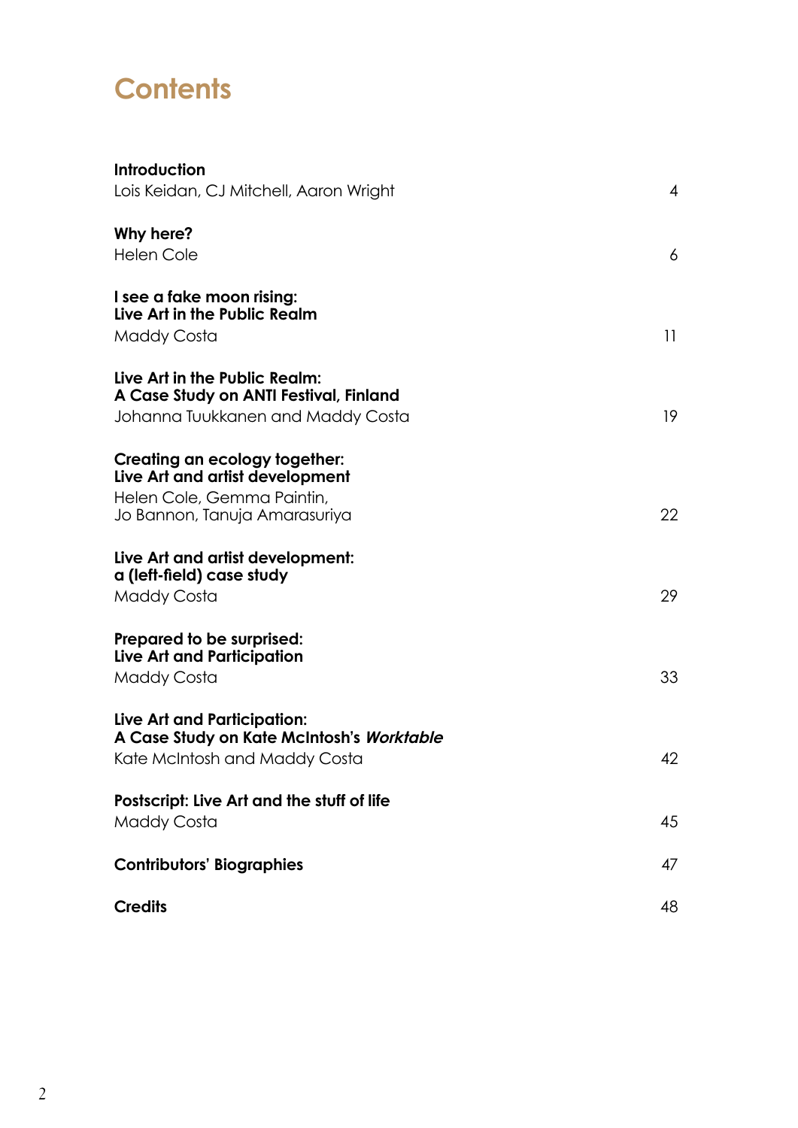## **Contents**

| <b>Introduction</b>                        |                |
|--------------------------------------------|----------------|
| Lois Keidan, CJ Mitchell, Aaron Wright     | $\overline{4}$ |
| Why here?                                  |                |
| <b>Helen Cole</b>                          | 6              |
| I see a fake moon rising:                  |                |
| Live Art in the Public Realm               |                |
| <b>Maddy Costa</b>                         | 11             |
| Live Art in the Public Realm:              |                |
| A Case Study on ANTI Festival, Finland     |                |
| Johanna Tuukkanen and Maddy Costa          | 19             |
| Creating an ecology together:              |                |
| Live Art and artist development            |                |
| Helen Cole, Gemma Paintin,                 |                |
| Jo Bannon, Tanuja Amarasuriya              | 22             |
| Live Art and artist development:           |                |
| a (left-field) case study                  |                |
| <b>Maddy Costa</b>                         | 29             |
| Prepared to be surprised:                  |                |
| <b>Live Art and Participation</b>          |                |
| <b>Maddy Costa</b>                         | 33             |
| Live Art and Participation:                |                |
| A Case Study on Kate McIntosh's Worktable  |                |
| Kate McIntosh and Maddy Costa              | 42             |
| Postscript: Live Art and the stuff of life |                |
| <b>Maddy Costa</b>                         | 45             |
| <b>Contributors' Biographies</b>           | 47             |
| <b>Credits</b>                             | 48             |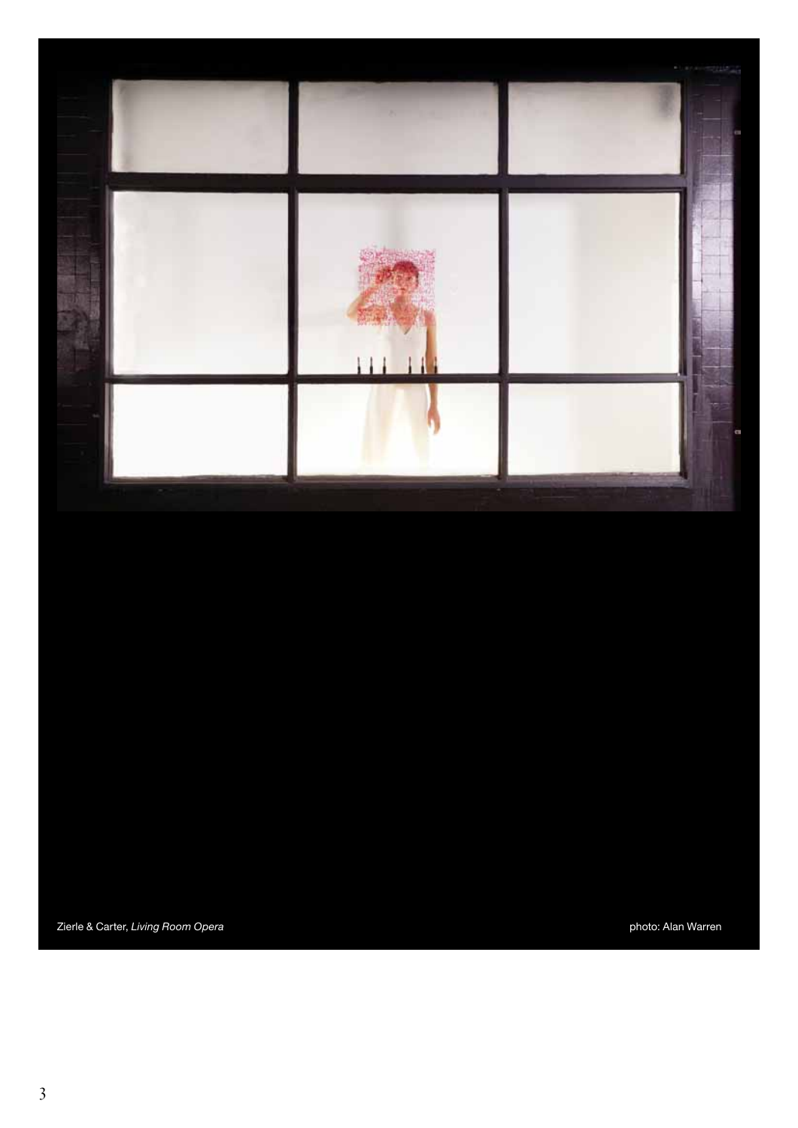

Zierle & Carter, *Living Room Opera* photo: Alan Warren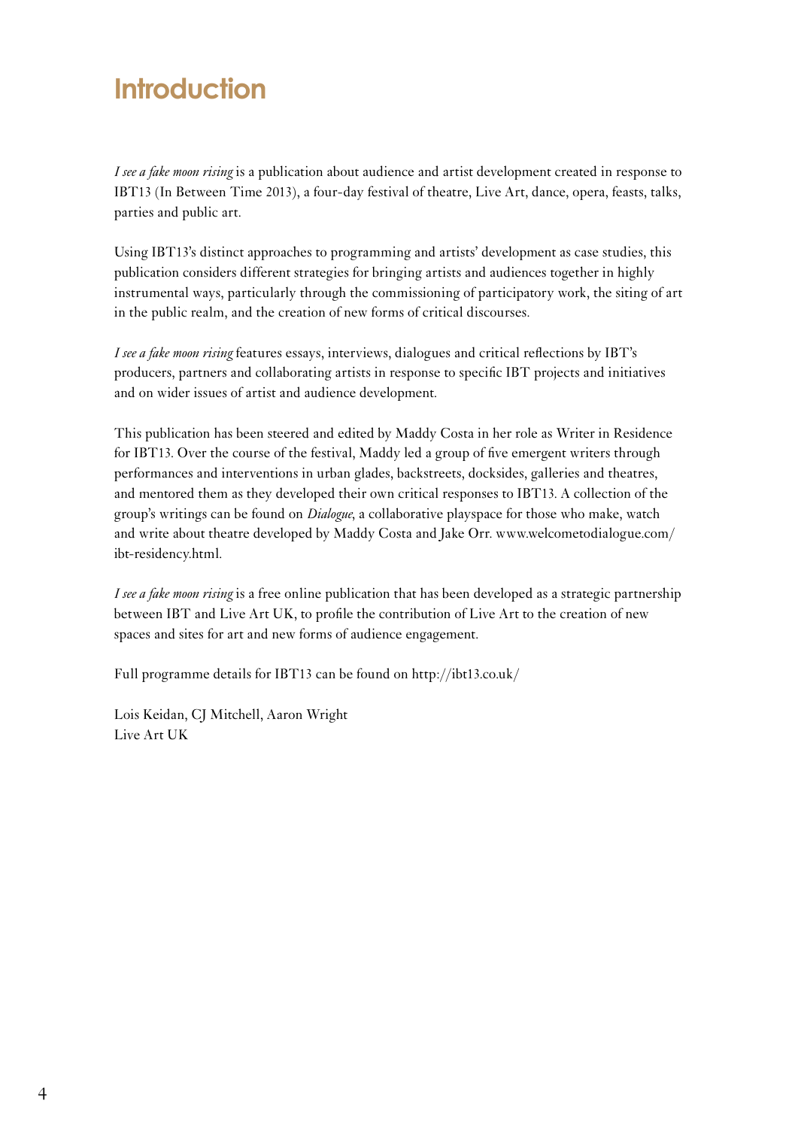## **Introduction**

*I see a fake moon rising* is a publication about audience and artist development created in response to IBT13 (In Between Time 2013), a four-day festival of theatre, Live Art, dance, opera, feasts, talks, parties and public art.

Using IBT13's distinct approaches to programming and artists' development as case studies, this publication considers different strategies for bringing artists and audiences together in highly instrumental ways, particularly through the commissioning of participatory work, the siting of art in the public realm, and the creation of new forms of critical discourses.

*I see a fake moon rising* features essays, interviews, dialogues and critical reflections by IBT's producers, partners and collaborating artists in response to specific IBT projects and initiatives and on wider issues of artist and audience development.

This publication has been steered and edited by Maddy Costa in her role as Writer in Residence for IBT13. Over the course of the festival, Maddy led a group of five emergent writers through performances and interventions in urban glades, backstreets, docksides, galleries and theatres, and mentored them as they developed their own critical responses to IBT13. A collection of the group's writings can be found on *Dialogue*, a collaborative playspace for those who make, watch and write about theatre developed by Maddy Costa and Jake Orr. www.welcometodialogue.com/ ibt-residency.html.

*I see a fake moon rising* is a free online publication that has been developed as a strategic partnership between IBT and Live Art UK, to profile the contribution of Live Art to the creation of new spaces and sites for art and new forms of audience engagement.

Full programme details for IBT13 can be found on http://ibt13.co.uk/

<span id="page-3-0"></span>Lois Keidan, CJ Mitchell, Aaron Wright Live Art UK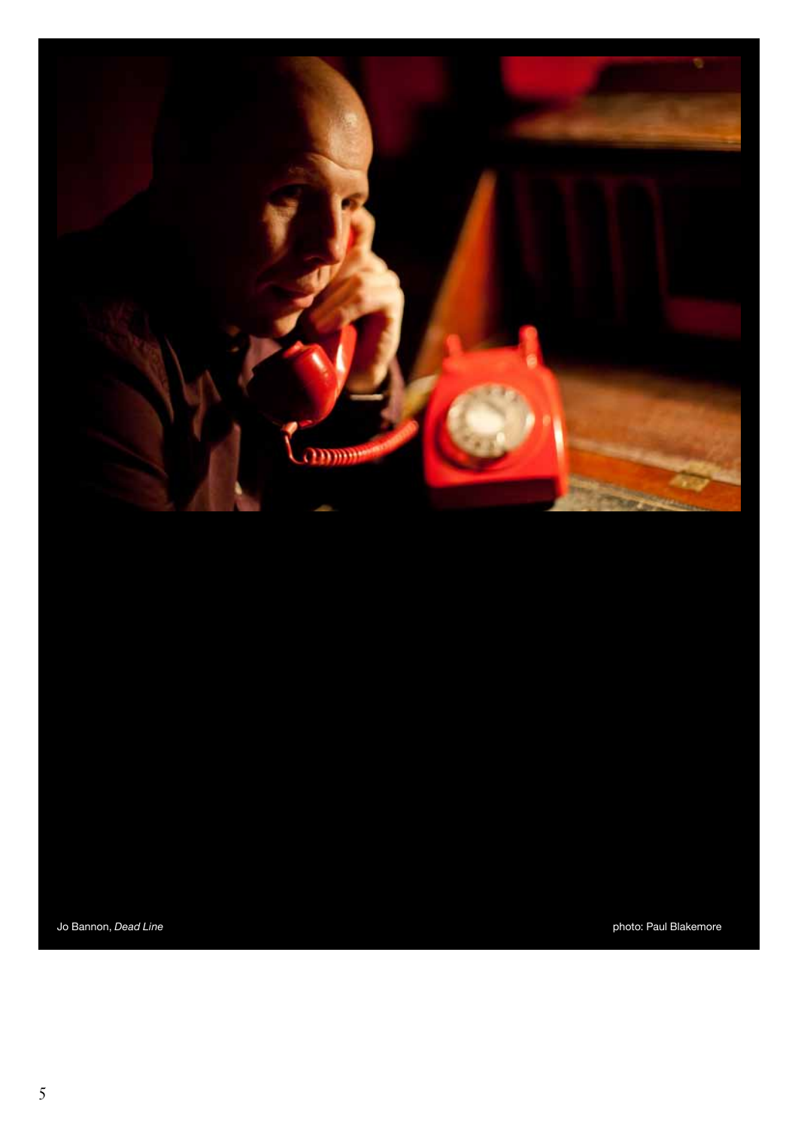

Jo Bannon, *Dead Line photo: Paul Blakemore* photo: Paul Blakemore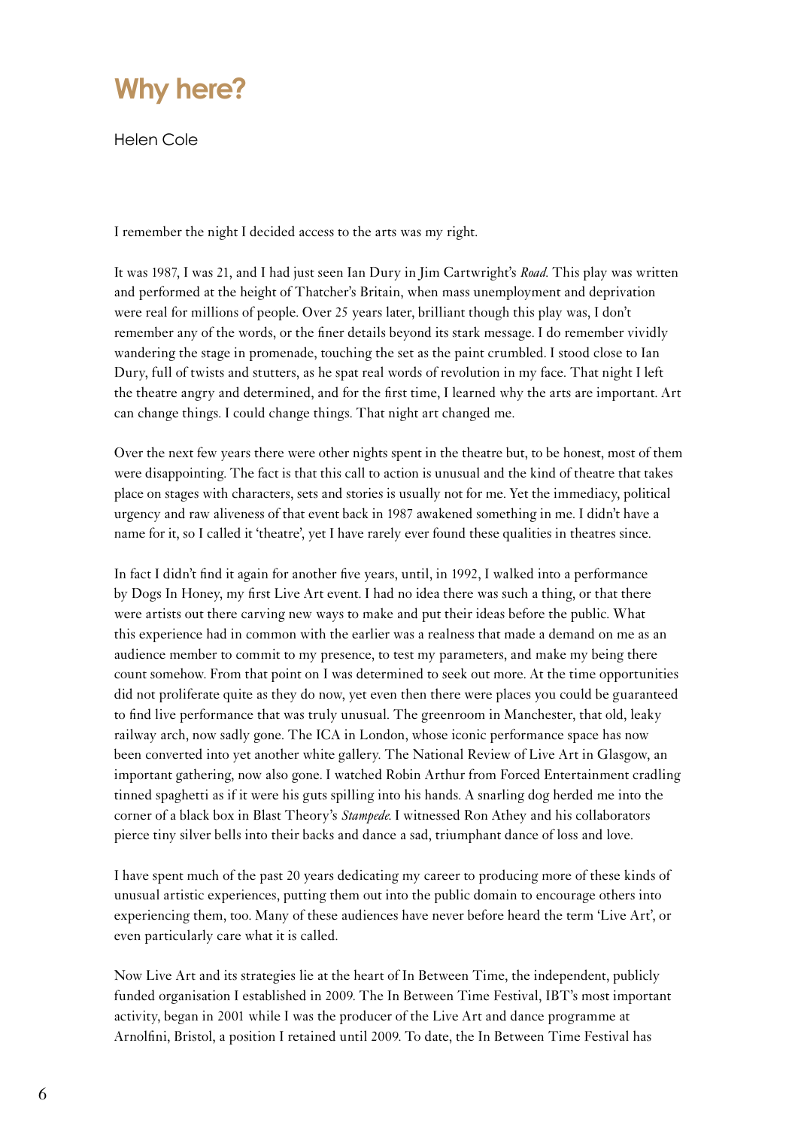

Helen Cole

I remember the night I decided access to the arts was my right.

It was 1987, I was 21, and I had just seen Ian Dury in Jim Cartwright's *Road*. This play was written and performed at the height of Thatcher's Britain, when mass unemployment and deprivation were real for millions of people. Over 25 years later, brilliant though this play was, I don't remember any of the words, or the finer details beyond its stark message. I do remember vividly wandering the stage in promenade, touching the set as the paint crumbled. I stood close to Ian Dury, full of twists and stutters, as he spat real words of revolution in my face. That night I left the theatre angry and determined, and for the first time, I learned why the arts are important. Art can change things. I could change things. That night art changed me.

Over the next few years there were other nights spent in the theatre but, to be honest, most of them were disappointing. The fact is that this call to action is unusual and the kind of theatre that takes place on stages with characters, sets and stories is usually not for me. Yet the immediacy, political urgency and raw aliveness of that event back in 1987 awakened something in me. I didn't have a name for it, so I called it 'theatre', yet I have rarely ever found these qualities in theatres since.

In fact I didn't find it again for another five years, until, in 1992, I walked into a performance by Dogs In Honey, my first Live Art event. I had no idea there was such a thing, or that there were artists out there carving new ways to make and put their ideas before the public. What this experience had in common with the earlier was a realness that made a demand on me as an audience member to commit to my presence, to test my parameters, and make my being there count somehow. From that point on I was determined to seek out more. At the time opportunities did not proliferate quite as they do now, yet even then there were places you could be guaranteed to find live performance that was truly unusual. The greenroom in Manchester, that old, leaky railway arch, now sadly gone. The ICA in London, whose iconic performance space has now been converted into yet another white gallery. The National Review of Live Art in Glasgow, an important gathering, now also gone. I watched Robin Arthur from Forced Entertainment cradling tinned spaghetti as if it were his guts spilling into his hands. A snarling dog herded me into the corner of a black box in Blast Theory's *Stampede*. I witnessed Ron Athey and his collaborators pierce tiny silver bells into their backs and dance a sad, triumphant dance of loss and love.

I have spent much of the past 20 years dedicating my career to producing more of these kinds of unusual artistic experiences, putting them out into the public domain to encourage others into experiencing them, too. Many of these audiences have never before heard the term 'Live Art', or even particularly care what it is called.

<span id="page-5-0"></span>Now Live Art and its strategies lie at the heart of In Between Time, the independent, publicly funded organisation I established in 2009. The In Between Time Festival, IBT's most important activity, began in 2001 while I was the producer of the Live Art and dance programme at Arnolfini, Bristol, a position I retained until 2009. To date, the In Between Time Festival has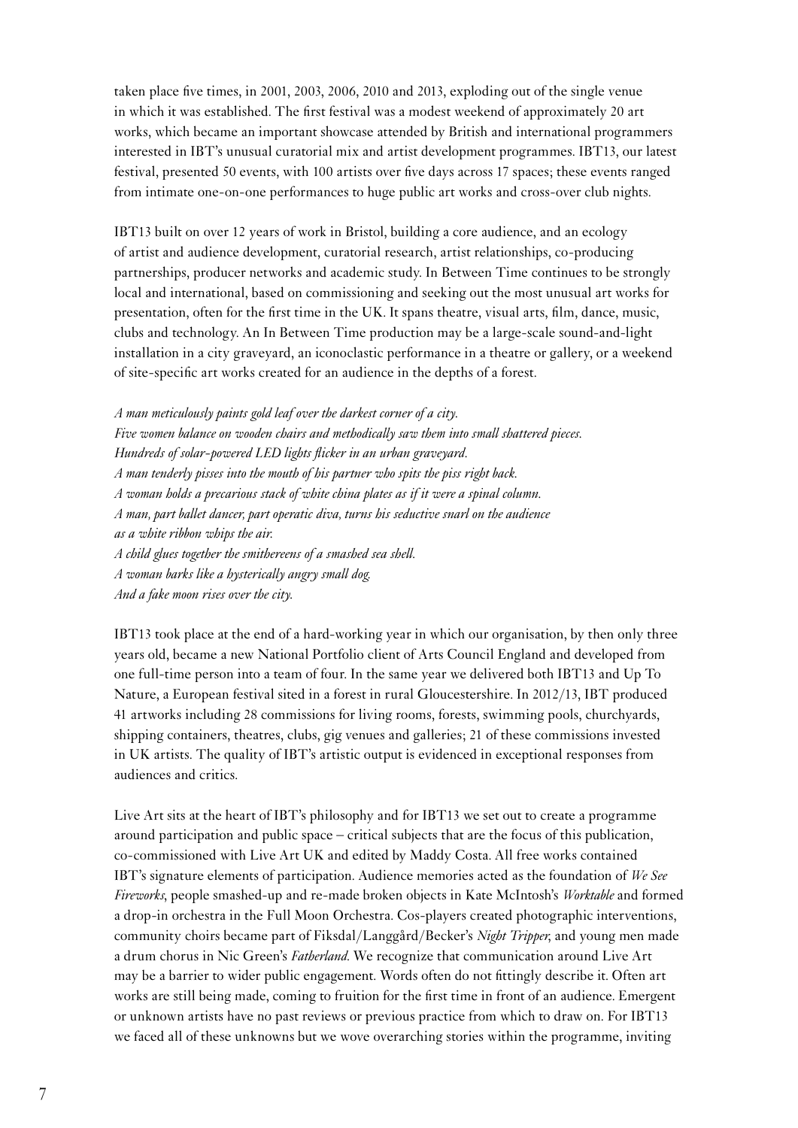taken place five times, in 2001, 2003, 2006, 2010 and 2013, exploding out of the single venue in which it was established. The first festival was a modest weekend of approximately 20 art works, which became an important showcase attended by British and international programmers interested in IBT's unusual curatorial mix and artist development programmes. IBT13, our latest festival, presented 50 events, with 100 artists over five days across 17 spaces; these events ranged from intimate one-on-one performances to huge public art works and cross-over club nights.

IBT13 built on over 12 years of work in Bristol, building a core audience, and an ecology of artist and audience development, curatorial research, artist relationships, co-producing partnerships, producer networks and academic study. In Between Time continues to be strongly local and international, based on commissioning and seeking out the most unusual art works for presentation, often for the first time in the UK. It spans theatre, visual arts, film, dance, music, clubs and technology. An In Between Time production may be a large-scale sound-and-light installation in a city graveyard, an iconoclastic performance in a theatre or gallery, or a weekend of site-specific art works created for an audience in the depths of a forest.

*A man meticulously paints gold leaf over the darkest corner of a city. Five women balance on wooden chairs and methodically saw them into small shattered pieces. Hundreds of solar-powered LED lights flicker in an urban graveyard. A man tenderly pisses into the mouth of his partner who spits the piss right back. A woman holds a precarious stack of white china plates as if it were a spinal column. A man, part ballet dancer, part operatic diva, turns his seductive snarl on the audience as a white ribbon whips the air. A child glues together the smithereens of a smashed sea shell. A woman barks like a hysterically angry small dog. And a fake moon rises over the city.*

IBT13 took place at the end of a hard-working year in which our organisation, by then only three years old, became a new National Portfolio client of Arts Council England and developed from one full-time person into a team of four. In the same year we delivered both IBT13 and Up To Nature, a European festival sited in a forest in rural Gloucestershire. In 2012/13, IBT produced 41 artworks including 28 commissions for living rooms, forests, swimming pools, churchyards, shipping containers, theatres, clubs, gig venues and galleries; 21 of these commissions invested in UK artists. The quality of IBT's artistic output is evidenced in exceptional responses from audiences and critics.

Live Art sits at the heart of IBT's philosophy and for IBT13 we set out to create a programme around participation and public space – critical subjects that are the focus of this publication, co-commissioned with Live Art UK and edited by Maddy Costa. All free works contained IBT's signature elements of participation. Audience memories acted as the foundation of *We See Fireworks*, people smashed-up and re-made broken objects in Kate McIntosh's *Worktable* and formed a drop-in orchestra in the Full Moon Orchestra. Cos-players created photographic interventions, community choirs became part of Fiksdal/Langgård/Becker's *Night Tripper*, and young men made a drum chorus in Nic Green's *Fatherland*. We recognize that communication around Live Art may be a barrier to wider public engagement. Words often do not fittingly describe it. Often art works are still being made, coming to fruition for the first time in front of an audience. Emergent or unknown artists have no past reviews or previous practice from which to draw on. For IBT13 we faced all of these unknowns but we wove overarching stories within the programme, inviting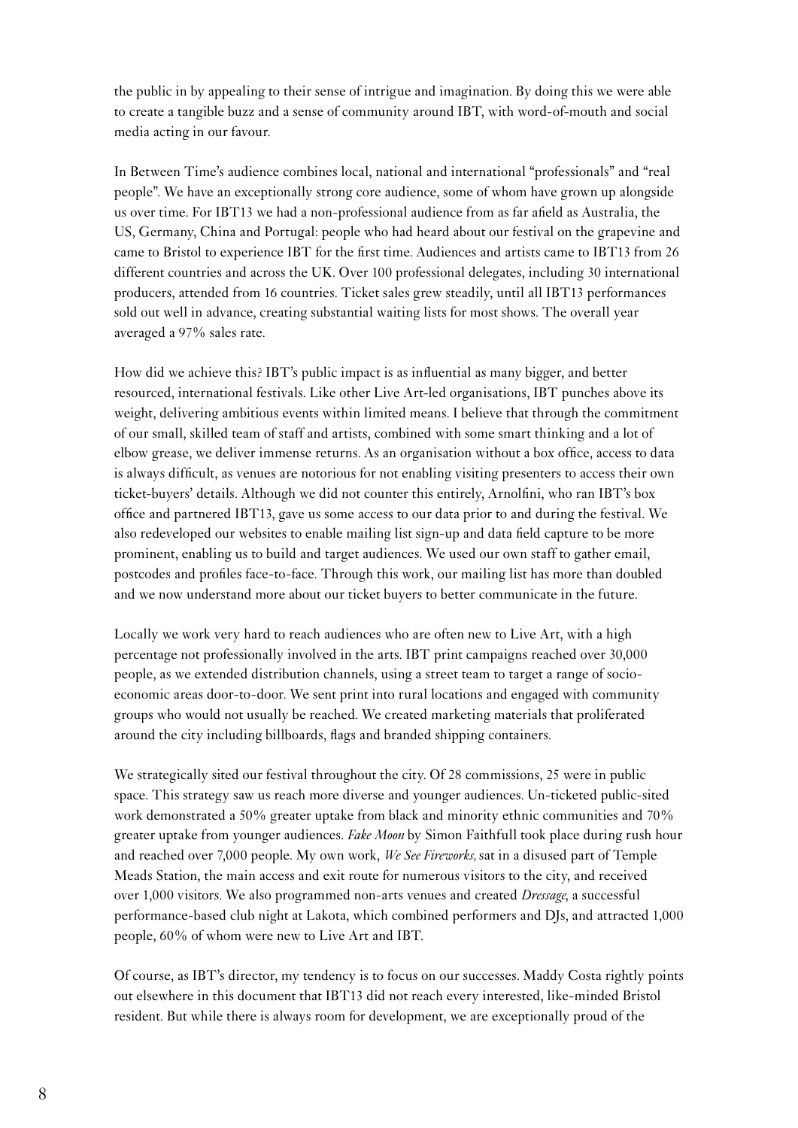the public in by appealing to their sense of intrigue and imagination. By doing this we were able to create a tangible buzz and a sense of community around IBT, with word-of-mouth and social media acting in our favour.

In Between Time's audience combines local, national and international "professionals" and "real people". We have an exceptionally strong core audience, some of whom have grown up alongside us over time. For IBT13 we had a non-professional audience from as far afield as Australia, the US, Germany, China and Portugal: people who had heard about our festival on the grapevine and came to Bristol to experience IBT for the first time. Audiences and artists came to IBT13 from 26 different countries and across the UK. Over 100 professional delegates, including 30 international producers, attended from 16 countries. Ticket sales grew steadily, until all IBT13 performances sold out well in advance, creating substantial waiting lists for most shows. The overall year averaged a 97% sales rate.

How did we achieve this? IBT's public impact is as influential as many bigger, and better resourced, international festivals. Like other Live Art-led organisations, IBT punches above its weight, delivering ambitious events within limited means. I believe that through the commitment of our small, skilled team of staff and artists, combined with some smart thinking and a lot of elbow grease, we deliver immense returns. As an organisation without a box office, access to data is always difficult, as venues are notorious for not enabling visiting presenters to access their own ticket-buyers' details. Although we did not counter this entirely, Arnolfini, who ran IBT's box office and partnered IBT13, gave us some access to our data prior to and during the festival. We also redeveloped our websites to enable mailing list sign-up and data field capture to be more prominent, enabling us to build and target audiences. We used our own staff to gather email, postcodes and profiles face-to-face. Through this work, our mailing list has more than doubled and we now understand more about our ticket buyers to better communicate in the future.

Locally we work very hard to reach audiences who are often new to Live Art, with a high percentage not professionally involved in the arts. IBT print campaigns reached over 30,000 people, as we extended distribution channels, using a street team to target a range of socioeconomic areas door-to-door. We sent print into rural locations and engaged with community groups who would not usually be reached. We created marketing materials that proliferated around the city including billboards, flags and branded shipping containers.

We strategically sited our festival throughout the city. Of 28 commissions, 25 were in public space. This strategy saw us reach more diverse and younger audiences. Un-ticketed public-sited work demonstrated a 50% greater uptake from black and minority ethnic communities and 70% greater uptake from younger audiences. *Fake Moon* by Simon Faithfull took place during rush hour and reached over 7,000 people. My own work, *We See Fireworks,* sat in a disused part of Temple Meads Station, the main access and exit route for numerous visitors to the city, and received over 1,000 visitors. We also programmed non-arts venues and created *Dressage*, a successful performance-based club night at Lakota, which combined performers and DJs, and attracted 1,000 people, 60% of whom were new to Live Art and IBT.

Of course, as IBT's director, my tendency is to focus on our successes. Maddy Costa rightly points out elsewhere in this document that IBT13 did not reach every interested, like-minded Bristol resident. But while there is always room for development, we are exceptionally proud of the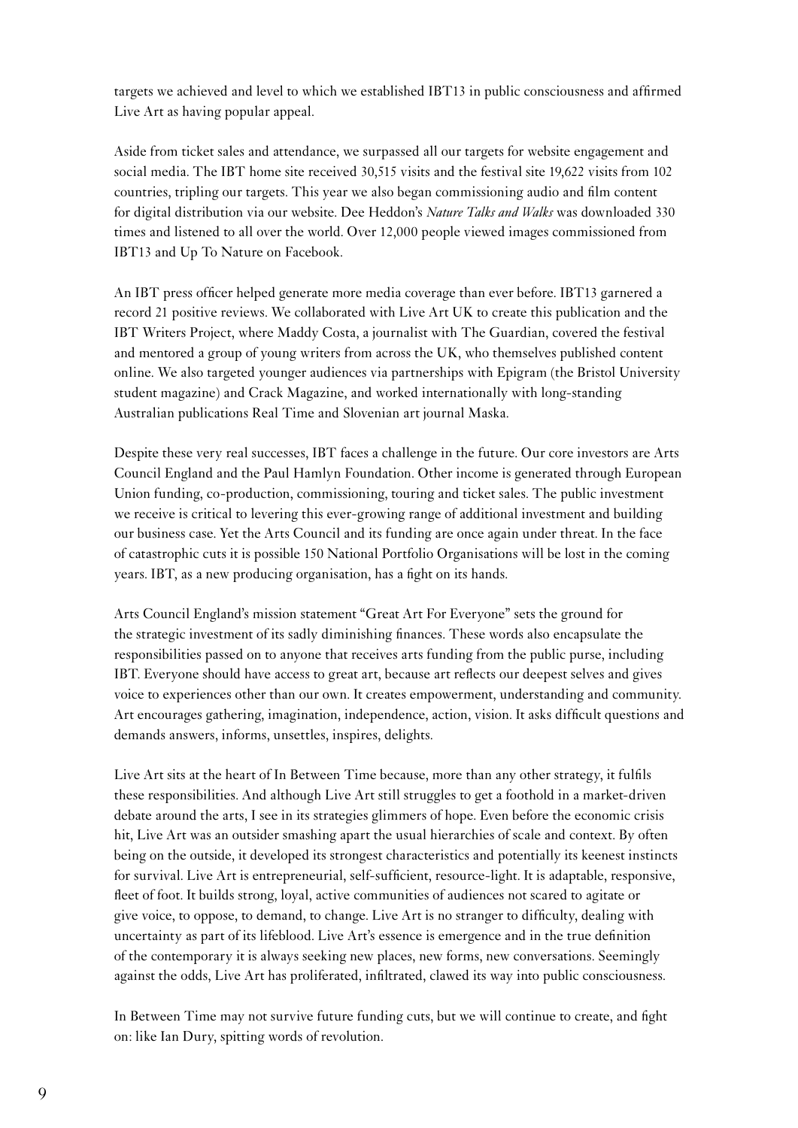targets we achieved and level to which we established IBT13 in public consciousness and affirmed Live Art as having popular appeal.

Aside from ticket sales and attendance, we surpassed all our targets for website engagement and social media. The IBT home site received 30,515 visits and the festival site 19,622 visits from 102 countries, tripling our targets. This year we also began commissioning audio and film content for digital distribution via our website. Dee Heddon's *Nature Talks and Walks* was downloaded 330 times and listened to all over the world. Over 12,000 people viewed images commissioned from IBT13 and Up To Nature on Facebook.

An IBT press officer helped generate more media coverage than ever before. IBT13 garnered a record 21 positive reviews. We collaborated with Live Art UK to create this publication and the IBT Writers Project, where Maddy Costa, a journalist with The Guardian, covered the festival and mentored a group of young writers from across the UK, who themselves published content online. We also targeted younger audiences via partnerships with Epigram (the Bristol University student magazine) and Crack Magazine, and worked internationally with long-standing Australian publications Real Time and Slovenian art journal Maska.

Despite these very real successes, IBT faces a challenge in the future. Our core investors are Arts Council England and the Paul Hamlyn Foundation. Other income is generated through European Union funding, co-production, commissioning, touring and ticket sales. The public investment we receive is critical to levering this ever-growing range of additional investment and building our business case. Yet the Arts Council and its funding are once again under threat. In the face of catastrophic cuts it is possible 150 National Portfolio Organisations will be lost in the coming years. IBT, as a new producing organisation, has a fight on its hands.

Arts Council England's mission statement "Great Art For Everyone" sets the ground for the strategic investment of its sadly diminishing finances. These words also encapsulate the responsibilities passed on to anyone that receives arts funding from the public purse, including IBT. Everyone should have access to great art, because art reflects our deepest selves and gives voice to experiences other than our own. It creates empowerment, understanding and community. Art encourages gathering, imagination, independence, action, vision. It asks difficult questions and demands answers, informs, unsettles, inspires, delights.

Live Art sits at the heart of In Between Time because, more than any other strategy, it fulfils these responsibilities. And although Live Art still struggles to get a foothold in a market-driven debate around the arts, I see in its strategies glimmers of hope. Even before the economic crisis hit, Live Art was an outsider smashing apart the usual hierarchies of scale and context. By often being on the outside, it developed its strongest characteristics and potentially its keenest instincts for survival. Live Art is entrepreneurial, self-sufficient, resource-light. It is adaptable, responsive, fleet of foot. It builds strong, loyal, active communities of audiences not scared to agitate or give voice, to oppose, to demand, to change. Live Art is no stranger to difficulty, dealing with uncertainty as part of its lifeblood. Live Art's essence is emergence and in the true definition of the contemporary it is always seeking new places, new forms, new conversations. Seemingly against the odds, Live Art has proliferated, infiltrated, clawed its way into public consciousness.

In Between Time may not survive future funding cuts, but we will continue to create, and fight on: like Ian Dury, spitting words of revolution.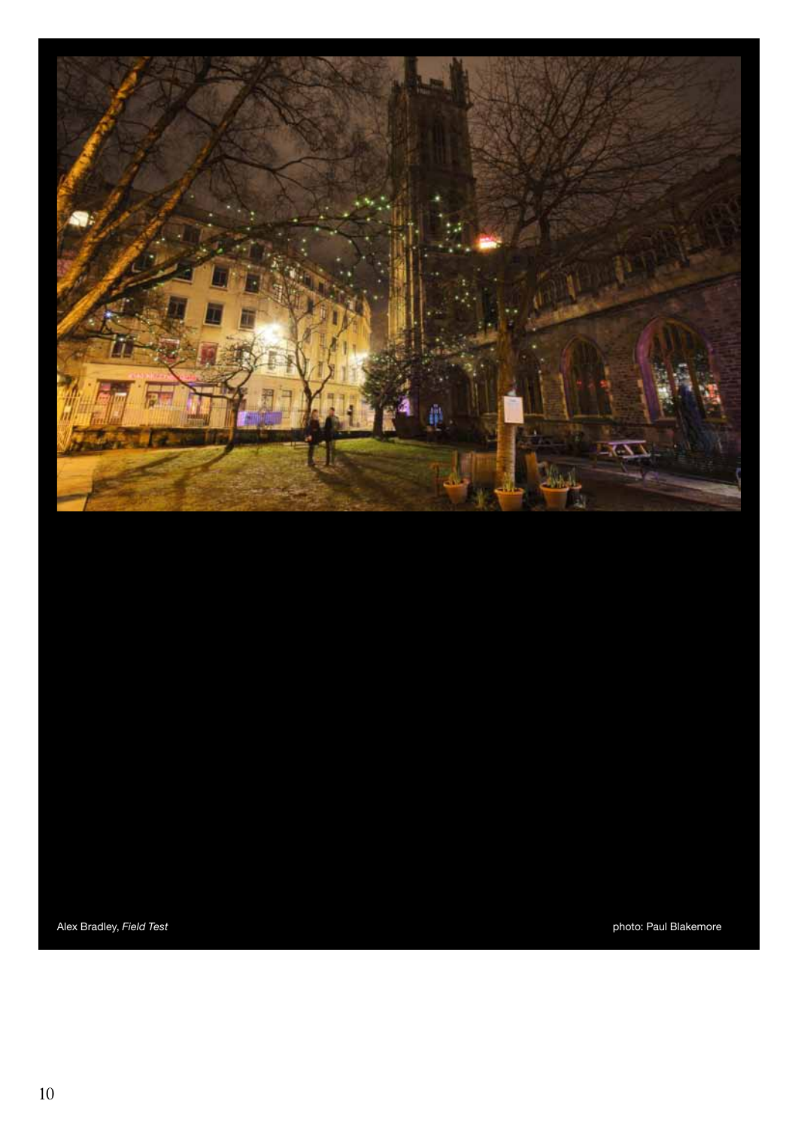

Alex Bradley, Field Test **photo: Paul Blakemore** photo: Paul Blakemore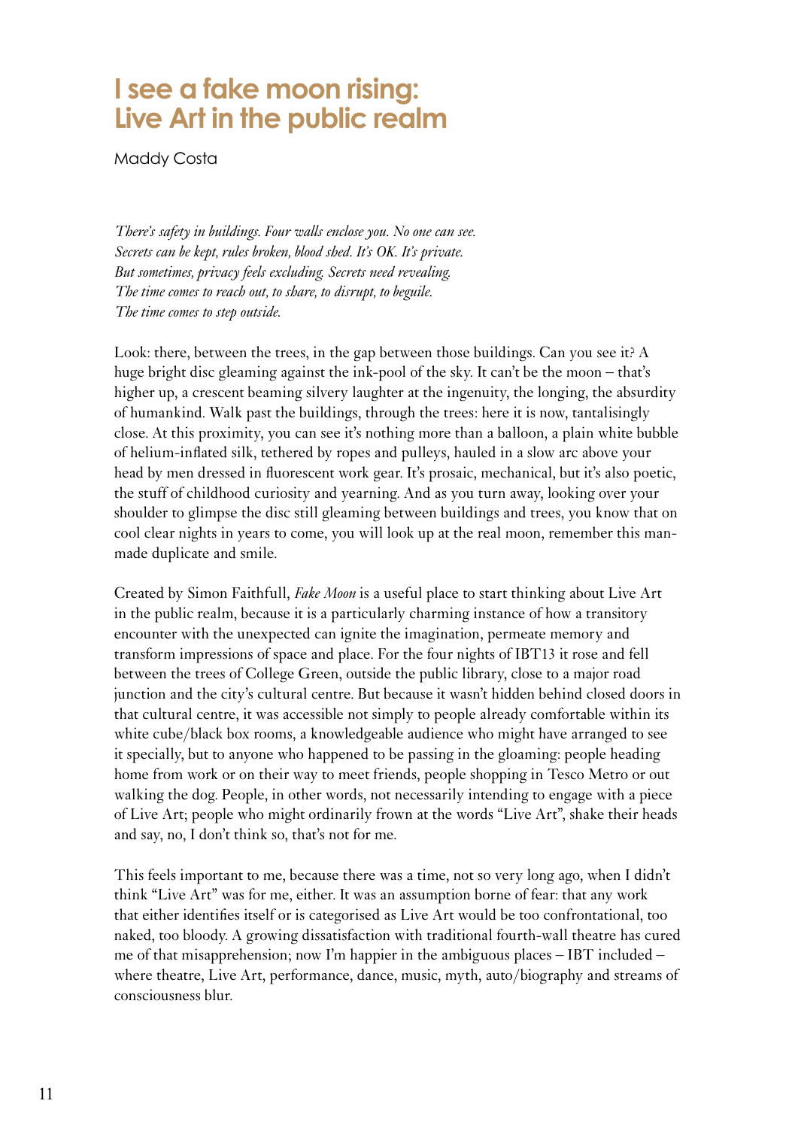#### **I see a fake moon rising: Live Art in the public realm**

Maddy Costa

*There's safety in buildings. Four walls enclose you. No one can see. Secrets can be kept, rules broken, blood shed. It's OK. It's private. But sometimes, privacy feels excluding. Secrets need revealing. The time comes to reach out, to share, to disrupt, to beguile. The time comes to step outside.*

Look: there, between the trees, in the gap between those buildings. Can you see it? A huge bright disc gleaming against the ink-pool of the sky. It can't be the moon – that's higher up, a crescent beaming silvery laughter at the ingenuity, the longing, the absurdity of humankind. Walk past the buildings, through the trees: here it is now, tantalisingly close. At this proximity, you can see it's nothing more than a balloon, a plain white bubble of helium-inflated silk, tethered by ropes and pulleys, hauled in a slow arc above your head by men dressed in fluorescent work gear. It's prosaic, mechanical, but it's also poetic, the stuff of childhood curiosity and yearning. And as you turn away, looking over your shoulder to glimpse the disc still gleaming between buildings and trees, you know that on cool clear nights in years to come, you will look up at the real moon, remember this manmade duplicate and smile.

Created by Simon Faithfull, *Fake Moon* is a useful place to start thinking about Live Art in the public realm, because it is a particularly charming instance of how a transitory encounter with the unexpected can ignite the imagination, permeate memory and transform impressions of space and place. For the four nights of IBT13 it rose and fell between the trees of College Green, outside the public library, close to a major road junction and the city's cultural centre. But because it wasn't hidden behind closed doors in that cultural centre, it was accessible not simply to people already comfortable within its white cube/black box rooms, a knowledgeable audience who might have arranged to see it specially, but to anyone who happened to be passing in the gloaming: people heading home from work or on their way to meet friends, people shopping in Tesco Metro or out walking the dog. People, in other words, not necessarily intending to engage with a piece of Live Art; people who might ordinarily frown at the words "Live Art", shake their heads and say, no, I don't think so, that's not for me.

<span id="page-10-0"></span>This feels important to me, because there was a time, not so very long ago, when I didn't think "Live Art" was for me, either. It was an assumption borne of fear: that any work that either identifies itself or is categorised as Live Art would be too confrontational, too naked, too bloody. A growing dissatisfaction with traditional fourth-wall theatre has cured me of that misapprehension; now I'm happier in the ambiguous places – IBT included – where theatre, Live Art, performance, dance, music, myth, auto/biography and streams of consciousness blur.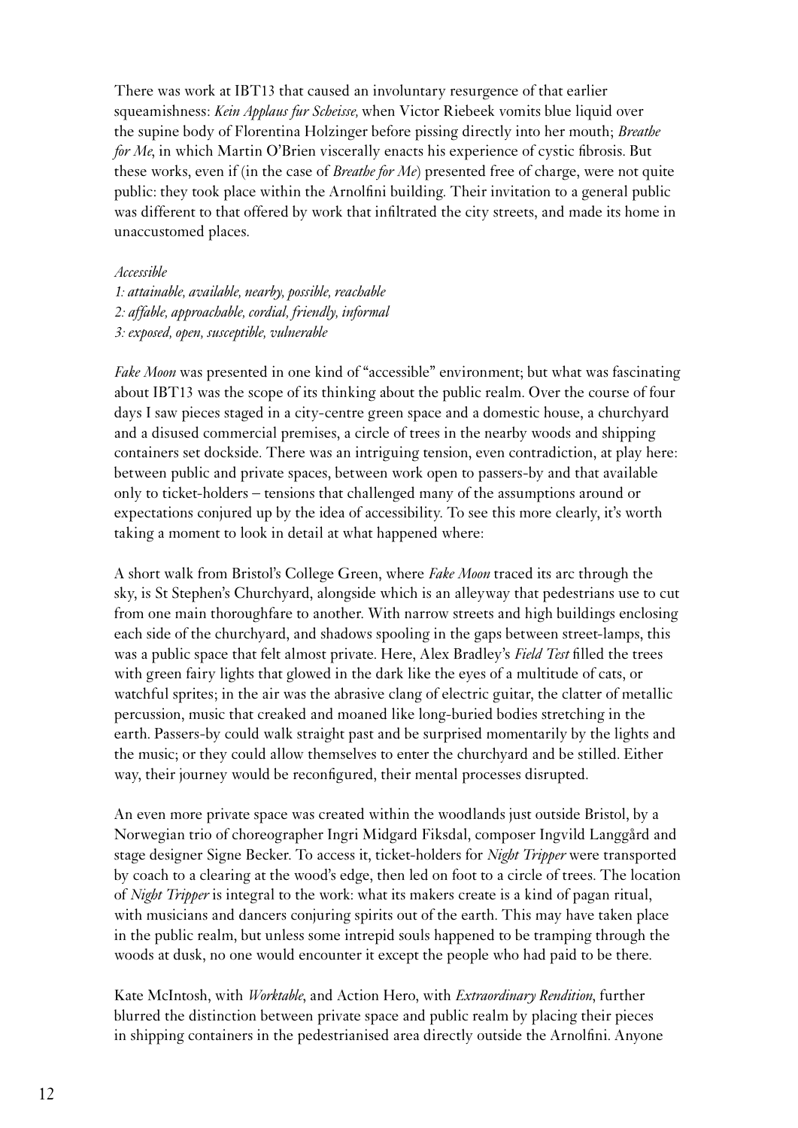There was work at IBT13 that caused an involuntary resurgence of that earlier squeamishness: *Kein Applaus fur Scheisse,* when Victor Riebeek vomits blue liquid over the supine body of Florentina Holzinger before pissing directly into her mouth; *Breathe for Me*, in which Martin O'Brien viscerally enacts his experience of cystic fibrosis. But these works, even if (in the case of *Breathe for Me*) presented free of charge, were not quite public: they took place within the Arnolfini building. Their invitation to a general public was different to that offered by work that infiltrated the city streets, and made its home in unaccustomed places.

#### *Accessible*

*1: attainable, available, nearby, possible, reachable 2: affable, approachable, cordial, friendly, informal 3: exposed, open, susceptible, vulnerable*

*Fake Moon* was presented in one kind of "accessible" environment; but what was fascinating about IBT13 was the scope of its thinking about the public realm. Over the course of four days I saw pieces staged in a city-centre green space and a domestic house, a churchyard and a disused commercial premises, a circle of trees in the nearby woods and shipping containers set dockside. There was an intriguing tension, even contradiction, at play here: between public and private spaces, between work open to passers-by and that available only to ticket-holders – tensions that challenged many of the assumptions around or expectations conjured up by the idea of accessibility. To see this more clearly, it's worth taking a moment to look in detail at what happened where:

A short walk from Bristol's College Green, where *Fake Moon* traced its arc through the sky, is St Stephen's Churchyard, alongside which is an alleyway that pedestrians use to cut from one main thoroughfare to another. With narrow streets and high buildings enclosing each side of the churchyard, and shadows spooling in the gaps between street-lamps, this was a public space that felt almost private. Here, Alex Bradley's *Field Test* filled the trees with green fairy lights that glowed in the dark like the eyes of a multitude of cats, or watchful sprites; in the air was the abrasive clang of electric guitar, the clatter of metallic percussion, music that creaked and moaned like long-buried bodies stretching in the earth. Passers-by could walk straight past and be surprised momentarily by the lights and the music; or they could allow themselves to enter the churchyard and be stilled. Either way, their journey would be reconfigured, their mental processes disrupted.

An even more private space was created within the woodlands just outside Bristol, by a Norwegian trio of choreographer Ingri Midgard Fiksdal, composer Ingvild Langgård and stage designer Signe Becker. To access it, ticket-holders for *Night Tripper* were transported by coach to a clearing at the wood's edge, then led on foot to a circle of trees. The location of *Night Tripper* is integral to the work: what its makers create is a kind of pagan ritual, with musicians and dancers conjuring spirits out of the earth. This may have taken place in the public realm, but unless some intrepid souls happened to be tramping through the woods at dusk, no one would encounter it except the people who had paid to be there.

Kate McIntosh, with *Worktable*, and Action Hero, with *Extraordinary Rendition*, further blurred the distinction between private space and public realm by placing their pieces in shipping containers in the pedestrianised area directly outside the Arnolfini. Anyone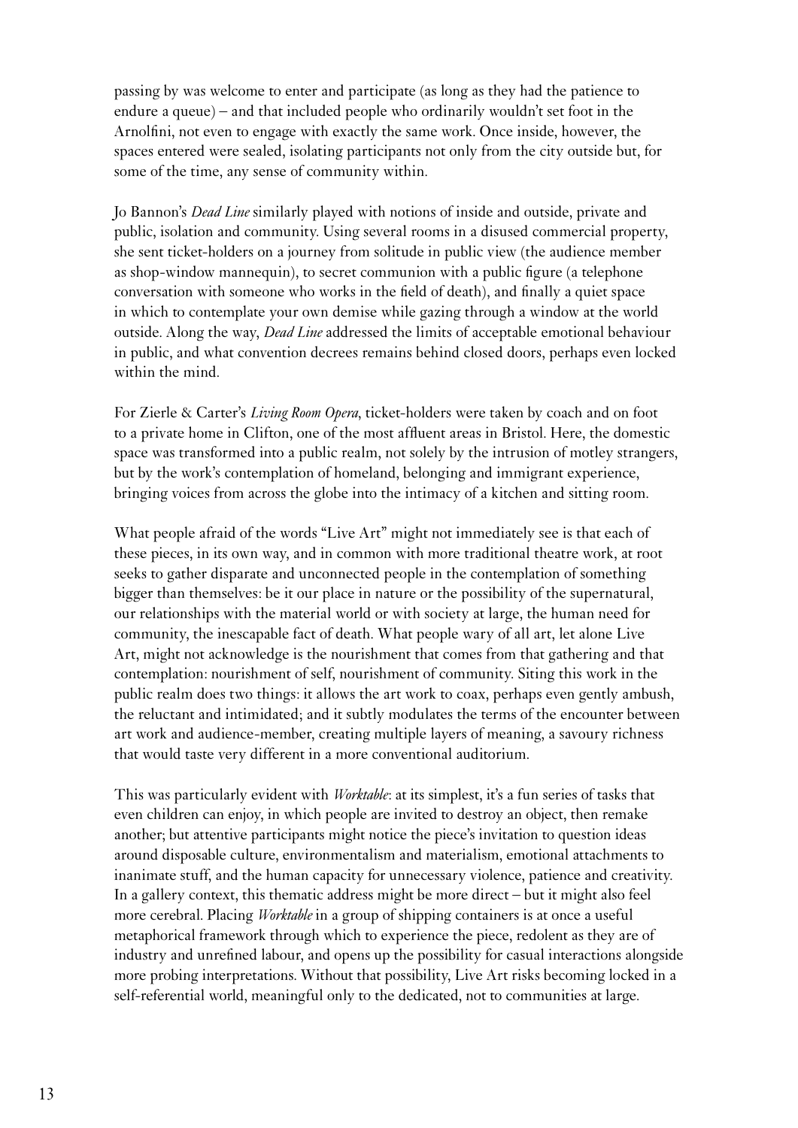passing by was welcome to enter and participate (as long as they had the patience to endure a queue) – and that included people who ordinarily wouldn't set foot in the Arnolfini, not even to engage with exactly the same work. Once inside, however, the spaces entered were sealed, isolating participants not only from the city outside but, for some of the time, any sense of community within.

Jo Bannon's *Dead Line* similarly played with notions of inside and outside, private and public, isolation and community. Using several rooms in a disused commercial property, she sent ticket-holders on a journey from solitude in public view (the audience member as shop-window mannequin), to secret communion with a public figure (a telephone conversation with someone who works in the field of death), and finally a quiet space in which to contemplate your own demise while gazing through a window at the world outside. Along the way, *Dead Line* addressed the limits of acceptable emotional behaviour in public, and what convention decrees remains behind closed doors, perhaps even locked within the mind.

For Zierle & Carter's *Living Room Opera*, ticket-holders were taken by coach and on foot to a private home in Clifton, one of the most affluent areas in Bristol. Here, the domestic space was transformed into a public realm, not solely by the intrusion of motley strangers, but by the work's contemplation of homeland, belonging and immigrant experience, bringing voices from across the globe into the intimacy of a kitchen and sitting room.

What people afraid of the words "Live Art" might not immediately see is that each of these pieces, in its own way, and in common with more traditional theatre work, at root seeks to gather disparate and unconnected people in the contemplation of something bigger than themselves: be it our place in nature or the possibility of the supernatural, our relationships with the material world or with society at large, the human need for community, the inescapable fact of death. What people wary of all art, let alone Live Art, might not acknowledge is the nourishment that comes from that gathering and that contemplation: nourishment of self, nourishment of community. Siting this work in the public realm does two things: it allows the art work to coax, perhaps even gently ambush, the reluctant and intimidated; and it subtly modulates the terms of the encounter between art work and audience-member, creating multiple layers of meaning, a savoury richness that would taste very different in a more conventional auditorium.

This was particularly evident with *Worktable*: at its simplest, it's a fun series of tasks that even children can enjoy, in which people are invited to destroy an object, then remake another; but attentive participants might notice the piece's invitation to question ideas around disposable culture, environmentalism and materialism, emotional attachments to inanimate stuff, and the human capacity for unnecessary violence, patience and creativity. In a gallery context, this thematic address might be more direct – but it might also feel more cerebral. Placing *Worktable* in a group of shipping containers is at once a useful metaphorical framework through which to experience the piece, redolent as they are of industry and unrefined labour, and opens up the possibility for casual interactions alongside more probing interpretations. Without that possibility, Live Art risks becoming locked in a self-referential world, meaningful only to the dedicated, not to communities at large.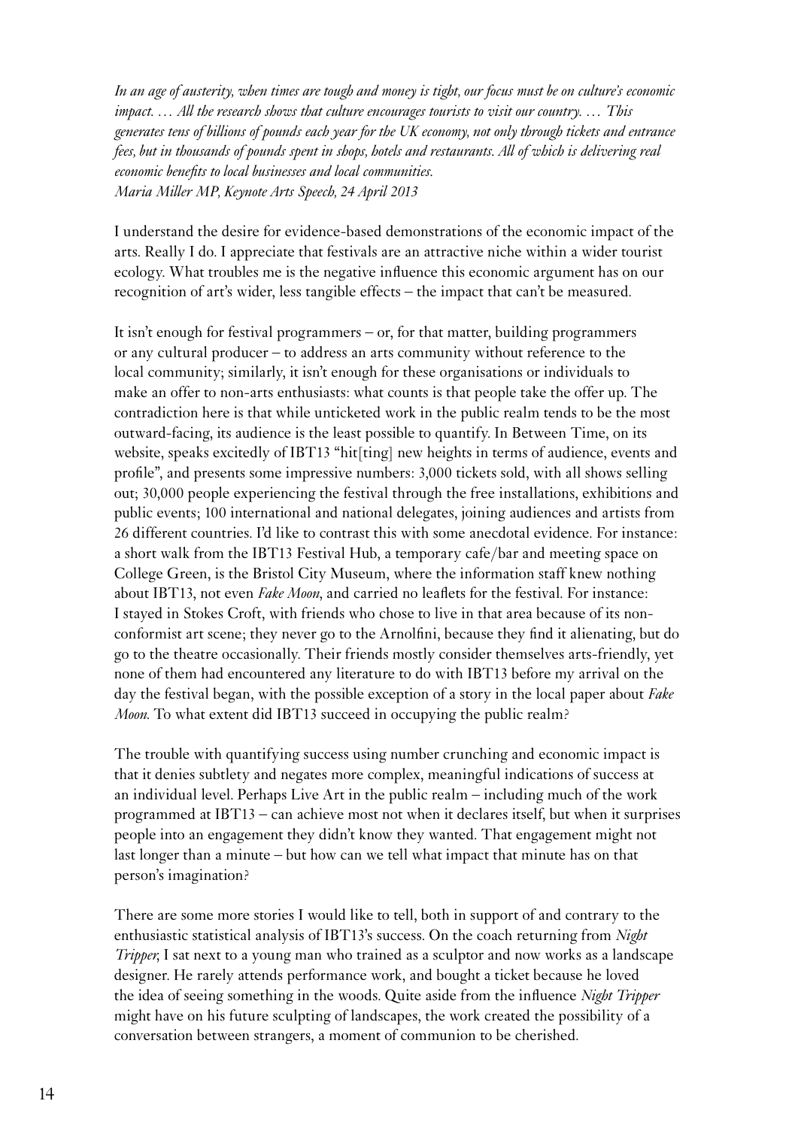*In an age of austerity, when times are tough and money is tight, our focus must be on culture's economic impact. … All the research shows that culture encourages tourists to visit our country. … This generates tens of billions of pounds each year for the UK economy, not only through tickets and entrance fees, but in thousands of pounds spent in shops, hotels and restaurants. All of which is delivering real economic benefits to local businesses and local communities. Maria Miller MP, Keynote Arts Speech, 24 April 2013*

I understand the desire for evidence-based demonstrations of the economic impact of the arts. Really I do. I appreciate that festivals are an attractive niche within a wider tourist ecology. What troubles me is the negative influence this economic argument has on our recognition of art's wider, less tangible effects – the impact that can't be measured.

It isn't enough for festival programmers – or, for that matter, building programmers or any cultural producer – to address an arts community without reference to the local community; similarly, it isn't enough for these organisations or individuals to make an offer to non-arts enthusiasts: what counts is that people take the offer up. The contradiction here is that while unticketed work in the public realm tends to be the most outward-facing, its audience is the least possible to quantify. In Between Time, on its website, speaks excitedly of IBT13 "hit[ting] new heights in terms of audience, events and profile", and presents some impressive numbers: 3,000 tickets sold, with all shows selling out; 30,000 people experiencing the festival through the free installations, exhibitions and public events; 100 international and national delegates, joining audiences and artists from 26 different countries. I'd like to contrast this with some anecdotal evidence. For instance: a short walk from the IBT13 Festival Hub, a temporary cafe/bar and meeting space on College Green, is the Bristol City Museum, where the information staff knew nothing about IBT13, not even *Fake Moon*, and carried no leaflets for the festival. For instance: I stayed in Stokes Croft, with friends who chose to live in that area because of its nonconformist art scene; they never go to the Arnolfini, because they find it alienating, but do go to the theatre occasionally. Their friends mostly consider themselves arts-friendly, yet none of them had encountered any literature to do with IBT13 before my arrival on the day the festival began, with the possible exception of a story in the local paper about *Fake Moon*. To what extent did IBT13 succeed in occupying the public realm?

The trouble with quantifying success using number crunching and economic impact is that it denies subtlety and negates more complex, meaningful indications of success at an individual level. Perhaps Live Art in the public realm – including much of the work programmed at IBT13 – can achieve most not when it declares itself, but when it surprises people into an engagement they didn't know they wanted. That engagement might not last longer than a minute – but how can we tell what impact that minute has on that person's imagination?

There are some more stories I would like to tell, both in support of and contrary to the enthusiastic statistical analysis of IBT13's success. On the coach returning from *Night Tripper*, I sat next to a young man who trained as a sculptor and now works as a landscape designer. He rarely attends performance work, and bought a ticket because he loved the idea of seeing something in the woods. Quite aside from the influence *Night Tripper* might have on his future sculpting of landscapes, the work created the possibility of a conversation between strangers, a moment of communion to be cherished.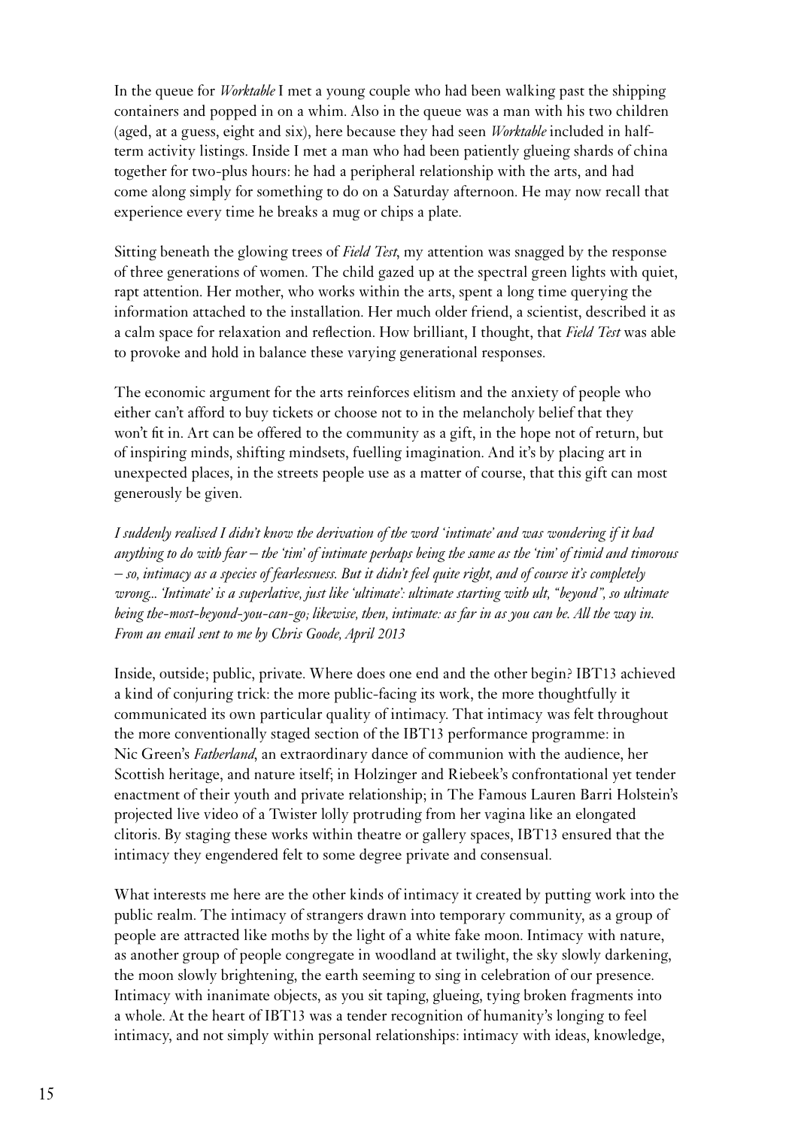In the queue for *Worktable* I met a young couple who had been walking past the shipping containers and popped in on a whim. Also in the queue was a man with his two children (aged, at a guess, eight and six), here because they had seen *Worktable* included in halfterm activity listings. Inside I met a man who had been patiently glueing shards of china together for two-plus hours: he had a peripheral relationship with the arts, and had come along simply for something to do on a Saturday afternoon. He may now recall that experience every time he breaks a mug or chips a plate.

Sitting beneath the glowing trees of *Field Test*, my attention was snagged by the response of three generations of women. The child gazed up at the spectral green lights with quiet, rapt attention. Her mother, who works within the arts, spent a long time querying the information attached to the installation. Her much older friend, a scientist, described it as a calm space for relaxation and reflection. How brilliant, I thought, that *Field Test* was able to provoke and hold in balance these varying generational responses.

The economic argument for the arts reinforces elitism and the anxiety of people who either can't afford to buy tickets or choose not to in the melancholy belief that they won't fit in. Art can be offered to the community as a gift, in the hope not of return, but of inspiring minds, shifting mindsets, fuelling imagination. And it's by placing art in unexpected places, in the streets people use as a matter of course, that this gift can most generously be given.

*I suddenly realised I didn't know the derivation of the word 'intimate' and was wondering if it had anything to do with fear – the 'tim' of intimate perhaps being the same as the 'tim' of timid and timorous – so, intimacy as a species of fearlessness. But it didn't feel quite right, and of course it's completely wrong... 'Intimate' is a superlative, just like 'ultimate': ultimate starting with ult, "beyond", so ultimate being the-most-beyond-you-can-go; likewise, then, intimate: as far in as you can be. All the way in. From an email sent to me by Chris Goode, April 2013*

Inside, outside; public, private. Where does one end and the other begin? IBT13 achieved a kind of conjuring trick: the more public-facing its work, the more thoughtfully it communicated its own particular quality of intimacy. That intimacy was felt throughout the more conventionally staged section of the IBT13 performance programme: in Nic Green's *Fatherland*, an extraordinary dance of communion with the audience, her Scottish heritage, and nature itself; in Holzinger and Riebeek's confrontational yet tender enactment of their youth and private relationship; in The Famous Lauren Barri Holstein's projected live video of a Twister lolly protruding from her vagina like an elongated clitoris. By staging these works within theatre or gallery spaces, IBT13 ensured that the intimacy they engendered felt to some degree private and consensual.

What interests me here are the other kinds of intimacy it created by putting work into the public realm. The intimacy of strangers drawn into temporary community, as a group of people are attracted like moths by the light of a white fake moon. Intimacy with nature, as another group of people congregate in woodland at twilight, the sky slowly darkening, the moon slowly brightening, the earth seeming to sing in celebration of our presence. Intimacy with inanimate objects, as you sit taping, glueing, tying broken fragments into a whole. At the heart of IBT13 was a tender recognition of humanity's longing to feel intimacy, and not simply within personal relationships: intimacy with ideas, knowledge,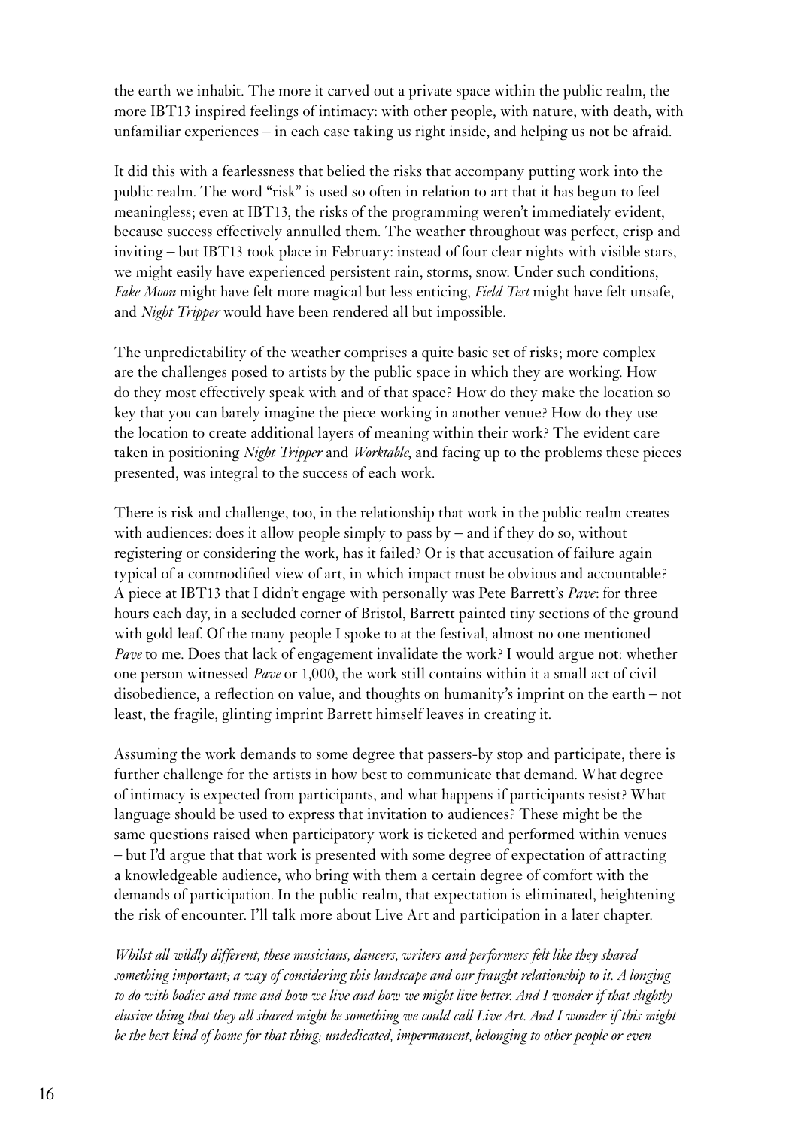the earth we inhabit. The more it carved out a private space within the public realm, the more IBT13 inspired feelings of intimacy: with other people, with nature, with death, with unfamiliar experiences – in each case taking us right inside, and helping us not be afraid.

It did this with a fearlessness that belied the risks that accompany putting work into the public realm. The word "risk" is used so often in relation to art that it has begun to feel meaningless; even at IBT13, the risks of the programming weren't immediately evident, because success effectively annulled them. The weather throughout was perfect, crisp and inviting – but IBT13 took place in February: instead of four clear nights with visible stars, we might easily have experienced persistent rain, storms, snow. Under such conditions, *Fake Moon* might have felt more magical but less enticing, *Field Test* might have felt unsafe, and *Night Tripper* would have been rendered all but impossible.

The unpredictability of the weather comprises a quite basic set of risks; more complex are the challenges posed to artists by the public space in which they are working. How do they most effectively speak with and of that space? How do they make the location so key that you can barely imagine the piece working in another venue? How do they use the location to create additional layers of meaning within their work? The evident care taken in positioning *Night Tripper* and *Worktable*, and facing up to the problems these pieces presented, was integral to the success of each work.

There is risk and challenge, too, in the relationship that work in the public realm creates with audiences: does it allow people simply to pass by – and if they do so, without registering or considering the work, has it failed? Or is that accusation of failure again typical of a commodified view of art, in which impact must be obvious and accountable? A piece at IBT13 that I didn't engage with personally was Pete Barrett's *Pave*: for three hours each day, in a secluded corner of Bristol, Barrett painted tiny sections of the ground with gold leaf. Of the many people I spoke to at the festival, almost no one mentioned *Pave* to me. Does that lack of engagement invalidate the work? I would argue not: whether one person witnessed *Pave* or 1,000, the work still contains within it a small act of civil disobedience, a reflection on value, and thoughts on humanity's imprint on the earth – not least, the fragile, glinting imprint Barrett himself leaves in creating it.

Assuming the work demands to some degree that passers-by stop and participate, there is further challenge for the artists in how best to communicate that demand. What degree of intimacy is expected from participants, and what happens if participants resist? What language should be used to express that invitation to audiences? These might be the same questions raised when participatory work is ticketed and performed within venues – but I'd argue that that work is presented with some degree of expectation of attracting a knowledgeable audience, who bring with them a certain degree of comfort with the demands of participation. In the public realm, that expectation is eliminated, heightening the risk of encounter. I'll talk more about Live Art and participation in a later chapter.

*Whilst all wildly different, these musicians, dancers, writers and performers felt like they shared something important; a way of considering this landscape and our fraught relationship to it. A longing to do with bodies and time and how we live and how we might live better. And I wonder if that slightly elusive thing that they all shared might be something we could call Live Art. And I wonder if this might be the best kind of home for that thing; undedicated, impermanent, belonging to other people or even*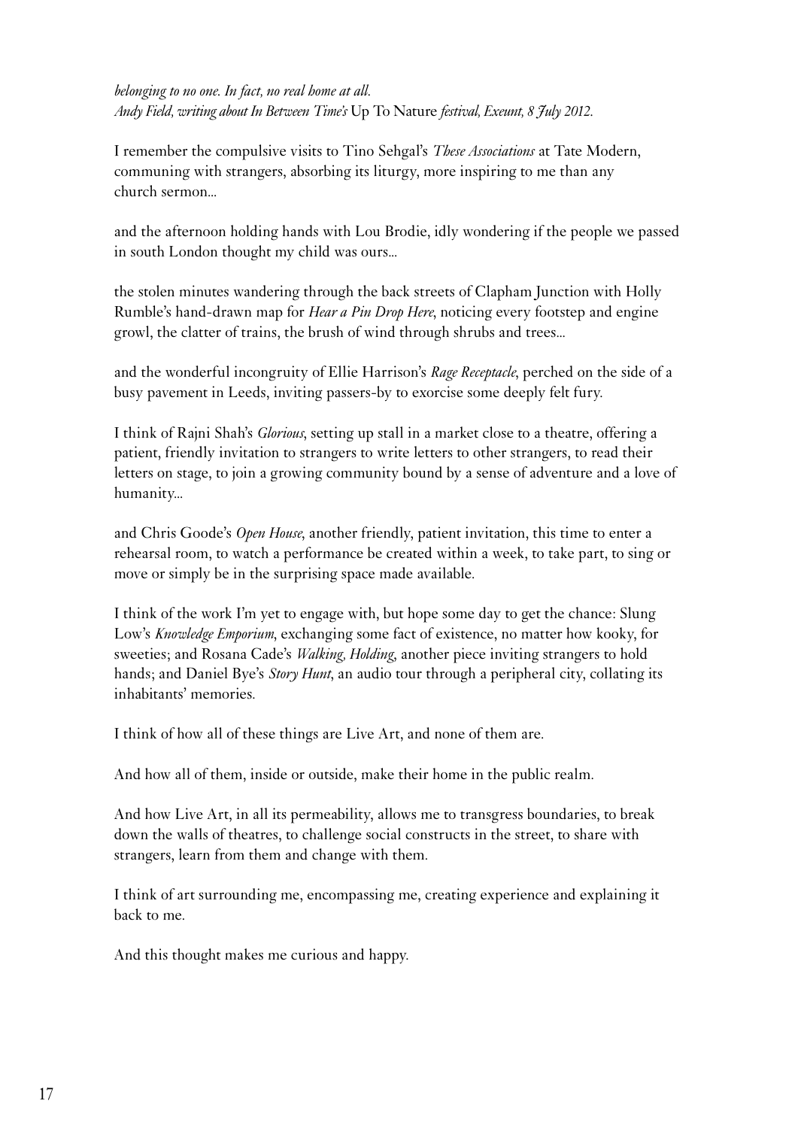*belonging to no one. In fact, no real home at all. Andy Field, writing about In Between Time's* Up To Nature *festival, Exeunt, 8 July 2012.*

I remember the compulsive visits to Tino Sehgal's *These Associations* at Tate Modern, communing with strangers, absorbing its liturgy, more inspiring to me than any church sermon...

and the afternoon holding hands with Lou Brodie, idly wondering if the people we passed in south London thought my child was ours...

the stolen minutes wandering through the back streets of Clapham Junction with Holly Rumble's hand-drawn map for *Hear a Pin Drop Here*, noticing every footstep and engine growl, the clatter of trains, the brush of wind through shrubs and trees...

and the wonderful incongruity of Ellie Harrison's *Rage Receptacle*, perched on the side of a busy pavement in Leeds, inviting passers-by to exorcise some deeply felt fury.

I think of Rajni Shah's *Glorious*, setting up stall in a market close to a theatre, offering a patient, friendly invitation to strangers to write letters to other strangers, to read their letters on stage, to join a growing community bound by a sense of adventure and a love of humanity...

and Chris Goode's *Open House*, another friendly, patient invitation, this time to enter a rehearsal room, to watch a performance be created within a week, to take part, to sing or move or simply be in the surprising space made available.

I think of the work I'm yet to engage with, but hope some day to get the chance: Slung Low's *Knowledge Emporium*, exchanging some fact of existence, no matter how kooky, for sweeties; and Rosana Cade's *Walking, Holding*, another piece inviting strangers to hold hands; and Daniel Bye's *Story Hunt*, an audio tour through a peripheral city, collating its inhabitants' memories.

I think of how all of these things are Live Art, and none of them are.

And how all of them, inside or outside, make their home in the public realm.

And how Live Art, in all its permeability, allows me to transgress boundaries, to break down the walls of theatres, to challenge social constructs in the street, to share with strangers, learn from them and change with them.

I think of art surrounding me, encompassing me, creating experience and explaining it back to me.

And this thought makes me curious and happy.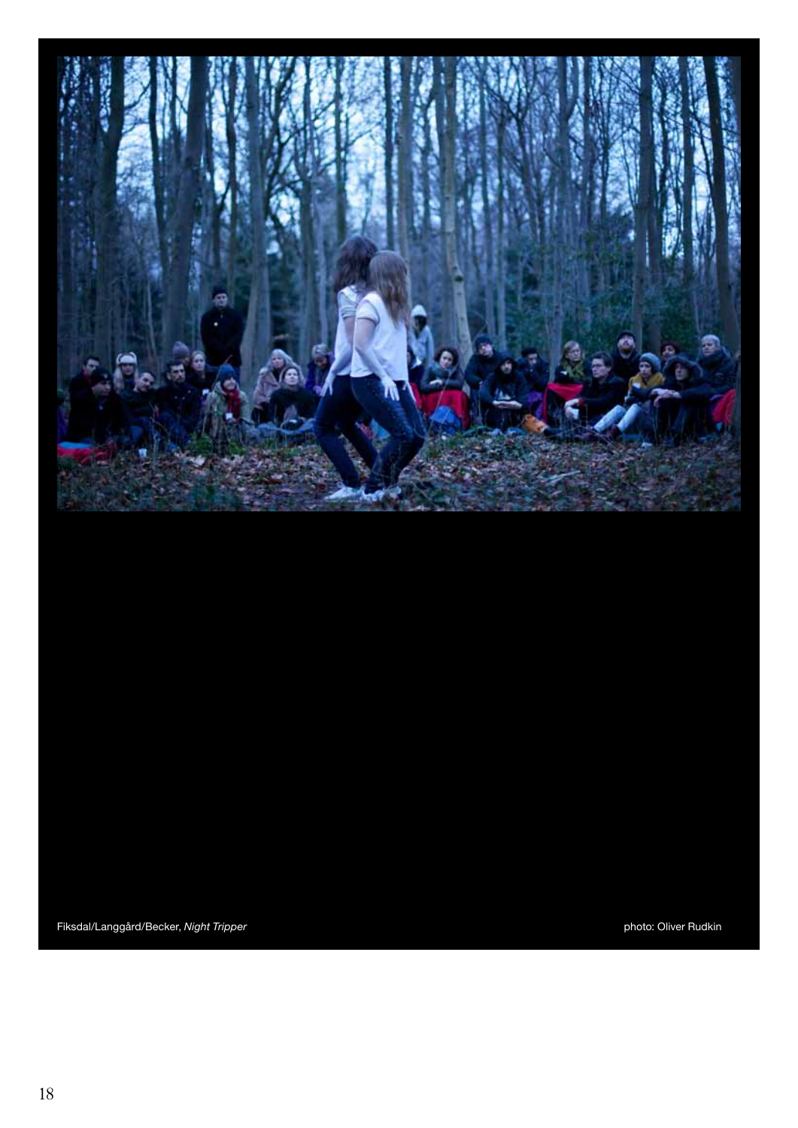

Fiksdal/Langgård/Becker, Night Tripper **photo:** Oliver Rudkin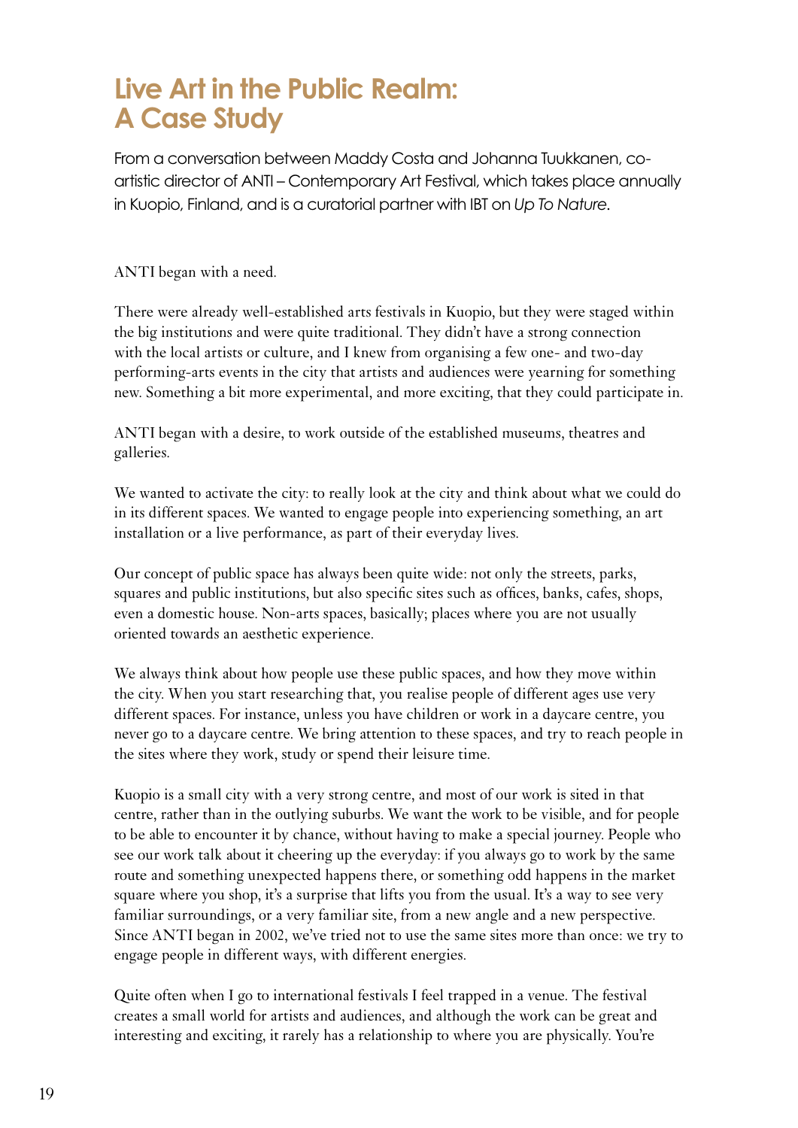## **Live Art in the Public Realm: A Case Study**

From a conversation between Maddy Costa and Johanna Tuukkanen, coartistic director of ANTI – Contemporary Art Festival, which takes place annually in Kuopio, Finland, and is a curatorial partner with IBT on *Up To Nature*.

ANTI began with a need.

There were already well-established arts festivals in Kuopio, but they were staged within the big institutions and were quite traditional. They didn't have a strong connection with the local artists or culture, and I knew from organising a few one- and two-day performing-arts events in the city that artists and audiences were yearning for something new. Something a bit more experimental, and more exciting, that they could participate in.

ANTI began with a desire, to work outside of the established museums, theatres and galleries.

We wanted to activate the city: to really look at the city and think about what we could do in its different spaces. We wanted to engage people into experiencing something, an art installation or a live performance, as part of their everyday lives.

Our concept of public space has always been quite wide: not only the streets, parks, squares and public institutions, but also specific sites such as offices, banks, cafes, shops, even a domestic house. Non-arts spaces, basically; places where you are not usually oriented towards an aesthetic experience.

We always think about how people use these public spaces, and how they move within the city. When you start researching that, you realise people of different ages use very different spaces. For instance, unless you have children or work in a daycare centre, you never go to a daycare centre. We bring attention to these spaces, and try to reach people in the sites where they work, study or spend their leisure time.

Kuopio is a small city with a very strong centre, and most of our work is sited in that centre, rather than in the outlying suburbs. We want the work to be visible, and for people to be able to encounter it by chance, without having to make a special journey. People who see our work talk about it cheering up the everyday: if you always go to work by the same route and something unexpected happens there, or something odd happens in the market square where you shop, it's a surprise that lifts you from the usual. It's a way to see very familiar surroundings, or a very familiar site, from a new angle and a new perspective. Since ANTI began in 2002, we've tried not to use the same sites more than once: we try to engage people in different ways, with different energies.

<span id="page-18-0"></span>Quite often when I go to international festivals I feel trapped in a venue. The festival creates a small world for artists and audiences, and although the work can be great and interesting and exciting, it rarely has a relationship to where you are physically. You're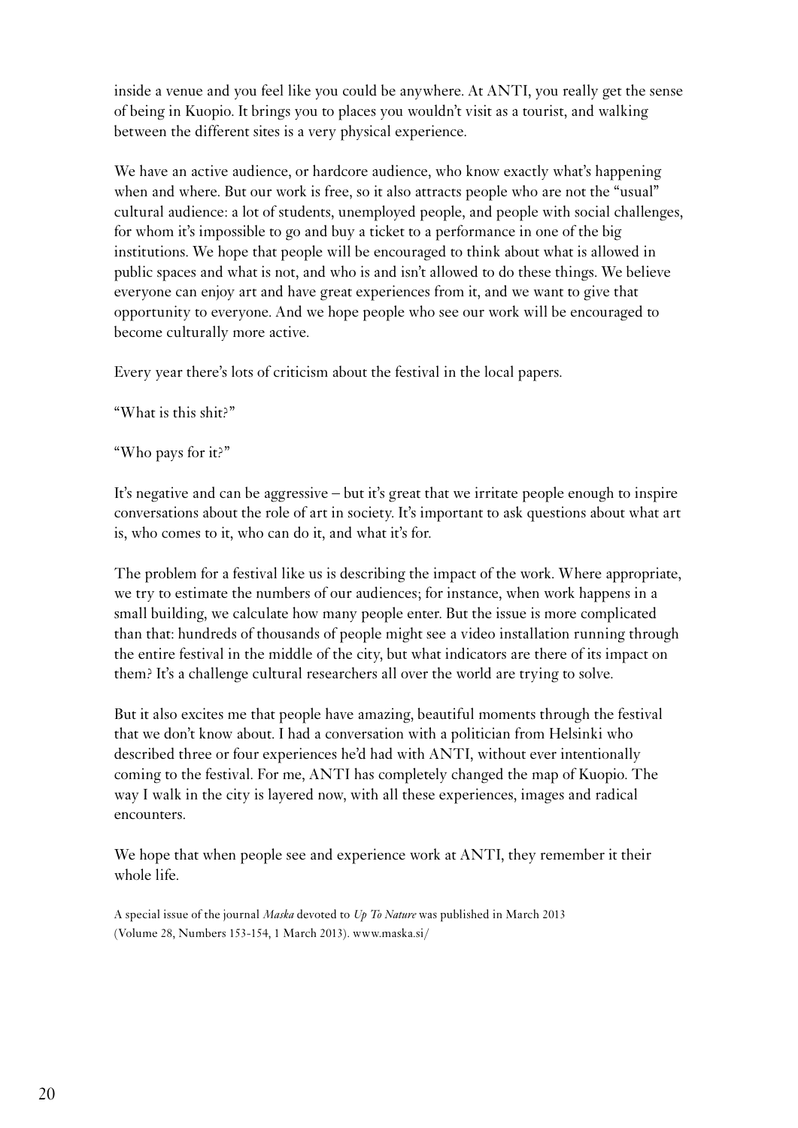inside a venue and you feel like you could be anywhere. At ANTI, you really get the sense of being in Kuopio. It brings you to places you wouldn't visit as a tourist, and walking between the different sites is a very physical experience.

We have an active audience, or hardcore audience, who know exactly what's happening when and where. But our work is free, so it also attracts people who are not the "usual" cultural audience: a lot of students, unemployed people, and people with social challenges, for whom it's impossible to go and buy a ticket to a performance in one of the big institutions. We hope that people will be encouraged to think about what is allowed in public spaces and what is not, and who is and isn't allowed to do these things. We believe everyone can enjoy art and have great experiences from it, and we want to give that opportunity to everyone. And we hope people who see our work will be encouraged to become culturally more active.

Every year there's lots of criticism about the festival in the local papers.

"What is this shit?"

"Who pays for it?"

It's negative and can be aggressive – but it's great that we irritate people enough to inspire conversations about the role of art in society. It's important to ask questions about what art is, who comes to it, who can do it, and what it's for.

The problem for a festival like us is describing the impact of the work. Where appropriate, we try to estimate the numbers of our audiences; for instance, when work happens in a small building, we calculate how many people enter. But the issue is more complicated than that: hundreds of thousands of people might see a video installation running through the entire festival in the middle of the city, but what indicators are there of its impact on them? It's a challenge cultural researchers all over the world are trying to solve.

But it also excites me that people have amazing, beautiful moments through the festival that we don't know about. I had a conversation with a politician from Helsinki who described three or four experiences he'd had with ANTI, without ever intentionally coming to the festival. For me, ANTI has completely changed the map of Kuopio. The way I walk in the city is layered now, with all these experiences, images and radical encounters.

We hope that when people see and experience work at ANTI, they remember it their whole life.

A special issue of the journal *Maska* devoted to *Up To Nature* was published in March 2013 (Volume 28, Numbers 153-154, 1 March 2013). www.maska.si/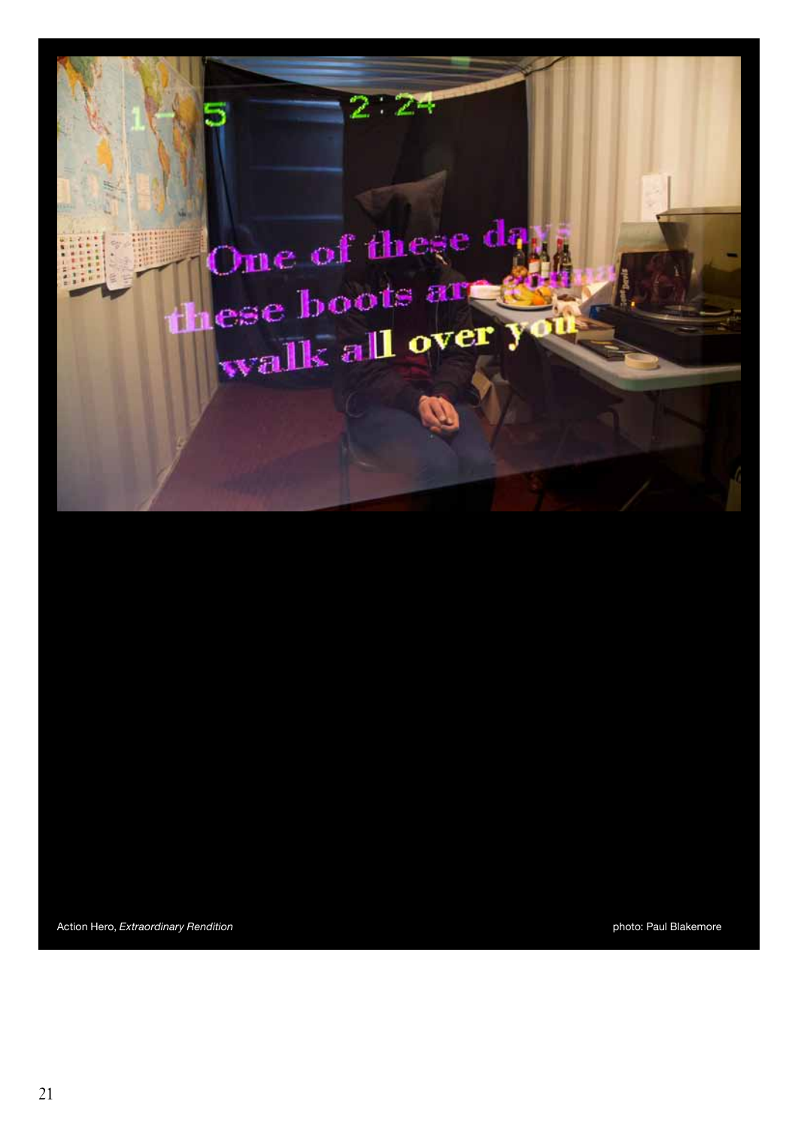

Action Hero, *Extraordinary Rendition* extension photo: Paul Blakemore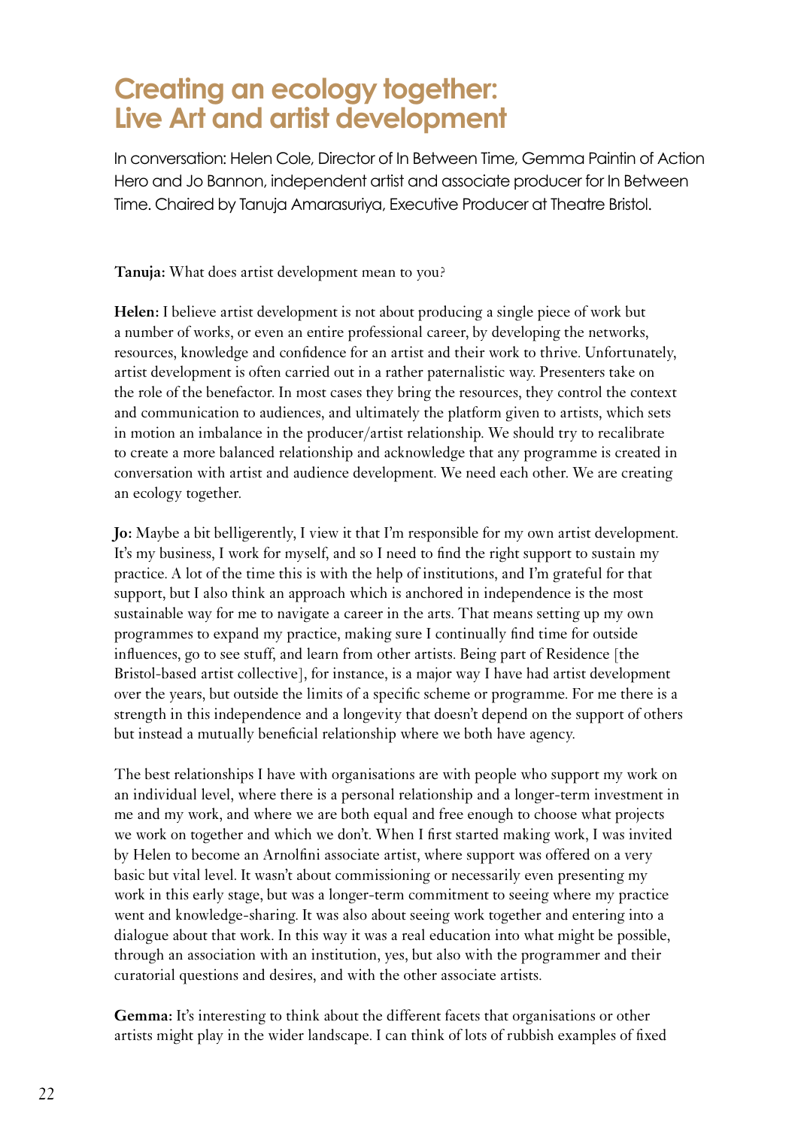### **Creating an ecology together: Live Art and artist development**

In conversation: Helen Cole, Director of In Between Time, Gemma Paintin of Action Hero and Jo Bannon, independent artist and associate producer for In Between Time. Chaired by Tanuja Amarasuriya, Executive Producer at Theatre Bristol.

**Tanuja:** What does artist development mean to you?

**Helen:** I believe artist development is not about producing a single piece of work but a number of works, or even an entire professional career, by developing the networks, resources, knowledge and confidence for an artist and their work to thrive. Unfortunately, artist development is often carried out in a rather paternalistic way. Presenters take on the role of the benefactor. In most cases they bring the resources, they control the context and communication to audiences, and ultimately the platform given to artists, which sets in motion an imbalance in the producer/artist relationship. We should try to recalibrate to create a more balanced relationship and acknowledge that any programme is created in conversation with artist and audience development. We need each other. We are creating an ecology together.

**Jo:** Maybe a bit belligerently, I view it that I'm responsible for my own artist development. It's my business, I work for myself, and so I need to find the right support to sustain my practice. A lot of the time this is with the help of institutions, and I'm grateful for that support, but I also think an approach which is anchored in independence is the most sustainable way for me to navigate a career in the arts. That means setting up my own programmes to expand my practice, making sure I continually find time for outside influences, go to see stuff, and learn from other artists. Being part of Residence [the Bristol-based artist collective], for instance, is a major way I have had artist development over the years, but outside the limits of a specific scheme or programme. For me there is a strength in this independence and a longevity that doesn't depend on the support of others but instead a mutually beneficial relationship where we both have agency.

The best relationships I have with organisations are with people who support my work on an individual level, where there is a personal relationship and a longer-term investment in me and my work, and where we are both equal and free enough to choose what projects we work on together and which we don't. When I first started making work, I was invited by Helen to become an Arnolfini associate artist, where support was offered on a very basic but vital level. It wasn't about commissioning or necessarily even presenting my work in this early stage, but was a longer-term commitment to seeing where my practice went and knowledge-sharing. It was also about seeing work together and entering into a dialogue about that work. In this way it was a real education into what might be possible, through an association with an institution, yes, but also with the programmer and their curatorial questions and desires, and with the other associate artists.

<span id="page-21-0"></span>**Gemma:** It's interesting to think about the different facets that organisations or other artists might play in the wider landscape. I can think of lots of rubbish examples of fixed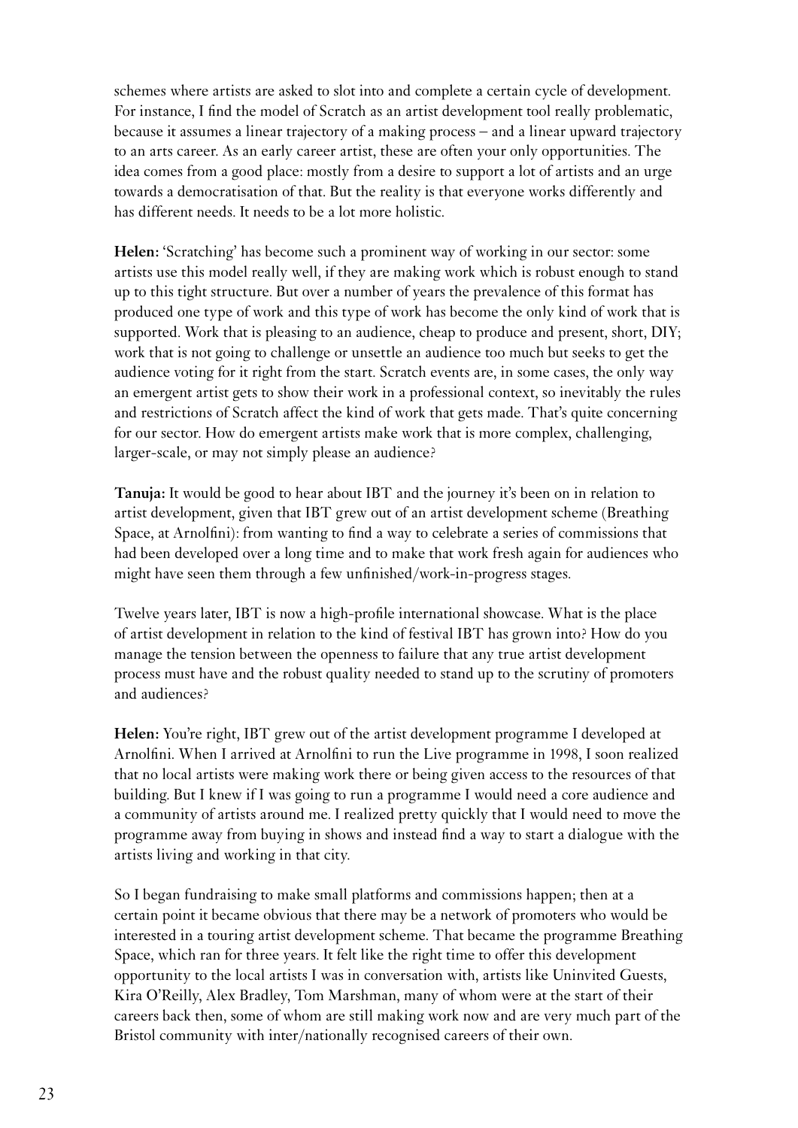schemes where artists are asked to slot into and complete a certain cycle of development. For instance, I find the model of Scratch as an artist development tool really problematic, because it assumes a linear trajectory of a making process – and a linear upward trajectory to an arts career. As an early career artist, these are often your only opportunities. The idea comes from a good place: mostly from a desire to support a lot of artists and an urge towards a democratisation of that. But the reality is that everyone works differently and has different needs. It needs to be a lot more holistic.

**Helen:** 'Scratching' has become such a prominent way of working in our sector: some artists use this model really well, if they are making work which is robust enough to stand up to this tight structure. But over a number of years the prevalence of this format has produced one type of work and this type of work has become the only kind of work that is supported. Work that is pleasing to an audience, cheap to produce and present, short, DIY; work that is not going to challenge or unsettle an audience too much but seeks to get the audience voting for it right from the start. Scratch events are, in some cases, the only way an emergent artist gets to show their work in a professional context, so inevitably the rules and restrictions of Scratch affect the kind of work that gets made. That's quite concerning for our sector. How do emergent artists make work that is more complex, challenging, larger-scale, or may not simply please an audience?

**Tanuja:** It would be good to hear about IBT and the journey it's been on in relation to artist development, given that IBT grew out of an artist development scheme (Breathing Space, at Arnolfini): from wanting to find a way to celebrate a series of commissions that had been developed over a long time and to make that work fresh again for audiences who might have seen them through a few unfinished/work-in-progress stages.

Twelve years later, IBT is now a high-profile international showcase. What is the place of artist development in relation to the kind of festival IBT has grown into? How do you manage the tension between the openness to failure that any true artist development process must have and the robust quality needed to stand up to the scrutiny of promoters and audiences?

**Helen:** You're right, IBT grew out of the artist development programme I developed at Arnolfini. When I arrived at Arnolfini to run the Live programme in 1998, I soon realized that no local artists were making work there or being given access to the resources of that building. But I knew if I was going to run a programme I would need a core audience and a community of artists around me. I realized pretty quickly that I would need to move the programme away from buying in shows and instead find a way to start a dialogue with the artists living and working in that city.

So I began fundraising to make small platforms and commissions happen; then at a certain point it became obvious that there may be a network of promoters who would be interested in a touring artist development scheme. That became the programme Breathing Space, which ran for three years. It felt like the right time to offer this development opportunity to the local artists I was in conversation with, artists like Uninvited Guests, Kira O'Reilly, Alex Bradley, Tom Marshman, many of whom were at the start of their careers back then, some of whom are still making work now and are very much part of the Bristol community with inter/nationally recognised careers of their own.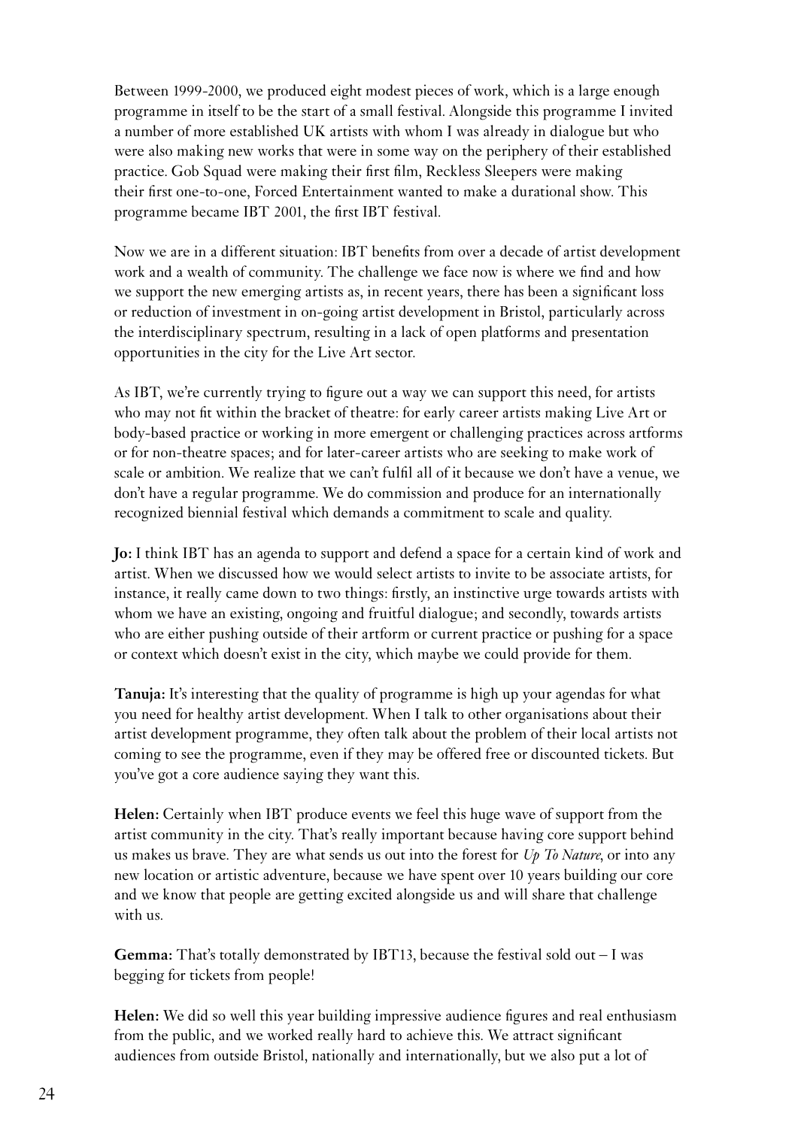Between 1999-2000, we produced eight modest pieces of work, which is a large enough programme in itself to be the start of a small festival. Alongside this programme I invited a number of more established UK artists with whom I was already in dialogue but who were also making new works that were in some way on the periphery of their established practice. Gob Squad were making their first film, Reckless Sleepers were making their first one-to-one, Forced Entertainment wanted to make a durational show. This programme became IBT 2001, the first IBT festival.

Now we are in a different situation: IBT benefits from over a decade of artist development work and a wealth of community. The challenge we face now is where we find and how we support the new emerging artists as, in recent years, there has been a significant loss or reduction of investment in on-going artist development in Bristol, particularly across the interdisciplinary spectrum, resulting in a lack of open platforms and presentation opportunities in the city for the Live Art sector.

As IBT, we're currently trying to figure out a way we can support this need, for artists who may not fit within the bracket of theatre: for early career artists making Live Art or body-based practice or working in more emergent or challenging practices across artforms or for non-theatre spaces; and for later-career artists who are seeking to make work of scale or ambition. We realize that we can't fulfil all of it because we don't have a venue, we don't have a regular programme. We do commission and produce for an internationally recognized biennial festival which demands a commitment to scale and quality.

**Jo:** I think IBT has an agenda to support and defend a space for a certain kind of work and artist. When we discussed how we would select artists to invite to be associate artists, for instance, it really came down to two things: firstly, an instinctive urge towards artists with whom we have an existing, ongoing and fruitful dialogue; and secondly, towards artists who are either pushing outside of their artform or current practice or pushing for a space or context which doesn't exist in the city, which maybe we could provide for them.

**Tanuja:** It's interesting that the quality of programme is high up your agendas for what you need for healthy artist development. When I talk to other organisations about their artist development programme, they often talk about the problem of their local artists not coming to see the programme, even if they may be offered free or discounted tickets. But you've got a core audience saying they want this.

**Helen:** Certainly when IBT produce events we feel this huge wave of support from the artist community in the city. That's really important because having core support behind us makes us brave. They are what sends us out into the forest for *Up To Nature*, or into any new location or artistic adventure, because we have spent over 10 years building our core and we know that people are getting excited alongside us and will share that challenge with us.

**Gemma:** That's totally demonstrated by IBT13, because the festival sold out – I was begging for tickets from people!

**Helen:** We did so well this year building impressive audience figures and real enthusiasm from the public, and we worked really hard to achieve this. We attract significant audiences from outside Bristol, nationally and internationally, but we also put a lot of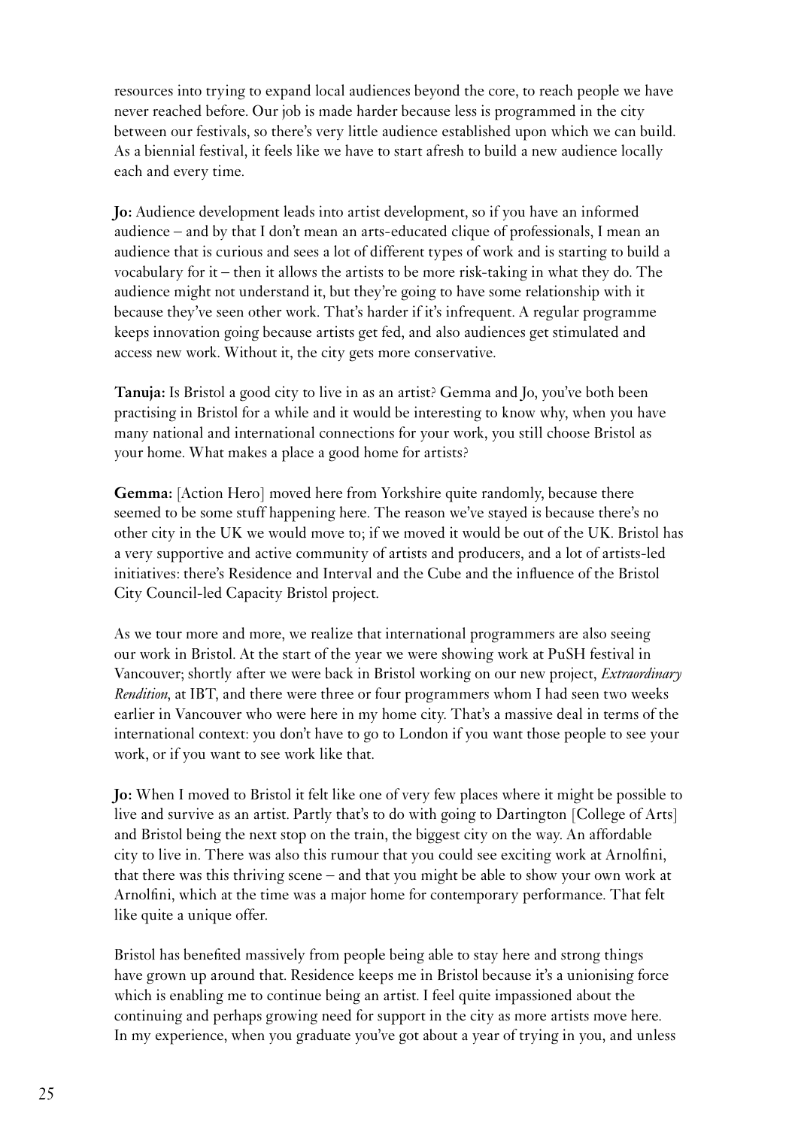resources into trying to expand local audiences beyond the core, to reach people we have never reached before. Our job is made harder because less is programmed in the city between our festivals, so there's very little audience established upon which we can build. As a biennial festival, it feels like we have to start afresh to build a new audience locally each and every time.

**Jo:** Audience development leads into artist development, so if you have an informed audience – and by that I don't mean an arts-educated clique of professionals, I mean an audience that is curious and sees a lot of different types of work and is starting to build a vocabulary for it – then it allows the artists to be more risk-taking in what they do. The audience might not understand it, but they're going to have some relationship with it because they've seen other work. That's harder if it's infrequent. A regular programme keeps innovation going because artists get fed, and also audiences get stimulated and access new work. Without it, the city gets more conservative.

**Tanuja:** Is Bristol a good city to live in as an artist? Gemma and Jo, you've both been practising in Bristol for a while and it would be interesting to know why, when you have many national and international connections for your work, you still choose Bristol as your home. What makes a place a good home for artists?

**Gemma:** [Action Hero] moved here from Yorkshire quite randomly, because there seemed to be some stuff happening here. The reason we've stayed is because there's no other city in the UK we would move to; if we moved it would be out of the UK. Bristol has a very supportive and active community of artists and producers, and a lot of artists-led initiatives: there's Residence and Interval and the Cube and the influence of the Bristol City Council-led Capacity Bristol project.

As we tour more and more, we realize that international programmers are also seeing our work in Bristol. At the start of the year we were showing work at PuSH festival in Vancouver; shortly after we were back in Bristol working on our new project, *Extraordinary Rendition*, at IBT, and there were three or four programmers whom I had seen two weeks earlier in Vancouver who were here in my home city. That's a massive deal in terms of the international context: you don't have to go to London if you want those people to see your work, or if you want to see work like that.

**Jo:** When I moved to Bristol it felt like one of very few places where it might be possible to live and survive as an artist. Partly that's to do with going to Dartington [College of Arts] and Bristol being the next stop on the train, the biggest city on the way. An affordable city to live in. There was also this rumour that you could see exciting work at Arnolfini, that there was this thriving scene – and that you might be able to show your own work at Arnolfini, which at the time was a major home for contemporary performance. That felt like quite a unique offer.

Bristol has benefited massively from people being able to stay here and strong things have grown up around that. Residence keeps me in Bristol because it's a unionising force which is enabling me to continue being an artist. I feel quite impassioned about the continuing and perhaps growing need for support in the city as more artists move here. In my experience, when you graduate you've got about a year of trying in you, and unless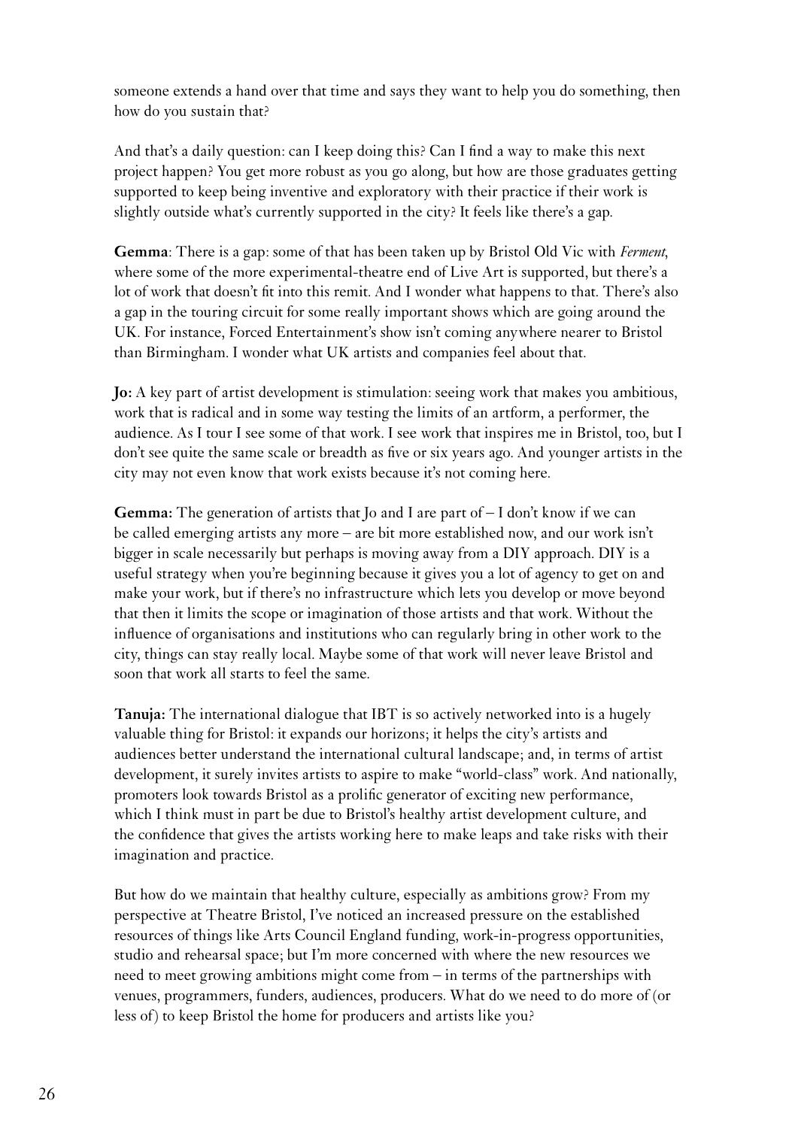someone extends a hand over that time and says they want to help you do something, then how do you sustain that?

And that's a daily question: can I keep doing this? Can I find a way to make this next project happen? You get more robust as you go along, but how are those graduates getting supported to keep being inventive and exploratory with their practice if their work is slightly outside what's currently supported in the city? It feels like there's a gap.

**Gemma**: There is a gap: some of that has been taken up by Bristol Old Vic with *Ferment*, where some of the more experimental-theatre end of Live Art is supported, but there's a lot of work that doesn't fit into this remit. And I wonder what happens to that. There's also a gap in the touring circuit for some really important shows which are going around the UK. For instance, Forced Entertainment's show isn't coming anywhere nearer to Bristol than Birmingham. I wonder what UK artists and companies feel about that.

**Jo:** A key part of artist development is stimulation: seeing work that makes you ambitious, work that is radical and in some way testing the limits of an artform, a performer, the audience. As I tour I see some of that work. I see work that inspires me in Bristol, too, but I don't see quite the same scale or breadth as five or six years ago. And younger artists in the city may not even know that work exists because it's not coming here.

**Gemma:** The generation of artists that Jo and I are part of – I don't know if we can be called emerging artists any more – are bit more established now, and our work isn't bigger in scale necessarily but perhaps is moving away from a DIY approach. DIY is a useful strategy when you're beginning because it gives you a lot of agency to get on and make your work, but if there's no infrastructure which lets you develop or move beyond that then it limits the scope or imagination of those artists and that work. Without the influence of organisations and institutions who can regularly bring in other work to the city, things can stay really local. Maybe some of that work will never leave Bristol and soon that work all starts to feel the same.

**Tanuja:** The international dialogue that IBT is so actively networked into is a hugely valuable thing for Bristol: it expands our horizons; it helps the city's artists and audiences better understand the international cultural landscape; and, in terms of artist development, it surely invites artists to aspire to make "world-class" work. And nationally, promoters look towards Bristol as a prolific generator of exciting new performance, which I think must in part be due to Bristol's healthy artist development culture, and the confidence that gives the artists working here to make leaps and take risks with their imagination and practice.

But how do we maintain that healthy culture, especially as ambitions grow? From my perspective at Theatre Bristol, I've noticed an increased pressure on the established resources of things like Arts Council England funding, work-in-progress opportunities, studio and rehearsal space; but I'm more concerned with where the new resources we need to meet growing ambitions might come from – in terms of the partnerships with venues, programmers, funders, audiences, producers. What do we need to do more of (or less of) to keep Bristol the home for producers and artists like you?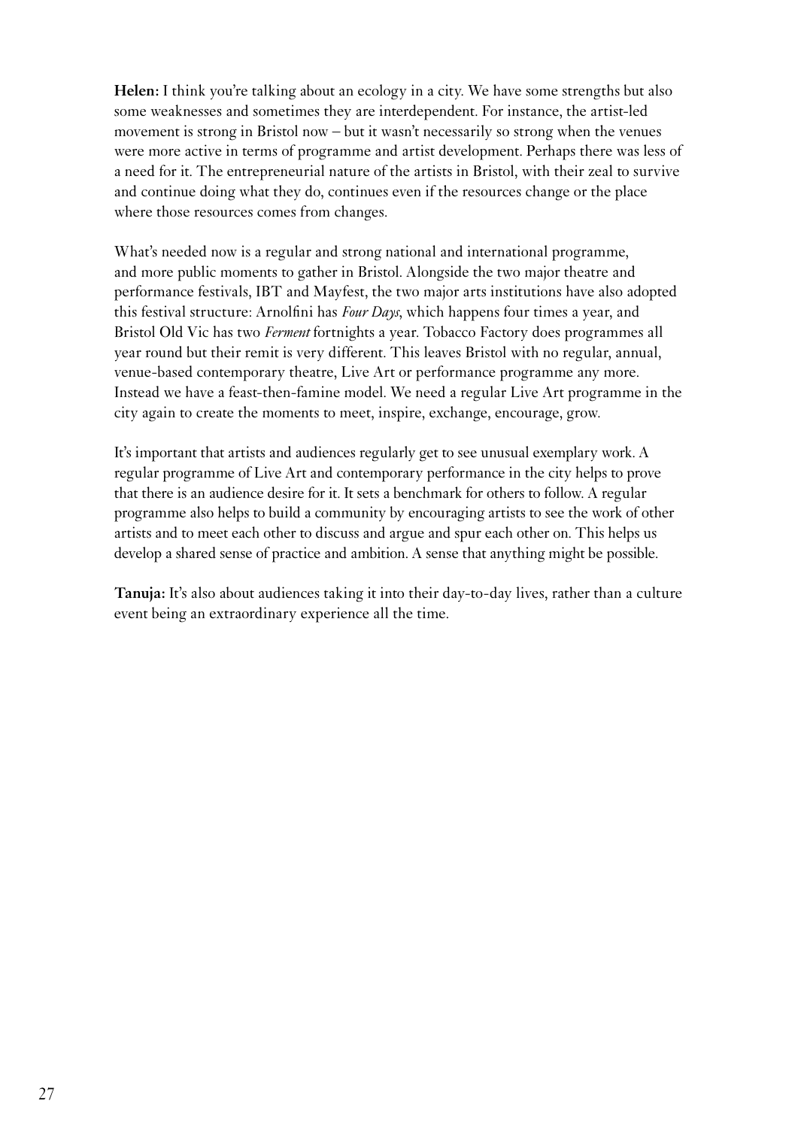Helen: I think you're talking about an ecology in a city. We have some strengths but also some weaknesses and sometimes they are interdependent. For instance, the artist-led movement is strong in Bristol now – but it wasn't necessarily so strong when the venues were more active in terms of programme and artist development. Perhaps there was less of a need for it. The entrepreneurial nature of the artists in Bristol, with their zeal to survive and continue doing what they do, continues even if the resources change or the place where those resources comes from changes.

What's needed now is a regular and strong national and international programme, and more public moments to gather in Bristol. Alongside the two major theatre and performance festivals, IBT and Mayfest, the two major arts institutions have also adopted this festival structure: Arnolfini has *Four Days*, which happens four times a year, and Bristol Old Vic has two *Ferment* fortnights a year. Tobacco Factory does programmes all year round but their remit is very different. This leaves Bristol with no regular, annual, venue-based contemporary theatre, Live Art or performance programme any more. Instead we have a feast-then-famine model. We need a regular Live Art programme in the city again to create the moments to meet, inspire, exchange, encourage, grow.

It's important that artists and audiences regularly get to see unusual exemplary work. A regular programme of Live Art and contemporary performance in the city helps to prove that there is an audience desire for it. It sets a benchmark for others to follow. A regular programme also helps to build a community by encouraging artists to see the work of other artists and to meet each other to discuss and argue and spur each other on. This helps us develop a shared sense of practice and ambition. A sense that anything might be possible.

**Tanuja:** It's also about audiences taking it into their day-to-day lives, rather than a culture event being an extraordinary experience all the time.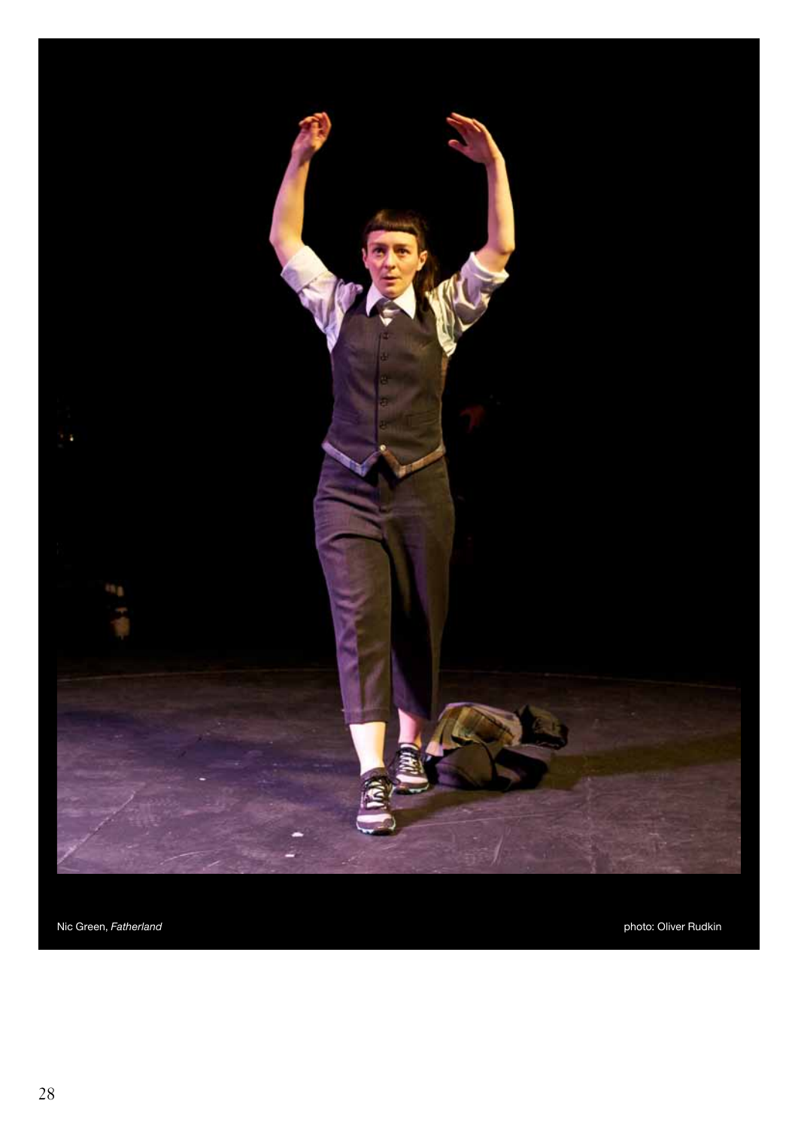

Nic Green, Fatherland photo: Oliver Rudkin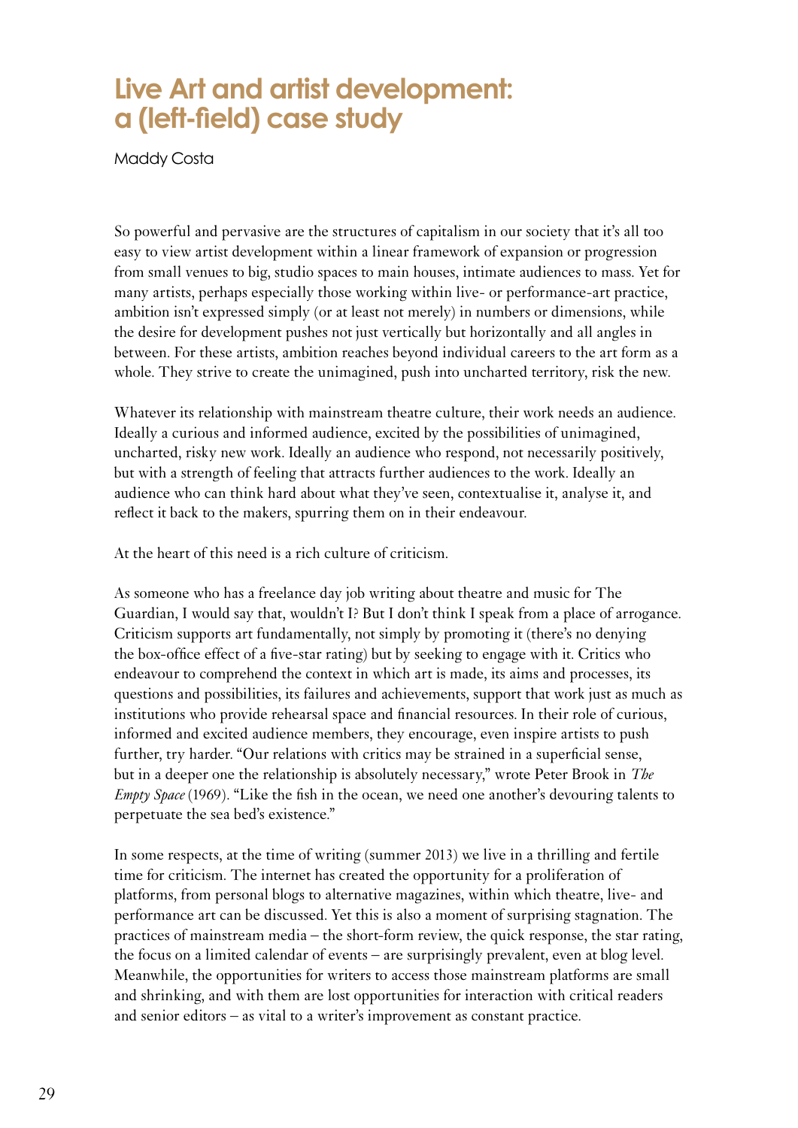### **Live Art and artist development: a (left-field) case study**

Maddy Costa

So powerful and pervasive are the structures of capitalism in our society that it's all too easy to view artist development within a linear framework of expansion or progression from small venues to big, studio spaces to main houses, intimate audiences to mass. Yet for many artists, perhaps especially those working within live- or performance-art practice, ambition isn't expressed simply (or at least not merely) in numbers or dimensions, while the desire for development pushes not just vertically but horizontally and all angles in between. For these artists, ambition reaches beyond individual careers to the art form as a whole. They strive to create the unimagined, push into uncharted territory, risk the new.

Whatever its relationship with mainstream theatre culture, their work needs an audience. Ideally a curious and informed audience, excited by the possibilities of unimagined, uncharted, risky new work. Ideally an audience who respond, not necessarily positively, but with a strength of feeling that attracts further audiences to the work. Ideally an audience who can think hard about what they've seen, contextualise it, analyse it, and reflect it back to the makers, spurring them on in their endeavour.

At the heart of this need is a rich culture of criticism.

As someone who has a freelance day job writing about theatre and music for The Guardian, I would say that, wouldn't I? But I don't think I speak from a place of arrogance. Criticism supports art fundamentally, not simply by promoting it (there's no denying the box-office effect of a five-star rating) but by seeking to engage with it. Critics who endeavour to comprehend the context in which art is made, its aims and processes, its questions and possibilities, its failures and achievements, support that work just as much as institutions who provide rehearsal space and financial resources. In their role of curious, informed and excited audience members, they encourage, even inspire artists to push further, try harder. "Our relations with critics may be strained in a superficial sense, but in a deeper one the relationship is absolutely necessary," wrote Peter Brook in *The Empty Space* (1969). "Like the fish in the ocean, we need one another's devouring talents to perpetuate the sea bed's existence."

<span id="page-28-0"></span>In some respects, at the time of writing (summer 2013) we live in a thrilling and fertile time for criticism. The internet has created the opportunity for a proliferation of platforms, from personal blogs to alternative magazines, within which theatre, live- and performance art can be discussed. Yet this is also a moment of surprising stagnation. The practices of mainstream media – the short-form review, the quick response, the star rating, the focus on a limited calendar of events – are surprisingly prevalent, even at blog level. Meanwhile, the opportunities for writers to access those mainstream platforms are small and shrinking, and with them are lost opportunities for interaction with critical readers and senior editors – as vital to a writer's improvement as constant practice.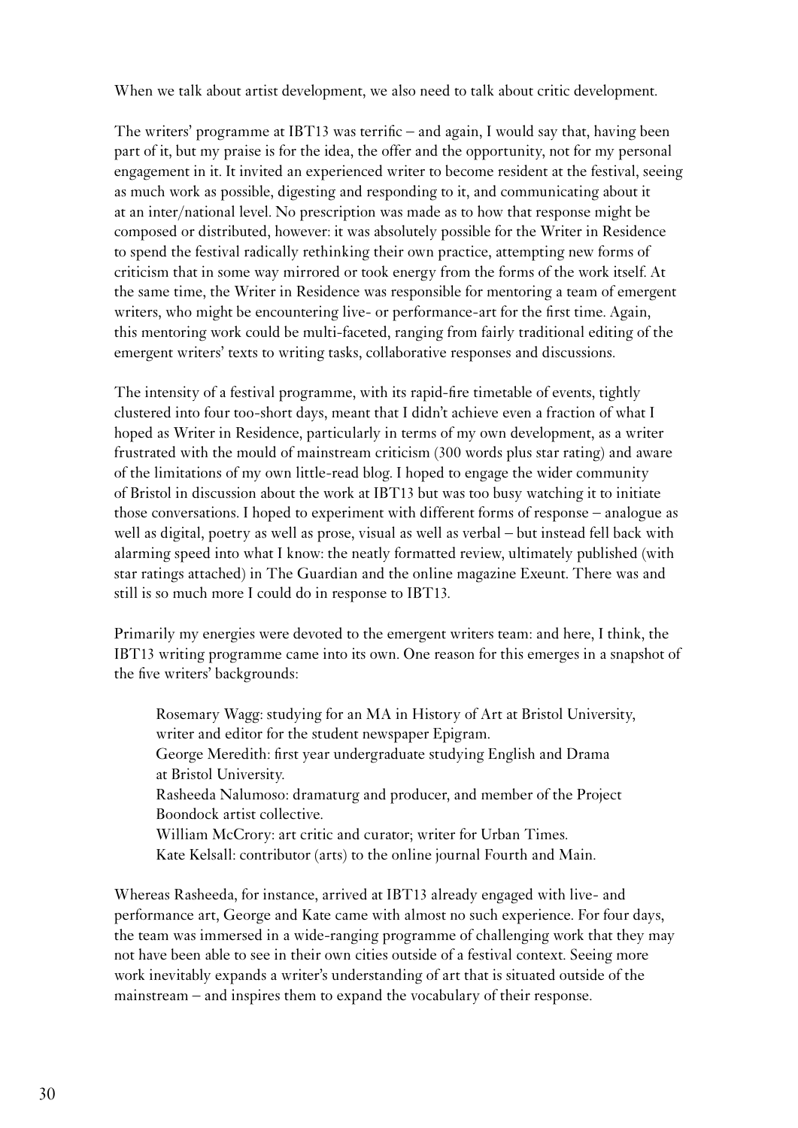When we talk about artist development, we also need to talk about critic development.

The writers' programme at IBT13 was terrific – and again, I would say that, having been part of it, but my praise is for the idea, the offer and the opportunity, not for my personal engagement in it. It invited an experienced writer to become resident at the festival, seeing as much work as possible, digesting and responding to it, and communicating about it at an inter/national level. No prescription was made as to how that response might be composed or distributed, however: it was absolutely possible for the Writer in Residence to spend the festival radically rethinking their own practice, attempting new forms of criticism that in some way mirrored or took energy from the forms of the work itself. At the same time, the Writer in Residence was responsible for mentoring a team of emergent writers, who might be encountering live- or performance-art for the first time. Again, this mentoring work could be multi-faceted, ranging from fairly traditional editing of the emergent writers' texts to writing tasks, collaborative responses and discussions.

The intensity of a festival programme, with its rapid-fire timetable of events, tightly clustered into four too-short days, meant that I didn't achieve even a fraction of what I hoped as Writer in Residence, particularly in terms of my own development, as a writer frustrated with the mould of mainstream criticism (300 words plus star rating) and aware of the limitations of my own little-read blog. I hoped to engage the wider community of Bristol in discussion about the work at IBT13 but was too busy watching it to initiate those conversations. I hoped to experiment with different forms of response – analogue as well as digital, poetry as well as prose, visual as well as verbal – but instead fell back with alarming speed into what I know: the neatly formatted review, ultimately published (with star ratings attached) in The Guardian and the online magazine Exeunt. There was and still is so much more I could do in response to IBT13.

Primarily my energies were devoted to the emergent writers team: and here, I think, the IBT13 writing programme came into its own. One reason for this emerges in a snapshot of the five writers' backgrounds:

Rosemary Wagg: studying for an MA in History of Art at Bristol University, writer and editor for the student newspaper Epigram. George Meredith: first year undergraduate studying English and Drama at Bristol University. Rasheeda Nalumoso: dramaturg and producer, and member of the Project Boondock artist collective. William McCrory: art critic and curator; writer for Urban Times. Kate Kelsall: contributor (arts) to the online journal Fourth and Main.

Whereas Rasheeda, for instance, arrived at IBT13 already engaged with live- and performance art, George and Kate came with almost no such experience. For four days, the team was immersed in a wide-ranging programme of challenging work that they may not have been able to see in their own cities outside of a festival context. Seeing more work inevitably expands a writer's understanding of art that is situated outside of the mainstream – and inspires them to expand the vocabulary of their response.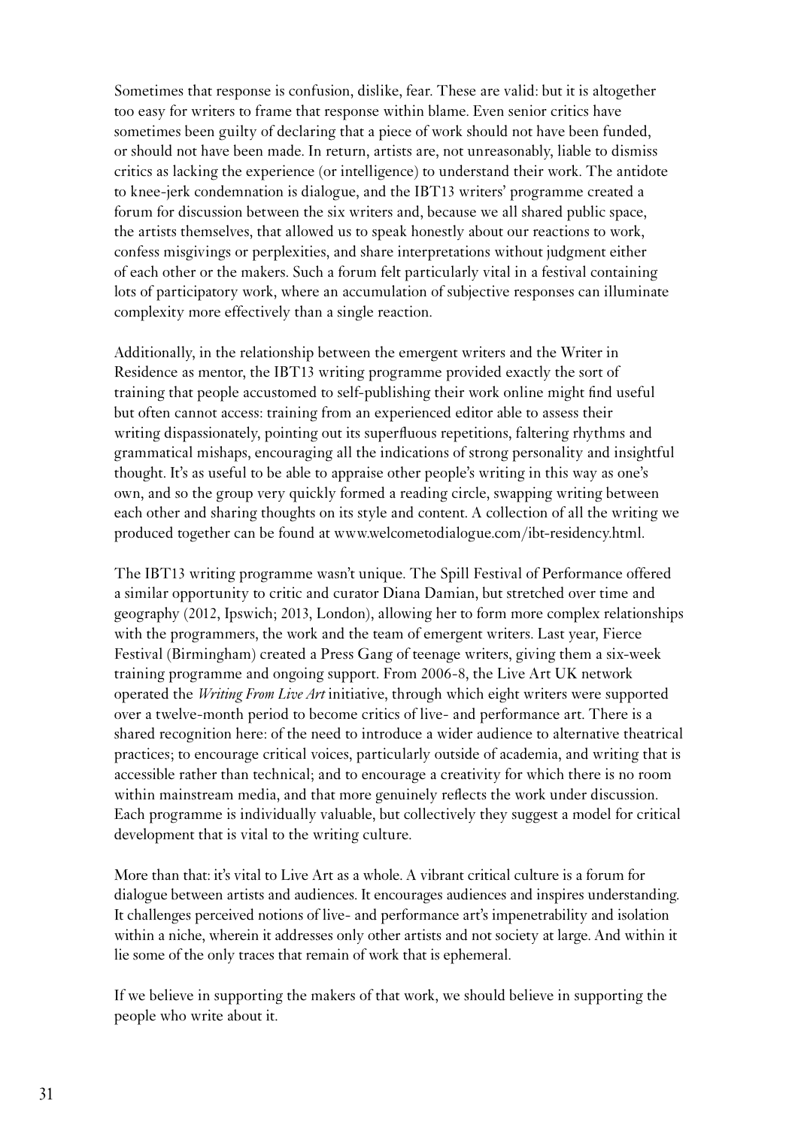Sometimes that response is confusion, dislike, fear. These are valid: but it is altogether too easy for writers to frame that response within blame. Even senior critics have sometimes been guilty of declaring that a piece of work should not have been funded, or should not have been made. In return, artists are, not unreasonably, liable to dismiss critics as lacking the experience (or intelligence) to understand their work. The antidote to knee-jerk condemnation is dialogue, and the IBT13 writers' programme created a forum for discussion between the six writers and, because we all shared public space, the artists themselves, that allowed us to speak honestly about our reactions to work, confess misgivings or perplexities, and share interpretations without judgment either of each other or the makers. Such a forum felt particularly vital in a festival containing lots of participatory work, where an accumulation of subjective responses can illuminate complexity more effectively than a single reaction.

Additionally, in the relationship between the emergent writers and the Writer in Residence as mentor, the IBT13 writing programme provided exactly the sort of training that people accustomed to self-publishing their work online might find useful but often cannot access: training from an experienced editor able to assess their writing dispassionately, pointing out its superfluous repetitions, faltering rhythms and grammatical mishaps, encouraging all the indications of strong personality and insightful thought. It's as useful to be able to appraise other people's writing in this way as one's own, and so the group very quickly formed a reading circle, swapping writing between each other and sharing thoughts on its style and content. A collection of all the writing we produced together can be found at www.welcometodialogue.com/ibt-residency.html.

The IBT13 writing programme wasn't unique. The Spill Festival of Performance offered a similar opportunity to critic and curator Diana Damian, but stretched over time and geography (2012, Ipswich; 2013, London), allowing her to form more complex relationships with the programmers, the work and the team of emergent writers. Last year, Fierce Festival (Birmingham) created a Press Gang of teenage writers, giving them a six-week training programme and ongoing support. From 2006-8, the Live Art UK network operated the *Writing From Live Art* initiative, through which eight writers were supported over a twelve-month period to become critics of live- and performance art. There is a shared recognition here: of the need to introduce a wider audience to alternative theatrical practices; to encourage critical voices, particularly outside of academia, and writing that is accessible rather than technical; and to encourage a creativity for which there is no room within mainstream media, and that more genuinely reflects the work under discussion. Each programme is individually valuable, but collectively they suggest a model for critical development that is vital to the writing culture.

More than that: it's vital to Live Art as a whole. A vibrant critical culture is a forum for dialogue between artists and audiences. It encourages audiences and inspires understanding. It challenges perceived notions of live- and performance art's impenetrability and isolation within a niche, wherein it addresses only other artists and not society at large. And within it lie some of the only traces that remain of work that is ephemeral.

If we believe in supporting the makers of that work, we should believe in supporting the people who write about it.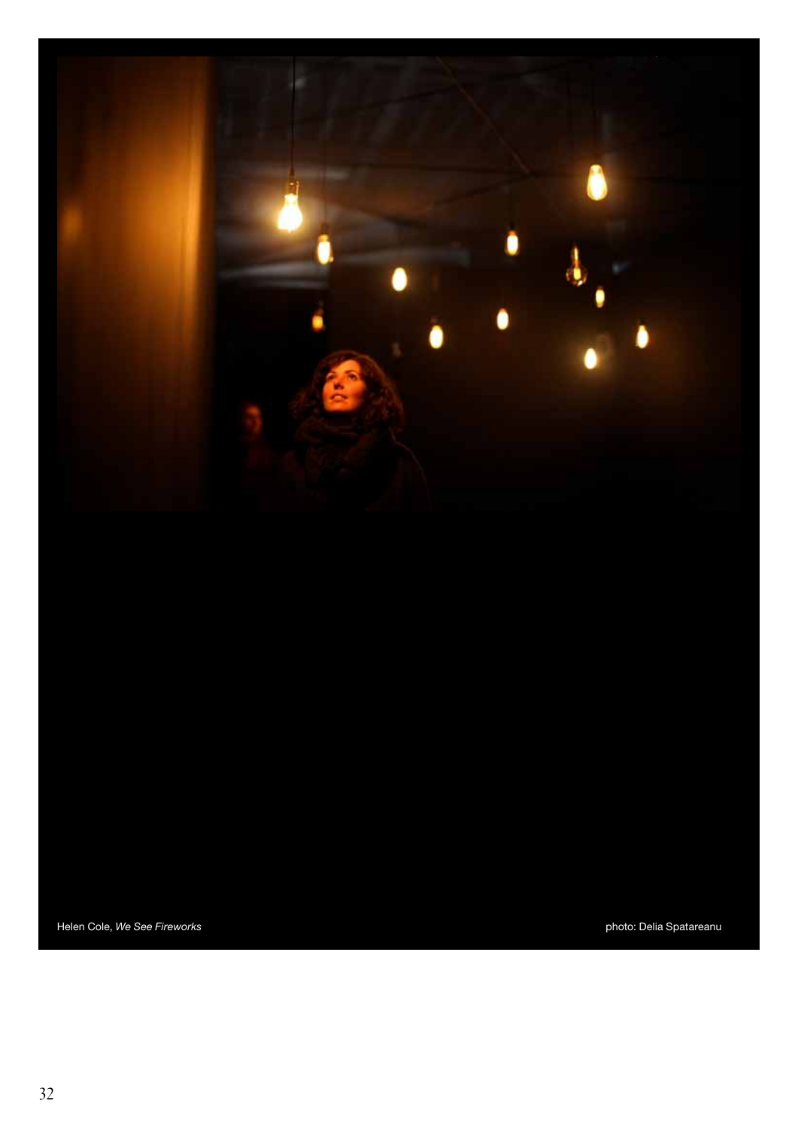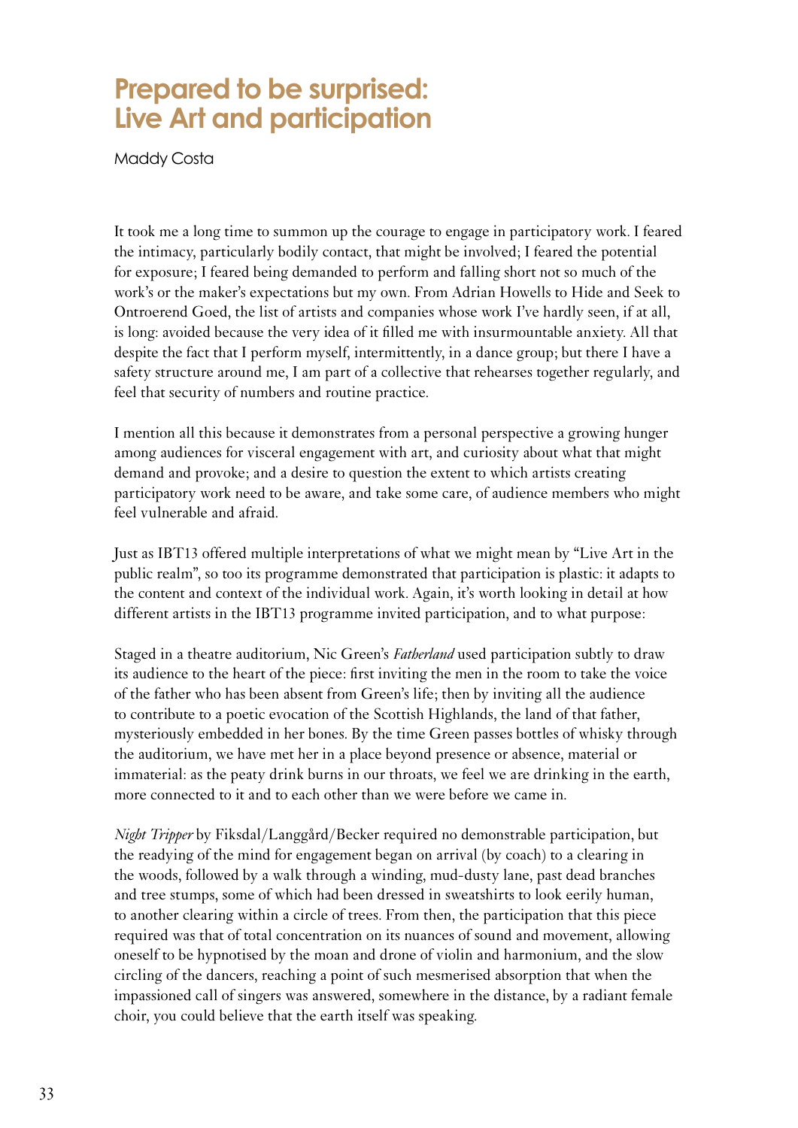#### **Prepared to be surprised: Live Art and participation**

Maddy Costa

It took me a long time to summon up the courage to engage in participatory work. I feared the intimacy, particularly bodily contact, that might be involved; I feared the potential for exposure; I feared being demanded to perform and falling short not so much of the work's or the maker's expectations but my own. From Adrian Howells to Hide and Seek to Ontroerend Goed, the list of artists and companies whose work I've hardly seen, if at all, is long: avoided because the very idea of it filled me with insurmountable anxiety. All that despite the fact that I perform myself, intermittently, in a dance group; but there I have a safety structure around me, I am part of a collective that rehearses together regularly, and feel that security of numbers and routine practice.

I mention all this because it demonstrates from a personal perspective a growing hunger among audiences for visceral engagement with art, and curiosity about what that might demand and provoke; and a desire to question the extent to which artists creating participatory work need to be aware, and take some care, of audience members who might feel vulnerable and afraid.

Just as IBT13 offered multiple interpretations of what we might mean by "Live Art in the public realm", so too its programme demonstrated that participation is plastic: it adapts to the content and context of the individual work. Again, it's worth looking in detail at how different artists in the IBT13 programme invited participation, and to what purpose:

Staged in a theatre auditorium, Nic Green's *Fatherland* used participation subtly to draw its audience to the heart of the piece: first inviting the men in the room to take the voice of the father who has been absent from Green's life; then by inviting all the audience to contribute to a poetic evocation of the Scottish Highlands, the land of that father, mysteriously embedded in her bones. By the time Green passes bottles of whisky through the auditorium, we have met her in a place beyond presence or absence, material or immaterial: as the peaty drink burns in our throats, we feel we are drinking in the earth, more connected to it and to each other than we were before we came in.

<span id="page-32-0"></span>*Night Tripper* by Fiksdal/Langgård/Becker required no demonstrable participation, but the readying of the mind for engagement began on arrival (by coach) to a clearing in the woods, followed by a walk through a winding, mud-dusty lane, past dead branches and tree stumps, some of which had been dressed in sweatshirts to look eerily human, to another clearing within a circle of trees. From then, the participation that this piece required was that of total concentration on its nuances of sound and movement, allowing oneself to be hypnotised by the moan and drone of violin and harmonium, and the slow circling of the dancers, reaching a point of such mesmerised absorption that when the impassioned call of singers was answered, somewhere in the distance, by a radiant female choir, you could believe that the earth itself was speaking.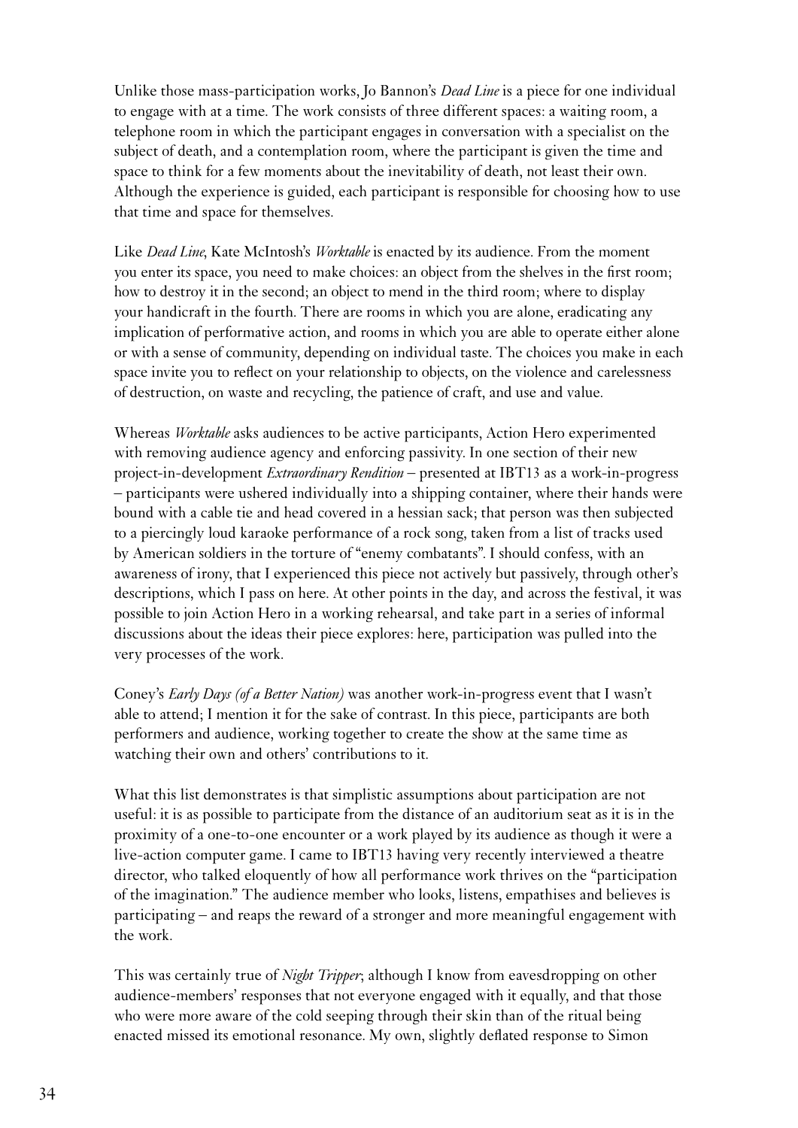Unlike those mass-participation works, Jo Bannon's *Dead Line* is a piece for one individual to engage with at a time. The work consists of three different spaces: a waiting room, a telephone room in which the participant engages in conversation with a specialist on the subject of death, and a contemplation room, where the participant is given the time and space to think for a few moments about the inevitability of death, not least their own. Although the experience is guided, each participant is responsible for choosing how to use that time and space for themselves.

Like *Dead Line*, Kate McIntosh's *Worktable* is enacted by its audience. From the moment you enter its space, you need to make choices: an object from the shelves in the first room; how to destroy it in the second; an object to mend in the third room; where to display your handicraft in the fourth. There are rooms in which you are alone, eradicating any implication of performative action, and rooms in which you are able to operate either alone or with a sense of community, depending on individual taste. The choices you make in each space invite you to reflect on your relationship to objects, on the violence and carelessness of destruction, on waste and recycling, the patience of craft, and use and value.

Whereas *Worktable* asks audiences to be active participants, Action Hero experimented with removing audience agency and enforcing passivity. In one section of their new project-in-development *Extraordinary Rendition* – presented at IBT13 as a work-in-progress – participants were ushered individually into a shipping container, where their hands were bound with a cable tie and head covered in a hessian sack; that person was then subjected to a piercingly loud karaoke performance of a rock song, taken from a list of tracks used by American soldiers in the torture of "enemy combatants". I should confess, with an awareness of irony, that I experienced this piece not actively but passively, through other's descriptions, which I pass on here. At other points in the day, and across the festival, it was possible to join Action Hero in a working rehearsal, and take part in a series of informal discussions about the ideas their piece explores: here, participation was pulled into the very processes of the work.

Coney's *Early Days (of a Better Nation)* was another work-in-progress event that I wasn't able to attend; I mention it for the sake of contrast. In this piece, participants are both performers and audience, working together to create the show at the same time as watching their own and others' contributions to it.

What this list demonstrates is that simplistic assumptions about participation are not useful: it is as possible to participate from the distance of an auditorium seat as it is in the proximity of a one-to-one encounter or a work played by its audience as though it were a live-action computer game. I came to IBT13 having very recently interviewed a theatre director, who talked eloquently of how all performance work thrives on the "participation of the imagination." The audience member who looks, listens, empathises and believes is participating – and reaps the reward of a stronger and more meaningful engagement with the work.

This was certainly true of *Night Tripper*; although I know from eavesdropping on other audience-members' responses that not everyone engaged with it equally, and that those who were more aware of the cold seeping through their skin than of the ritual being enacted missed its emotional resonance. My own, slightly deflated response to Simon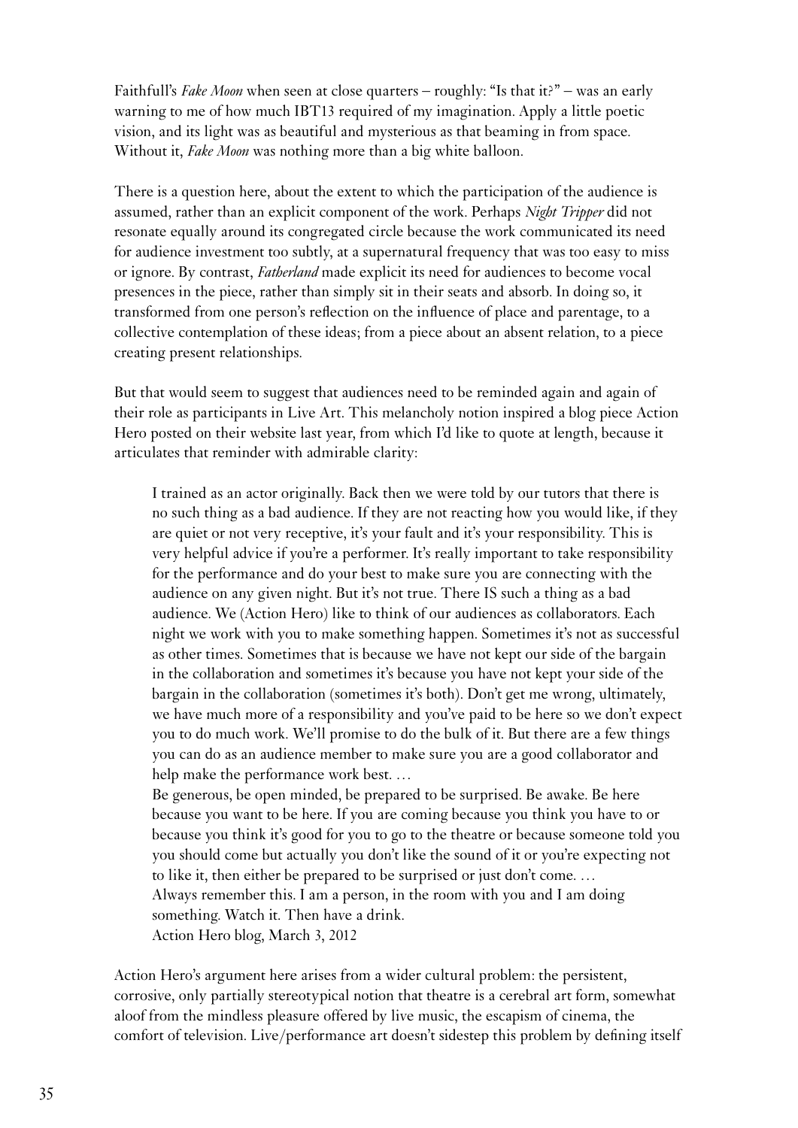Faithfull's *Fake Moon* when seen at close quarters – roughly: "Is that it?" – was an early warning to me of how much IBT13 required of my imagination. Apply a little poetic vision, and its light was as beautiful and mysterious as that beaming in from space. Without it, *Fake Moon* was nothing more than a big white balloon.

There is a question here, about the extent to which the participation of the audience is assumed, rather than an explicit component of the work. Perhaps *Night Tripper* did not resonate equally around its congregated circle because the work communicated its need for audience investment too subtly, at a supernatural frequency that was too easy to miss or ignore. By contrast, *Fatherland* made explicit its need for audiences to become vocal presences in the piece, rather than simply sit in their seats and absorb. In doing so, it transformed from one person's reflection on the influence of place and parentage, to a collective contemplation of these ideas; from a piece about an absent relation, to a piece creating present relationships.

But that would seem to suggest that audiences need to be reminded again and again of their role as participants in Live Art. This melancholy notion inspired a blog piece Action Hero posted on their website last year, from which I'd like to quote at length, because it articulates that reminder with admirable clarity:

I trained as an actor originally. Back then we were told by our tutors that there is no such thing as a bad audience. If they are not reacting how you would like, if they are quiet or not very receptive, it's your fault and it's your responsibility. This is very helpful advice if you're a performer. It's really important to take responsibility for the performance and do your best to make sure you are connecting with the audience on any given night. But it's not true. There IS such a thing as a bad audience. We (Action Hero) like to think of our audiences as collaborators. Each night we work with you to make something happen. Sometimes it's not as successful as other times. Sometimes that is because we have not kept our side of the bargain in the collaboration and sometimes it's because you have not kept your side of the bargain in the collaboration (sometimes it's both). Don't get me wrong, ultimately, we have much more of a responsibility and you've paid to be here so we don't expect you to do much work. We'll promise to do the bulk of it. But there are a few things you can do as an audience member to make sure you are a good collaborator and help make the performance work best. …

Be generous, be open minded, be prepared to be surprised. Be awake. Be here because you want to be here. If you are coming because you think you have to or because you think it's good for you to go to the theatre or because someone told you you should come but actually you don't like the sound of it or you're expecting not to like it, then either be prepared to be surprised or just don't come. … Always remember this. I am a person, in the room with you and I am doing something. Watch it. Then have a drink. Action Hero blog, March 3, 2012

Action Hero's argument here arises from a wider cultural problem: the persistent, corrosive, only partially stereotypical notion that theatre is a cerebral art form, somewhat aloof from the mindless pleasure offered by live music, the escapism of cinema, the comfort of television. Live/performance art doesn't sidestep this problem by defining itself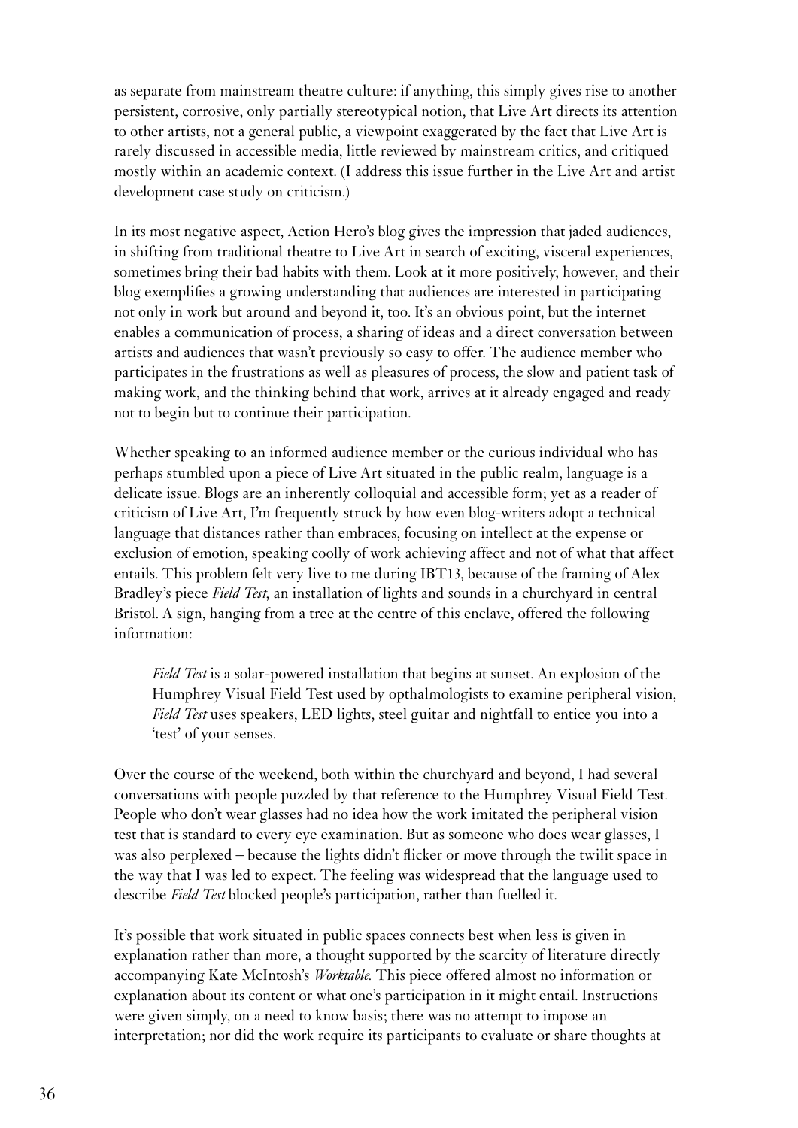as separate from mainstream theatre culture: if anything, this simply gives rise to another persistent, corrosive, only partially stereotypical notion, that Live Art directs its attention to other artists, not a general public, a viewpoint exaggerated by the fact that Live Art is rarely discussed in accessible media, little reviewed by mainstream critics, and critiqued mostly within an academic context. (I address this issue further in the Live Art and artist development case study on criticism.)

In its most negative aspect, Action Hero's blog gives the impression that jaded audiences, in shifting from traditional theatre to Live Art in search of exciting, visceral experiences, sometimes bring their bad habits with them. Look at it more positively, however, and their blog exemplifies a growing understanding that audiences are interested in participating not only in work but around and beyond it, too. It's an obvious point, but the internet enables a communication of process, a sharing of ideas and a direct conversation between artists and audiences that wasn't previously so easy to offer. The audience member who participates in the frustrations as well as pleasures of process, the slow and patient task of making work, and the thinking behind that work, arrives at it already engaged and ready not to begin but to continue their participation.

Whether speaking to an informed audience member or the curious individual who has perhaps stumbled upon a piece of Live Art situated in the public realm, language is a delicate issue. Blogs are an inherently colloquial and accessible form; yet as a reader of criticism of Live Art, I'm frequently struck by how even blog-writers adopt a technical language that distances rather than embraces, focusing on intellect at the expense or exclusion of emotion, speaking coolly of work achieving affect and not of what that affect entails. This problem felt very live to me during IBT13, because of the framing of Alex Bradley's piece *Field Test*, an installation of lights and sounds in a churchyard in central Bristol. A sign, hanging from a tree at the centre of this enclave, offered the following information:

*Field Test* is a solar-powered installation that begins at sunset. An explosion of the Humphrey Visual Field Test used by opthalmologists to examine peripheral vision, *Field Test* uses speakers, LED lights, steel guitar and nightfall to entice you into a 'test' of your senses.

Over the course of the weekend, both within the churchyard and beyond, I had several conversations with people puzzled by that reference to the Humphrey Visual Field Test. People who don't wear glasses had no idea how the work imitated the peripheral vision test that is standard to every eye examination. But as someone who does wear glasses, I was also perplexed – because the lights didn't flicker or move through the twilit space in the way that I was led to expect. The feeling was widespread that the language used to describe *Field Test* blocked people's participation, rather than fuelled it.

It's possible that work situated in public spaces connects best when less is given in explanation rather than more, a thought supported by the scarcity of literature directly accompanying Kate McIntosh's *Worktable*. This piece offered almost no information or explanation about its content or what one's participation in it might entail. Instructions were given simply, on a need to know basis; there was no attempt to impose an interpretation; nor did the work require its participants to evaluate or share thoughts at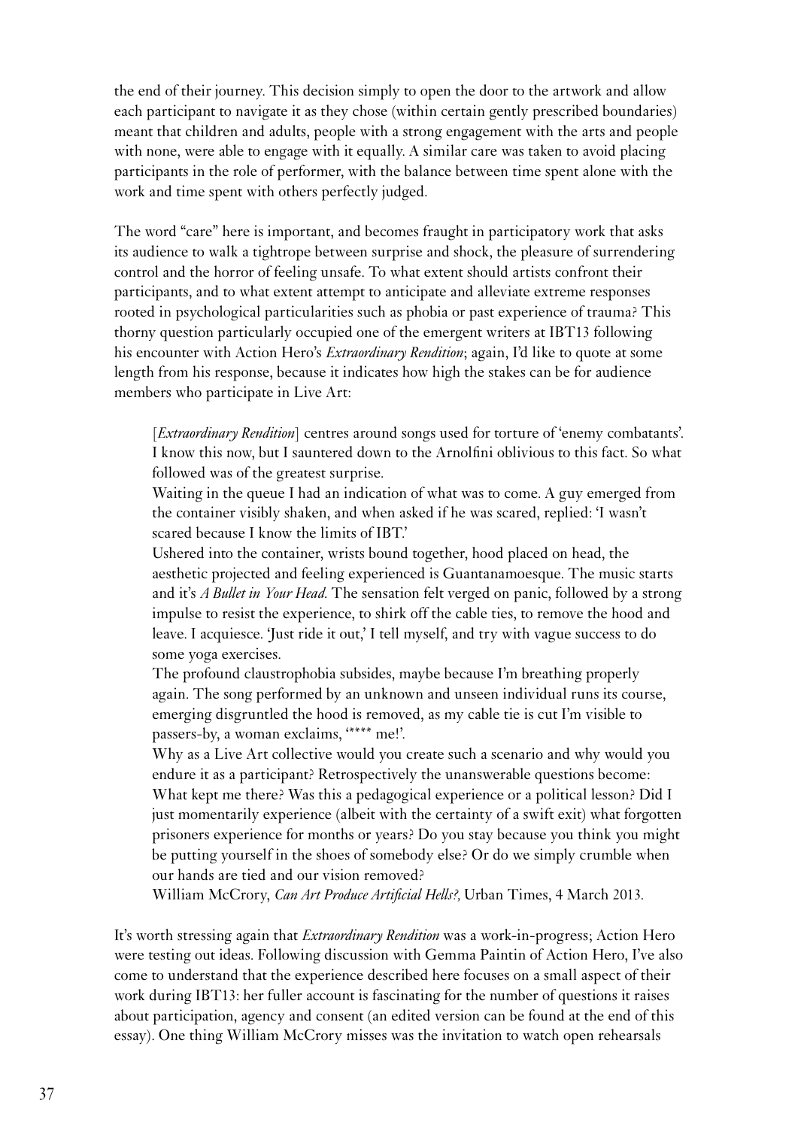the end of their journey. This decision simply to open the door to the artwork and allow each participant to navigate it as they chose (within certain gently prescribed boundaries) meant that children and adults, people with a strong engagement with the arts and people with none, were able to engage with it equally. A similar care was taken to avoid placing participants in the role of performer, with the balance between time spent alone with the work and time spent with others perfectly judged.

The word "care" here is important, and becomes fraught in participatory work that asks its audience to walk a tightrope between surprise and shock, the pleasure of surrendering control and the horror of feeling unsafe. To what extent should artists confront their participants, and to what extent attempt to anticipate and alleviate extreme responses rooted in psychological particularities such as phobia or past experience of trauma? This thorny question particularly occupied one of the emergent writers at IBT13 following his encounter with Action Hero's *Extraordinary Rendition*; again, I'd like to quote at some length from his response, because it indicates how high the stakes can be for audience members who participate in Live Art:

[*Extraordinary Rendition*] centres around songs used for torture of 'enemy combatants'. I know this now, but I sauntered down to the Arnolfini oblivious to this fact. So what followed was of the greatest surprise.

Waiting in the queue I had an indication of what was to come. A guy emerged from the container visibly shaken, and when asked if he was scared, replied: 'I wasn't scared because I know the limits of IBT.'

Ushered into the container, wrists bound together, hood placed on head, the aesthetic projected and feeling experienced is Guantanamoesque. The music starts and it's *A Bullet in Your Head*. The sensation felt verged on panic, followed by a strong impulse to resist the experience, to shirk off the cable ties, to remove the hood and leave. I acquiesce. 'Just ride it out,' I tell myself, and try with vague success to do some yoga exercises.

The profound claustrophobia subsides, maybe because I'm breathing properly again. The song performed by an unknown and unseen individual runs its course, emerging disgruntled the hood is removed, as my cable tie is cut I'm visible to passers-by, a woman exclaims, '\*\*\*\* me!'.

Why as a Live Art collective would you create such a scenario and why would you endure it as a participant? Retrospectively the unanswerable questions become: What kept me there? Was this a pedagogical experience or a political lesson? Did I just momentarily experience (albeit with the certainty of a swift exit) what forgotten prisoners experience for months or years? Do you stay because you think you might be putting yourself in the shoes of somebody else? Or do we simply crumble when our hands are tied and our vision removed?

William McCrory, *Can Art Produce Artificial Hells?,* Urban Times, 4 March 2013.

It's worth stressing again that *Extraordinary Rendition* was a work-in-progress; Action Hero were testing out ideas. Following discussion with Gemma Paintin of Action Hero, I've also come to understand that the experience described here focuses on a small aspect of their work during IBT13: her fuller account is fascinating for the number of questions it raises about participation, agency and consent (an edited version can be found at the end of this essay). One thing William McCrory misses was the invitation to watch open rehearsals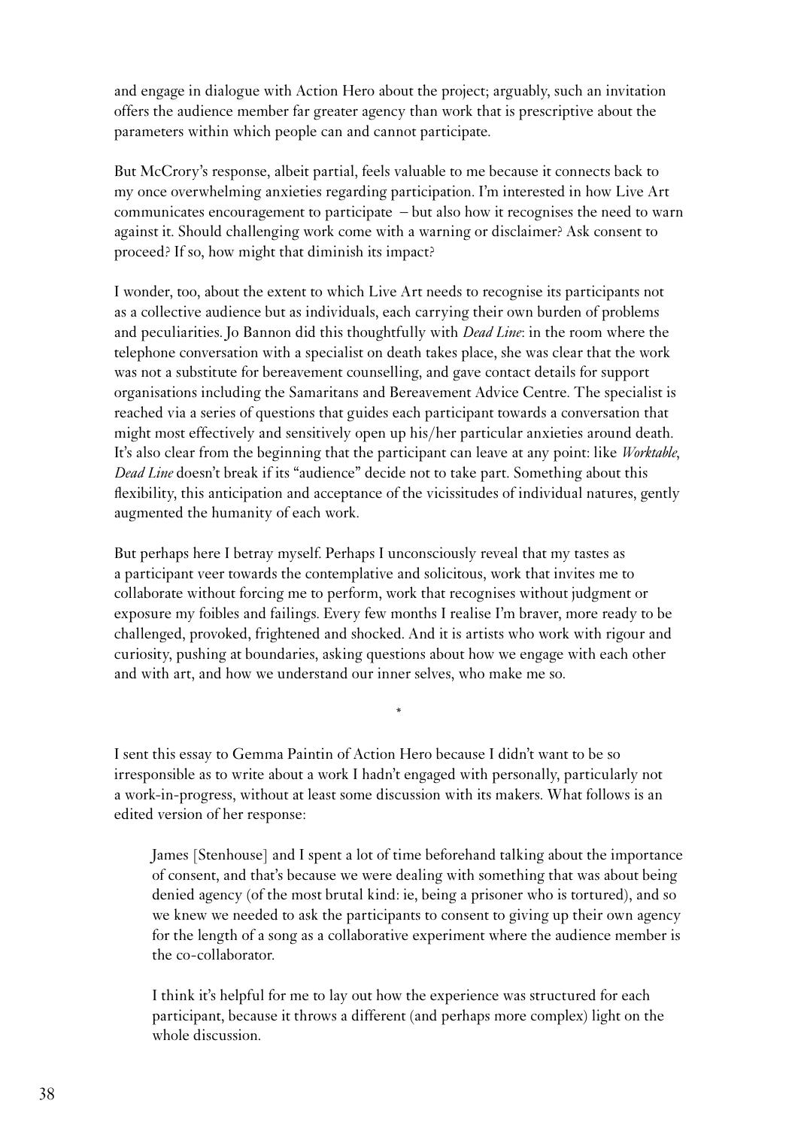and engage in dialogue with Action Hero about the project; arguably, such an invitation offers the audience member far greater agency than work that is prescriptive about the parameters within which people can and cannot participate.

But McCrory's response, albeit partial, feels valuable to me because it connects back to my once overwhelming anxieties regarding participation. I'm interested in how Live Art communicates encouragement to participate – but also how it recognises the need to warn against it. Should challenging work come with a warning or disclaimer? Ask consent to proceed? If so, how might that diminish its impact?

I wonder, too, about the extent to which Live Art needs to recognise its participants not as a collective audience but as individuals, each carrying their own burden of problems and peculiarities. Jo Bannon did this thoughtfully with *Dead Line*: in the room where the telephone conversation with a specialist on death takes place, she was clear that the work was not a substitute for bereavement counselling, and gave contact details for support organisations including the Samaritans and Bereavement Advice Centre. The specialist is reached via a series of questions that guides each participant towards a conversation that might most effectively and sensitively open up his/her particular anxieties around death. It's also clear from the beginning that the participant can leave at any point: like *Worktable*, *Dead Line* doesn't break if its "audience" decide not to take part. Something about this flexibility, this anticipation and acceptance of the vicissitudes of individual natures, gently augmented the humanity of each work.

But perhaps here I betray myself. Perhaps I unconsciously reveal that my tastes as a participant veer towards the contemplative and solicitous, work that invites me to collaborate without forcing me to perform, work that recognises without judgment or exposure my foibles and failings. Every few months I realise I'm braver, more ready to be challenged, provoked, frightened and shocked. And it is artists who work with rigour and curiosity, pushing at boundaries, asking questions about how we engage with each other and with art, and how we understand our inner selves, who make me so.

I sent this essay to Gemma Paintin of Action Hero because I didn't want to be so irresponsible as to write about a work I hadn't engaged with personally, particularly not a work-in-progress, without at least some discussion with its makers. What follows is an edited version of her response:

\*

James [Stenhouse] and I spent a lot of time beforehand talking about the importance of consent, and that's because we were dealing with something that was about being denied agency (of the most brutal kind: ie, being a prisoner who is tortured), and so we knew we needed to ask the participants to consent to giving up their own agency for the length of a song as a collaborative experiment where the audience member is the co-collaborator.

I think it's helpful for me to lay out how the experience was structured for each participant, because it throws a different (and perhaps more complex) light on the whole discussion.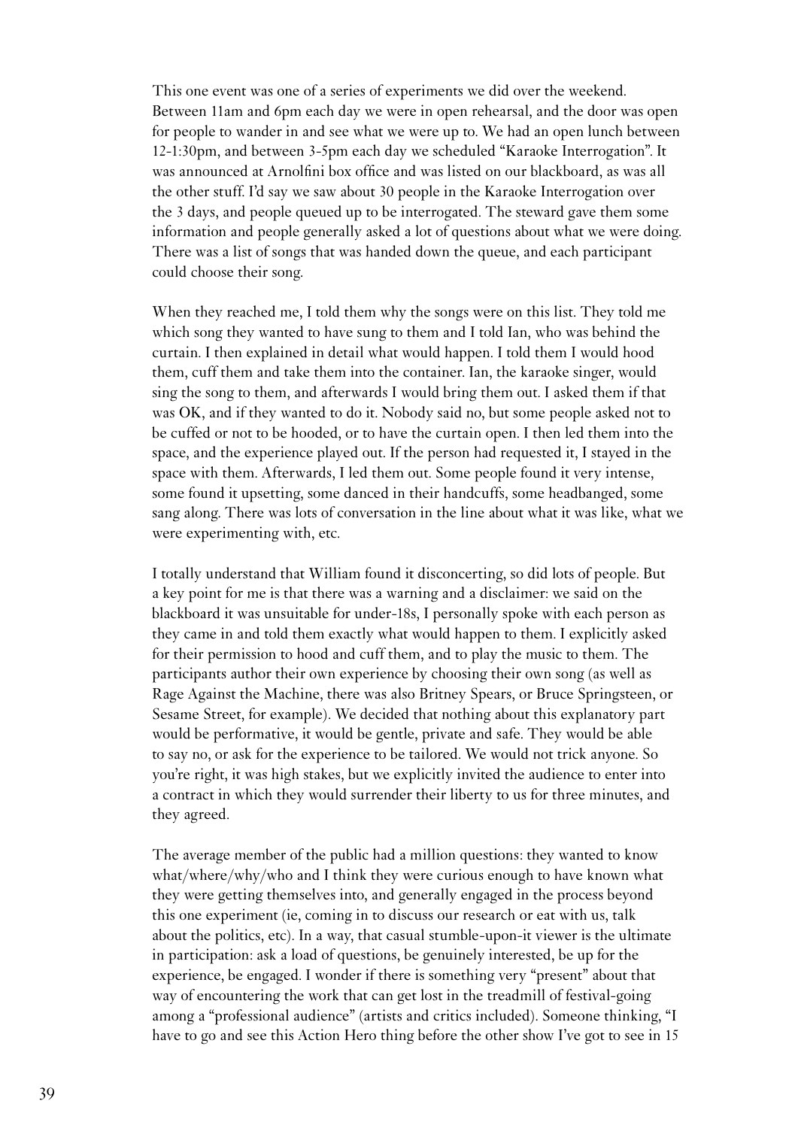This one event was one of a series of experiments we did over the weekend. Between 11am and 6pm each day we were in open rehearsal, and the door was open for people to wander in and see what we were up to. We had an open lunch between 12-1:30pm, and between 3-5pm each day we scheduled "Karaoke Interrogation". It was announced at Arnolfini box office and was listed on our blackboard, as was all the other stuff. I'd say we saw about 30 people in the Karaoke Interrogation over the 3 days, and people queued up to be interrogated. The steward gave them some information and people generally asked a lot of questions about what we were doing. There was a list of songs that was handed down the queue, and each participant could choose their song.

When they reached me, I told them why the songs were on this list. They told me which song they wanted to have sung to them and I told Ian, who was behind the curtain. I then explained in detail what would happen. I told them I would hood them, cuff them and take them into the container. Ian, the karaoke singer, would sing the song to them, and afterwards I would bring them out. I asked them if that was OK, and if they wanted to do it. Nobody said no, but some people asked not to be cuffed or not to be hooded, or to have the curtain open. I then led them into the space, and the experience played out. If the person had requested it, I stayed in the space with them. Afterwards, I led them out. Some people found it very intense, some found it upsetting, some danced in their handcuffs, some headbanged, some sang along. There was lots of conversation in the line about what it was like, what we were experimenting with, etc.

I totally understand that William found it disconcerting, so did lots of people. But a key point for me is that there was a warning and a disclaimer: we said on the blackboard it was unsuitable for under-18s, I personally spoke with each person as they came in and told them exactly what would happen to them. I explicitly asked for their permission to hood and cuff them, and to play the music to them. The participants author their own experience by choosing their own song (as well as Rage Against the Machine, there was also Britney Spears, or Bruce Springsteen, or Sesame Street, for example). We decided that nothing about this explanatory part would be performative, it would be gentle, private and safe. They would be able to say no, or ask for the experience to be tailored. We would not trick anyone. So you're right, it was high stakes, but we explicitly invited the audience to enter into a contract in which they would surrender their liberty to us for three minutes, and they agreed.

The average member of the public had a million questions: they wanted to know what/where/why/who and I think they were curious enough to have known what they were getting themselves into, and generally engaged in the process beyond this one experiment (ie, coming in to discuss our research or eat with us, talk about the politics, etc). In a way, that casual stumble-upon-it viewer is the ultimate in participation: ask a load of questions, be genuinely interested, be up for the experience, be engaged. I wonder if there is something very "present" about that way of encountering the work that can get lost in the treadmill of festival-going among a "professional audience" (artists and critics included). Someone thinking, "I have to go and see this Action Hero thing before the other show I've got to see in 15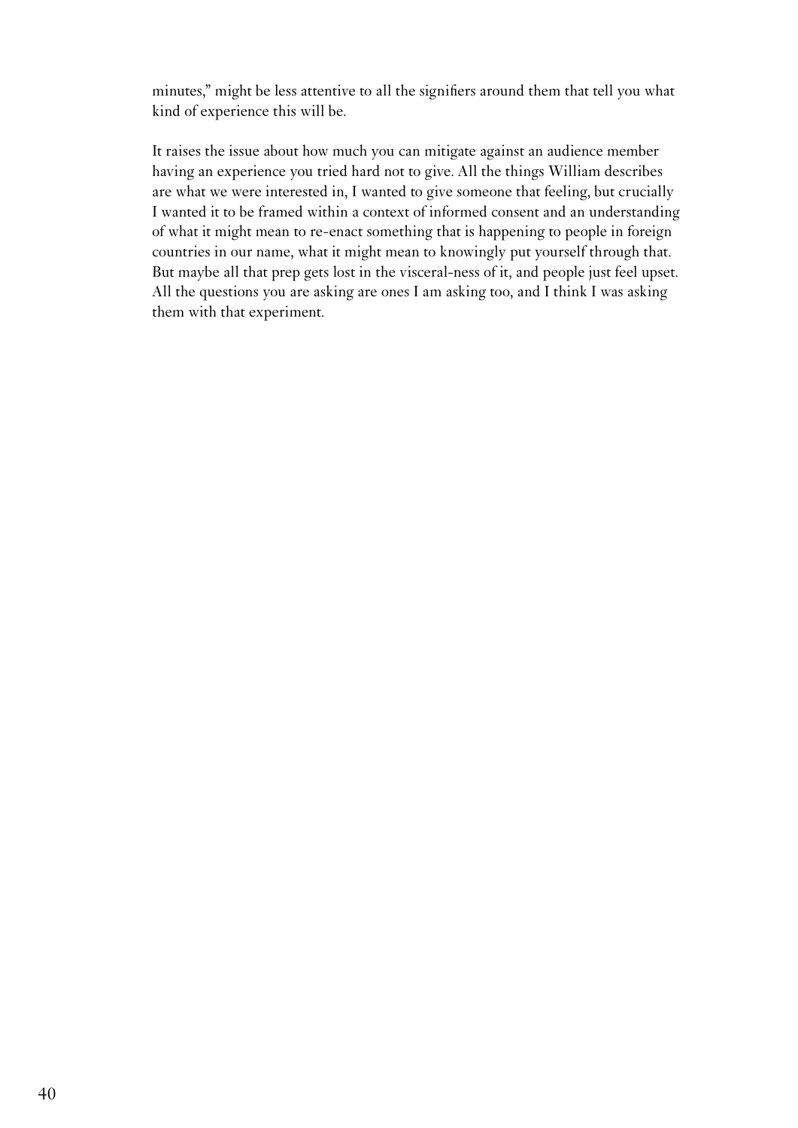minutes," might be less attentive to all the signifiers around them that tell you what kind of experience this will be.

It raises the issue about how much you can mitigate against an audience member having an experience you tried hard not to give. All the things William describes are what we were interested in, I wanted to give someone that feeling, but crucially I wanted it to be framed within a context of informed consent and an understanding of what it might mean to re-enact something that is happening to people in foreign countries in our name, what it might mean to knowingly put yourself through that. But maybe all that prep gets lost in the visceral-ness of it, and people just feel upset. All the questions you are asking are ones I am asking too, and I think I was asking them with that experiment.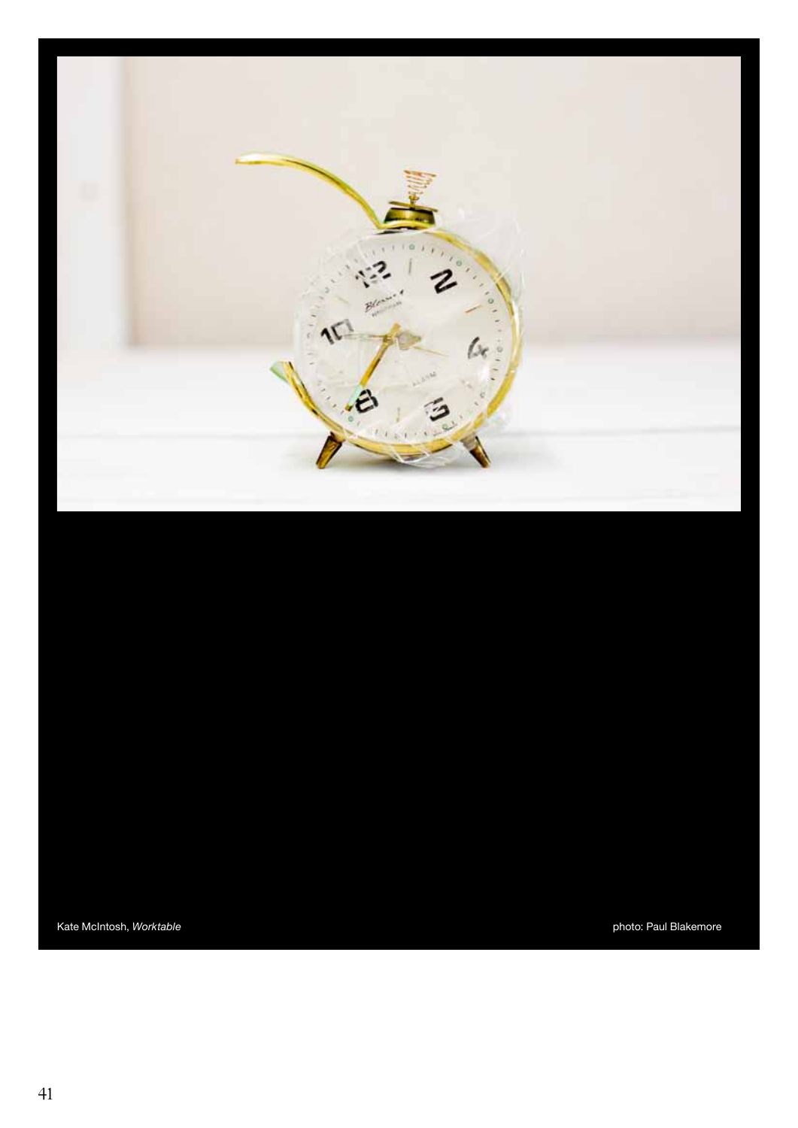

Kate McIntosh, Worktable **photo: Paul Blakemore** photo: Paul Blakemore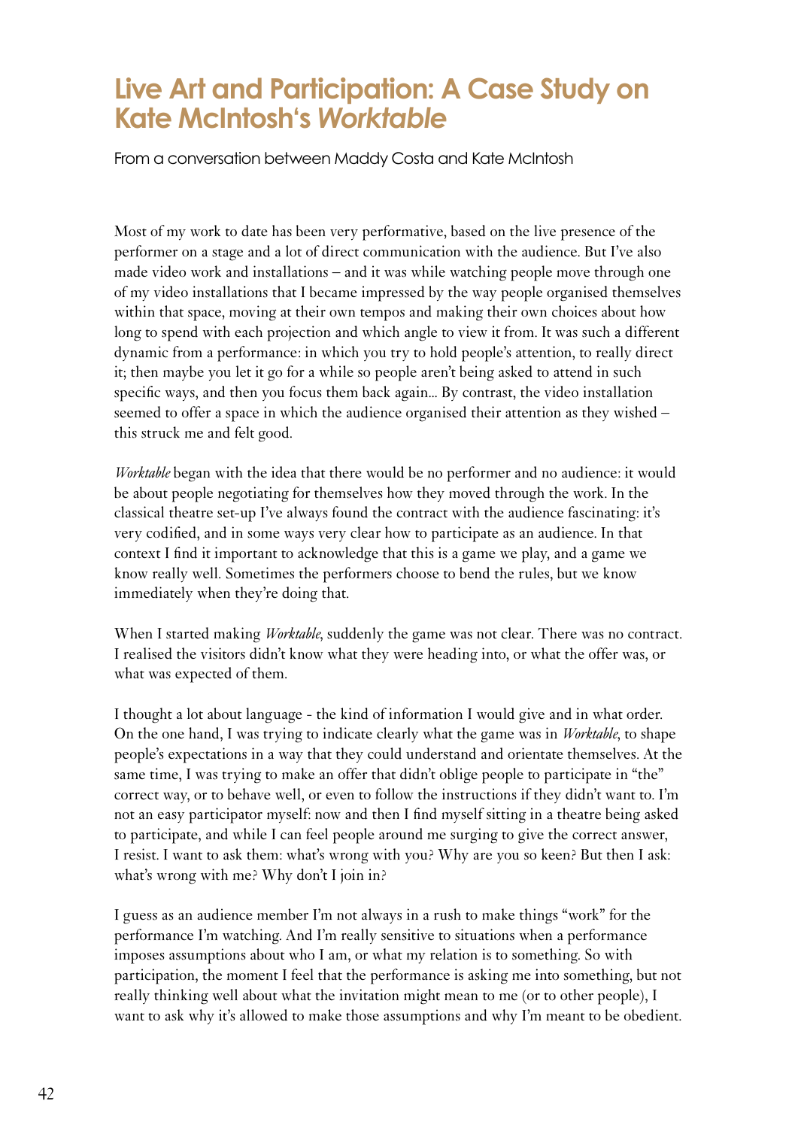#### **Live Art and Participation: A Case Study on Kate McIntosh's** *Worktable*

From a conversation between Maddy Costa and Kate McIntosh

Most of my work to date has been very performative, based on the live presence of the performer on a stage and a lot of direct communication with the audience. But I've also made video work and installations – and it was while watching people move through one of my video installations that I became impressed by the way people organised themselves within that space, moving at their own tempos and making their own choices about how long to spend with each projection and which angle to view it from. It was such a different dynamic from a performance: in which you try to hold people's attention, to really direct it; then maybe you let it go for a while so people aren't being asked to attend in such specific ways, and then you focus them back again... By contrast, the video installation seemed to offer a space in which the audience organised their attention as they wished – this struck me and felt good.

*Worktable* began with the idea that there would be no performer and no audience: it would be about people negotiating for themselves how they moved through the work. In the classical theatre set-up I've always found the contract with the audience fascinating: it's very codified, and in some ways very clear how to participate as an audience. In that context I find it important to acknowledge that this is a game we play, and a game we know really well. Sometimes the performers choose to bend the rules, but we know immediately when they're doing that.

When I started making *Worktable*, suddenly the game was not clear. There was no contract. I realised the visitors didn't know what they were heading into, or what the offer was, or what was expected of them.

I thought a lot about language - the kind of information I would give and in what order. On the one hand, I was trying to indicate clearly what the game was in *Worktable*, to shape people's expectations in a way that they could understand and orientate themselves. At the same time, I was trying to make an offer that didn't oblige people to participate in "the" correct way, or to behave well, or even to follow the instructions if they didn't want to. I'm not an easy participator myself: now and then I find myself sitting in a theatre being asked to participate, and while I can feel people around me surging to give the correct answer, I resist. I want to ask them: what's wrong with you? Why are you so keen? But then I ask: what's wrong with me? Why don't I join in?

<span id="page-41-0"></span>I guess as an audience member I'm not always in a rush to make things "work" for the performance I'm watching. And I'm really sensitive to situations when a performance imposes assumptions about who I am, or what my relation is to something. So with participation, the moment I feel that the performance is asking me into something, but not really thinking well about what the invitation might mean to me (or to other people), I want to ask why it's allowed to make those assumptions and why I'm meant to be obedient.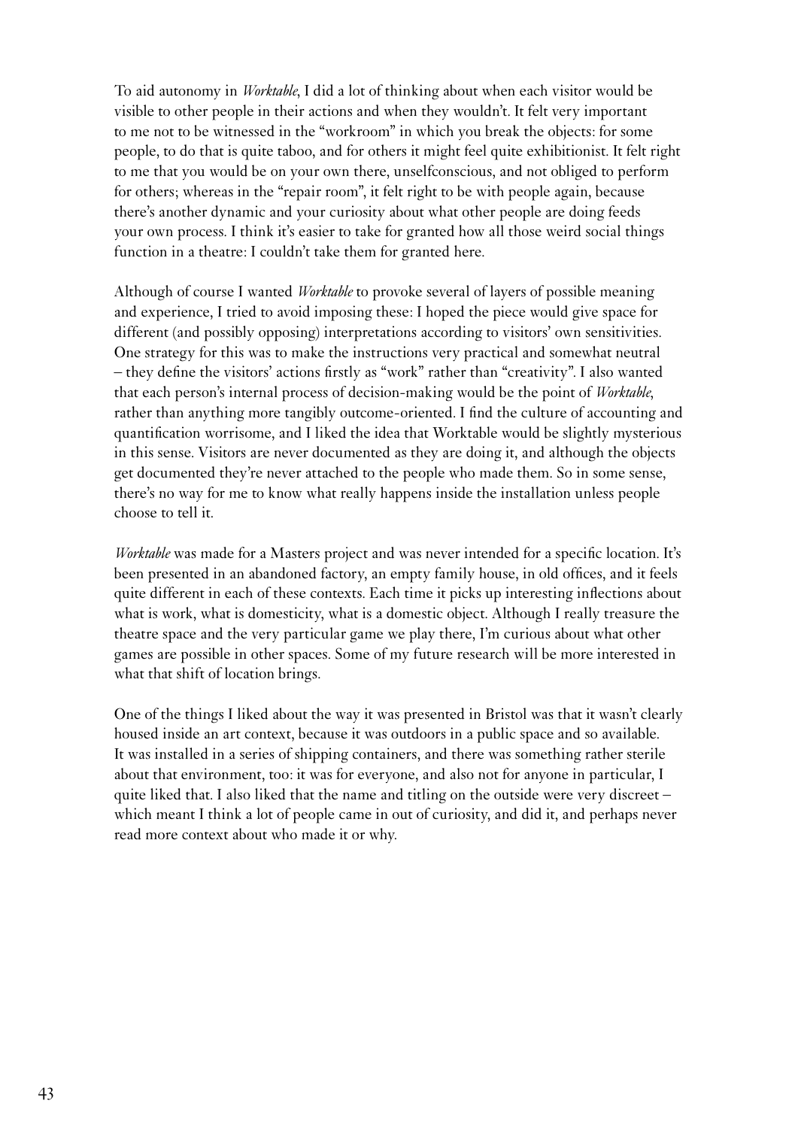To aid autonomy in *Worktable*, I did a lot of thinking about when each visitor would be visible to other people in their actions and when they wouldn't. It felt very important to me not to be witnessed in the "workroom" in which you break the objects: for some people, to do that is quite taboo, and for others it might feel quite exhibitionist. It felt right to me that you would be on your own there, unselfconscious, and not obliged to perform for others; whereas in the "repair room", it felt right to be with people again, because there's another dynamic and your curiosity about what other people are doing feeds your own process. I think it's easier to take for granted how all those weird social things function in a theatre: I couldn't take them for granted here.

Although of course I wanted *Worktable* to provoke several of layers of possible meaning and experience, I tried to avoid imposing these: I hoped the piece would give space for different (and possibly opposing) interpretations according to visitors' own sensitivities. One strategy for this was to make the instructions very practical and somewhat neutral – they define the visitors' actions firstly as "work" rather than "creativity". I also wanted that each person's internal process of decision-making would be the point of *Worktable*, rather than anything more tangibly outcome-oriented. I find the culture of accounting and quantification worrisome, and I liked the idea that Worktable would be slightly mysterious in this sense. Visitors are never documented as they are doing it, and although the objects get documented they're never attached to the people who made them. So in some sense, there's no way for me to know what really happens inside the installation unless people choose to tell it.

*Worktable* was made for a Masters project and was never intended for a specific location. It's been presented in an abandoned factory, an empty family house, in old offices, and it feels quite different in each of these contexts. Each time it picks up interesting inflections about what is work, what is domesticity, what is a domestic object. Although I really treasure the theatre space and the very particular game we play there, I'm curious about what other games are possible in other spaces. Some of my future research will be more interested in what that shift of location brings.

One of the things I liked about the way it was presented in Bristol was that it wasn't clearly housed inside an art context, because it was outdoors in a public space and so available. It was installed in a series of shipping containers, and there was something rather sterile about that environment, too: it was for everyone, and also not for anyone in particular, I quite liked that. I also liked that the name and titling on the outside were very discreet – which meant I think a lot of people came in out of curiosity, and did it, and perhaps never read more context about who made it or why.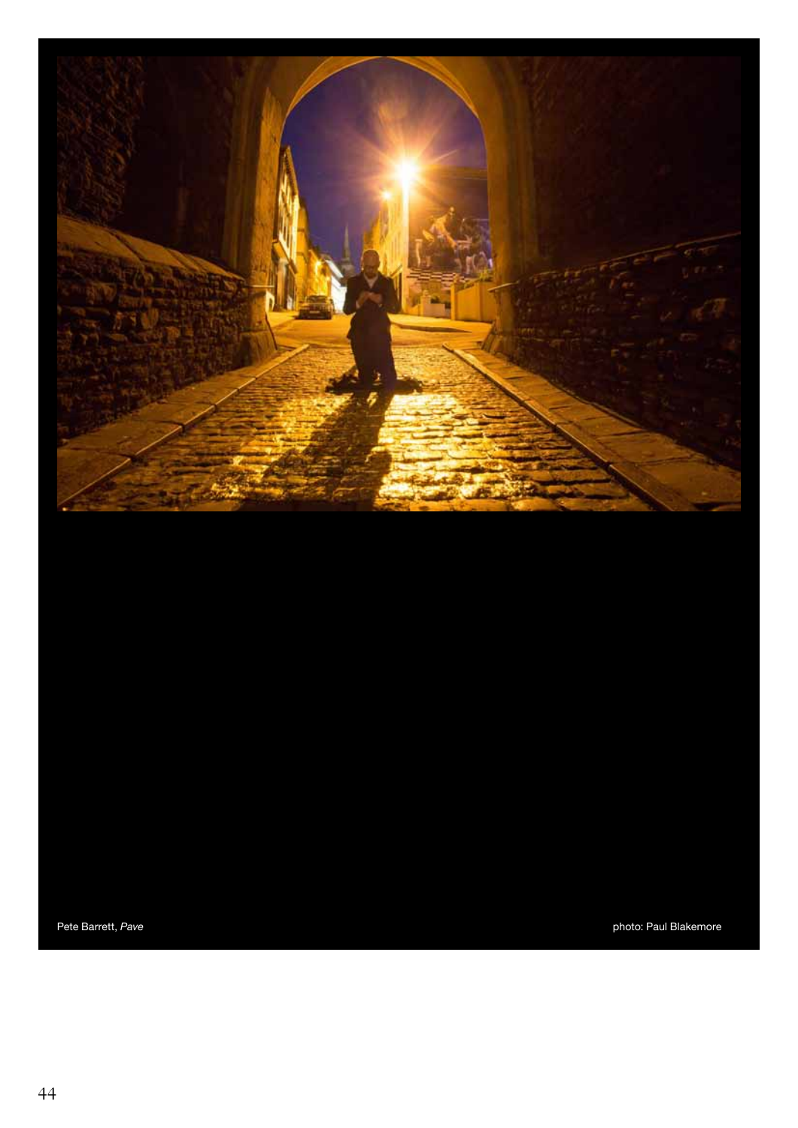

Pete Barrett, Pave **photo: Paul Blakemore** photo: Paul Blakemore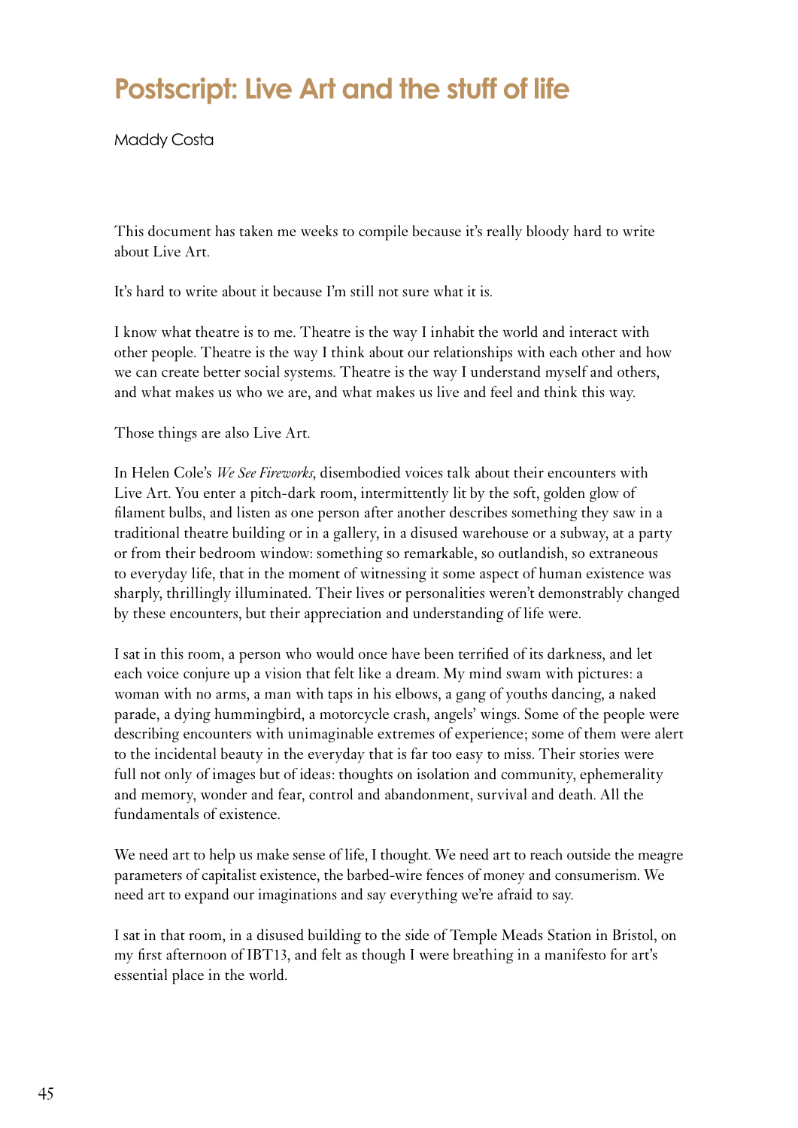## **Postscript: Live Art and the stuff of life**

Maddy Costa

This document has taken me weeks to compile because it's really bloody hard to write about Live Art.

It's hard to write about it because I'm still not sure what it is.

I know what theatre is to me. Theatre is the way I inhabit the world and interact with other people. Theatre is the way I think about our relationships with each other and how we can create better social systems. Theatre is the way I understand myself and others, and what makes us who we are, and what makes us live and feel and think this way.

Those things are also Live Art.

In Helen Cole's *We See Fireworks*, disembodied voices talk about their encounters with Live Art. You enter a pitch-dark room, intermittently lit by the soft, golden glow of filament bulbs, and listen as one person after another describes something they saw in a traditional theatre building or in a gallery, in a disused warehouse or a subway, at a party or from their bedroom window: something so remarkable, so outlandish, so extraneous to everyday life, that in the moment of witnessing it some aspect of human existence was sharply, thrillingly illuminated. Their lives or personalities weren't demonstrably changed by these encounters, but their appreciation and understanding of life were.

I sat in this room, a person who would once have been terrified of its darkness, and let each voice conjure up a vision that felt like a dream. My mind swam with pictures: a woman with no arms, a man with taps in his elbows, a gang of youths dancing, a naked parade, a dying hummingbird, a motorcycle crash, angels' wings. Some of the people were describing encounters with unimaginable extremes of experience; some of them were alert to the incidental beauty in the everyday that is far too easy to miss. Their stories were full not only of images but of ideas: thoughts on isolation and community, ephemerality and memory, wonder and fear, control and abandonment, survival and death. All the fundamentals of existence.

We need art to help us make sense of life, I thought. We need art to reach outside the meagre parameters of capitalist existence, the barbed-wire fences of money and consumerism. We need art to expand our imaginations and say everything we're afraid to say.

<span id="page-44-0"></span>I sat in that room, in a disused building to the side of Temple Meads Station in Bristol, on my first afternoon of IBT13, and felt as though I were breathing in a manifesto for art's essential place in the world.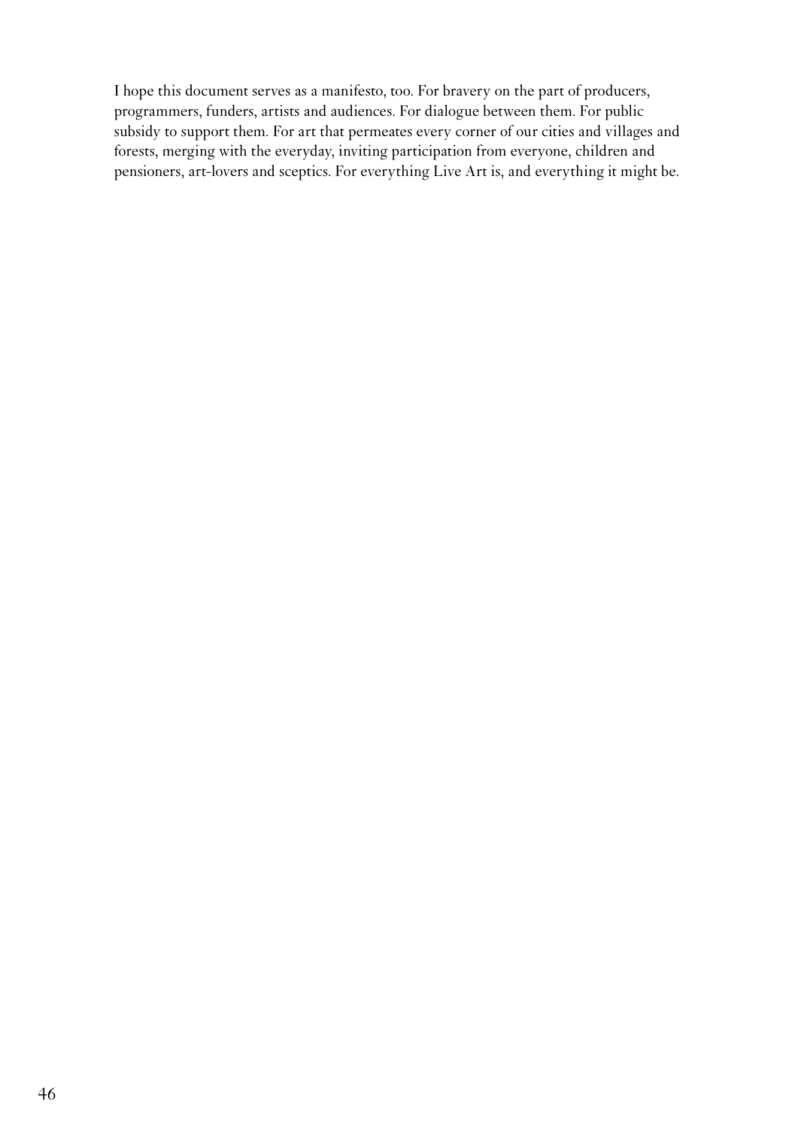I hope this document serves as a manifesto, too. For bravery on the part of producers, programmers, funders, artists and audiences. For dialogue between them. For public subsidy to support them. For art that permeates every corner of our cities and villages and forests, merging with the everyday, inviting participation from everyone, children and pensioners, art-lovers and sceptics. For everything Live Art is, and everything it might be.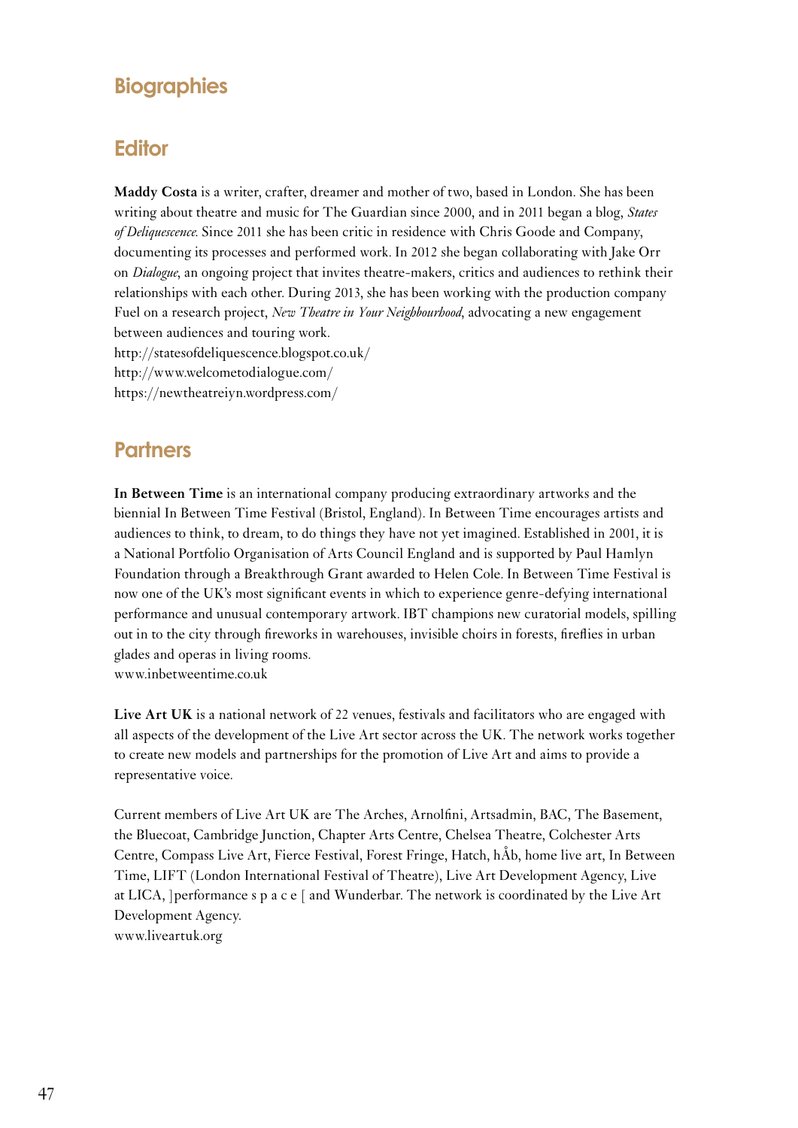#### **Biographies**

#### **Editor**

**Maddy Costa** is a writer, crafter, dreamer and mother of two, based in London. She has been writing about theatre and music for The Guardian since 2000, and in 2011 began a blog, *States of Deliquescence*. Since 2011 she has been critic in residence with Chris Goode and Company, documenting its processes and performed work. In 2012 she began collaborating with Jake Orr on *Dialogue*, an ongoing project that invites theatre-makers, critics and audiences to rethink their relationships with each other. During 2013, she has been working with the production company Fuel on a research project, *New Theatre in Your Neighbourhood*, advocating a new engagement between audiences and touring work. http://statesofdeliquescence.blogspot.co.uk/ http://www.welcometodialogue.com/ https://newtheatreiyn.wordpress.com/

#### **Partners**

**In Between Time** is an international company producing extraordinary artworks and the biennial In Between Time Festival (Bristol, England). In Between Time encourages artists and audiences to think, to dream, to do things they have not yet imagined. Established in 2001, it is a National Portfolio Organisation of Arts Council England and is supported by Paul Hamlyn Foundation through a Breakthrough Grant awarded to Helen Cole. In Between Time Festival is now one of the UK's most significant events in which to experience genre-defying international performance and unusual contemporary artwork. IBT champions new curatorial models, spilling out in to the city through fireworks in warehouses, invisible choirs in forests, fireflies in urban glades and operas in living rooms. www.inbetweentime.co.uk

**Live Art UK** is a national network of 22 venues, festivals and facilitators who are engaged with all aspects of the development of the Live Art sector across the UK. The network works together to create new models and partnerships for the promotion of Live Art and aims to provide a representative voice.

<span id="page-46-0"></span>Current members of Live Art UK are The Arches, Arnolfini, Artsadmin, BAC, The Basement, the Bluecoat, Cambridge Junction, Chapter Arts Centre, Chelsea Theatre, Colchester Arts Centre, Compass Live Art, Fierce Festival, Forest Fringe, Hatch, hÅb, home live art, In Between Time, LIFT (London International Festival of Theatre), Live Art Development Agency, Live at LICA, ]performance s p a c e [ and Wunderbar. The network is coordinated by the Live Art Development Agency.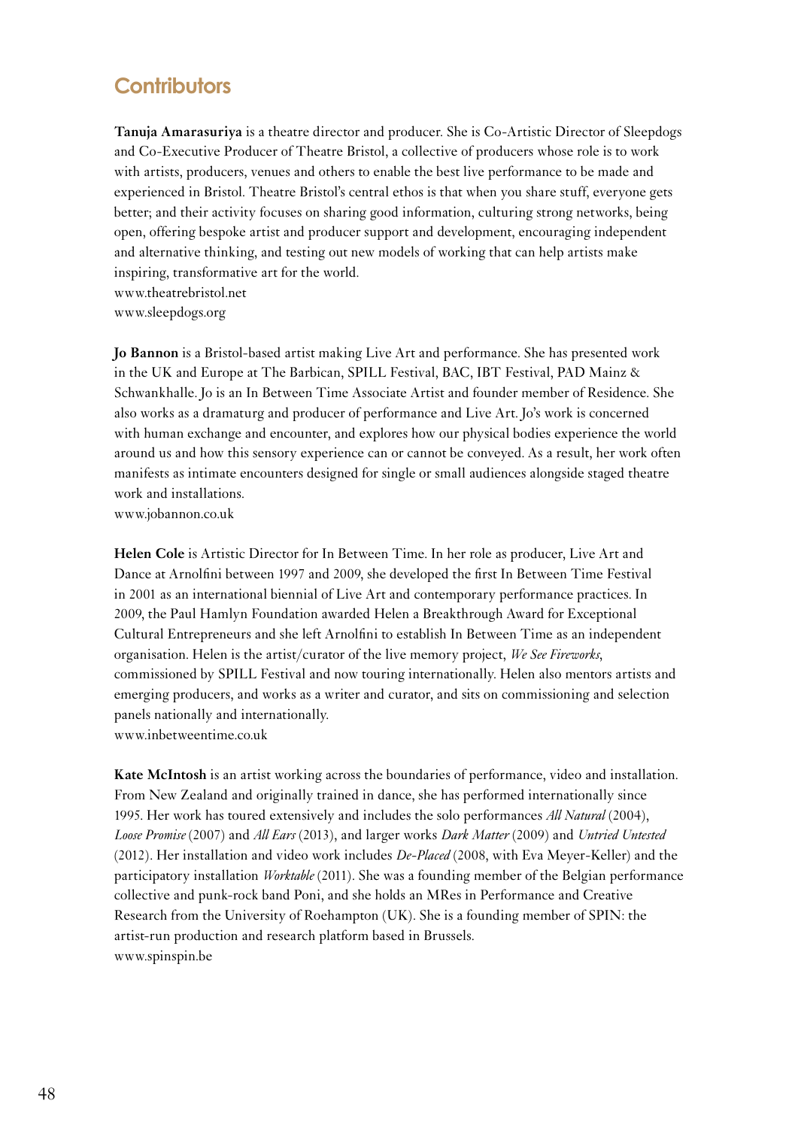#### **Contributors**

**Tanuja Amarasuriya** is a theatre director and producer. She is Co-Artistic Director of Sleepdogs and Co-Executive Producer of Theatre Bristol, a collective of producers whose role is to work with artists, producers, venues and others to enable the best live performance to be made and experienced in Bristol. Theatre Bristol's central ethos is that when you share stuff, everyone gets better; and their activity focuses on sharing good information, culturing strong networks, being open, offering bespoke artist and producer support and development, encouraging independent and alternative thinking, and testing out new models of working that can help artists make inspiring, transformative art for the world. www.theatrebristol.net

www.sleepdogs.org

**Jo Bannon** is a Bristol-based artist making Live Art and performance. She has presented work in the UK and Europe at The Barbican, SPILL Festival, BAC, IBT Festival, PAD Mainz & Schwankhalle. Jo is an In Between Time Associate Artist and founder member of Residence. She also works as a dramaturg and producer of performance and Live Art. Jo's work is concerned with human exchange and encounter, and explores how our physical bodies experience the world around us and how this sensory experience can or cannot be conveyed. As a result, her work often manifests as intimate encounters designed for single or small audiences alongside staged theatre work and installations.

www.jobannon.co.uk

**Helen Cole** is Artistic Director for In Between Time. In her role as producer, Live Art and Dance at Arnolfini between 1997 and 2009, she developed the first In Between Time Festival in 2001 as an international biennial of Live Art and contemporary performance practices. In 2009, the Paul Hamlyn Foundation awarded Helen a Breakthrough Award for Exceptional Cultural Entrepreneurs and she left Arnolfini to establish In Between Time as an independent organisation. Helen is the artist/curator of the live memory project, *We See Fireworks*, commissioned by SPILL Festival and now touring internationally. Helen also mentors artists and emerging producers, and works as a writer and curator, and sits on commissioning and selection panels nationally and internationally. www.inbetweentime.co.uk

<span id="page-47-0"></span>**Kate McIntosh** is an artist working across the boundaries of performance, video and installation. From New Zealand and originally trained in dance, she has performed internationally since 1995. Her work has toured extensively and includes the solo performances *All Natural* (2004), *Loose Promise* (2007) and *All Ears* (2013), and larger works *Dark Matter* (2009) and *Untried Untested* (2012). Her installation and video work includes *De-Placed* (2008, with Eva Meyer-Keller) and the participatory installation *Worktable* (2011). She was a founding member of the Belgian performance collective and punk-rock band Poni, and she holds an MRes in Performance and Creative Research from the University of Roehampton (UK). She is a founding member of SPIN: the artist-run production and research platform based in Brussels. www.spinspin.be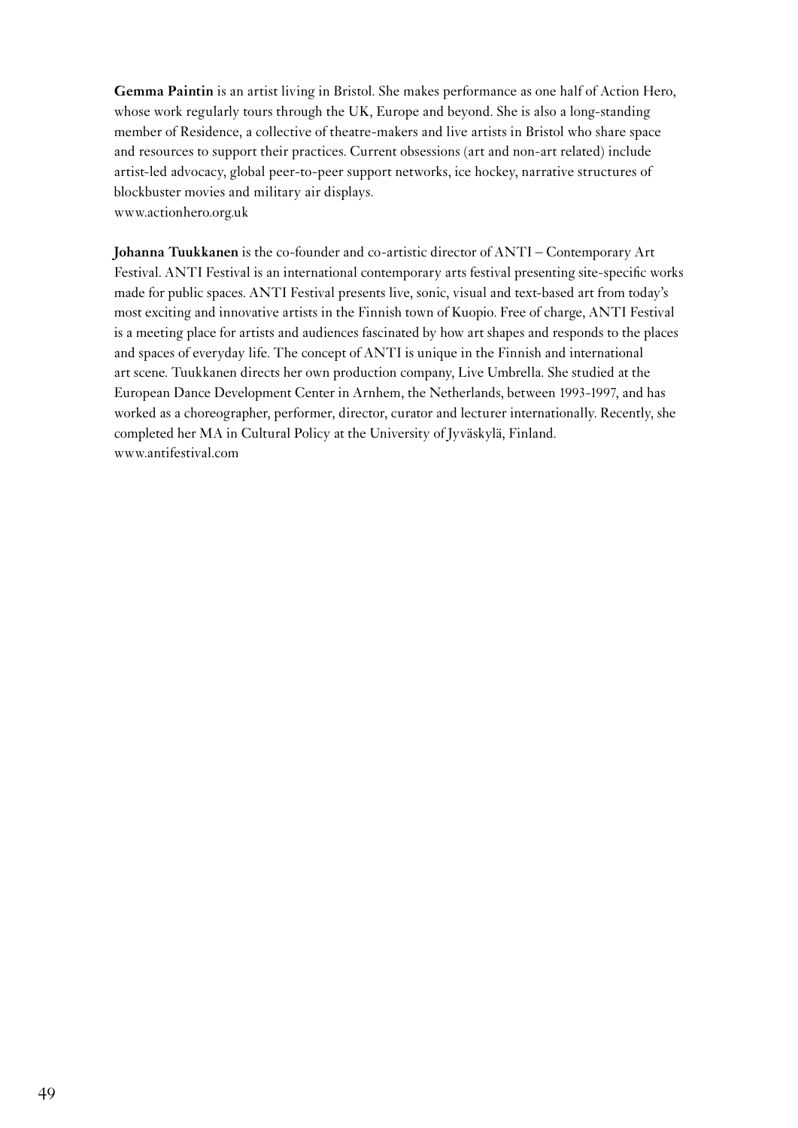**Gemma Paintin** is an artist living in Bristol. She makes performance as one half of Action Hero, whose work regularly tours through the UK, Europe and beyond. She is also a long-standing member of Residence, a collective of theatre-makers and live artists in Bristol who share space and resources to support their practices. Current obsessions (art and non-art related) include artist-led advocacy, global peer-to-peer support networks, ice hockey, narrative structures of blockbuster movies and military air displays. www.actionhero.org.uk

**Johanna Tuukkanen** is the co-founder and co-artistic director of ANTI – Contemporary Art Festival. ANTI Festival is an international contemporary arts festival presenting site-specific works made for public spaces. ANTI Festival presents live, sonic, visual and text-based art from today's most exciting and innovative artists in the Finnish town of Kuopio. Free of charge, ANTI Festival is a meeting place for artists and audiences fascinated by how art shapes and responds to the places and spaces of everyday life. The concept of ANTI is unique in the Finnish and international art scene. Tuukkanen directs her own production company, Live Umbrella. She studied at the European Dance Development Center in Arnhem, the Netherlands, between 1993-1997, and has worked as a choreographer, performer, director, curator and lecturer internationally. Recently, she completed her MA in Cultural Policy at the University of Jyväskylä, Finland. www.antifestival.com